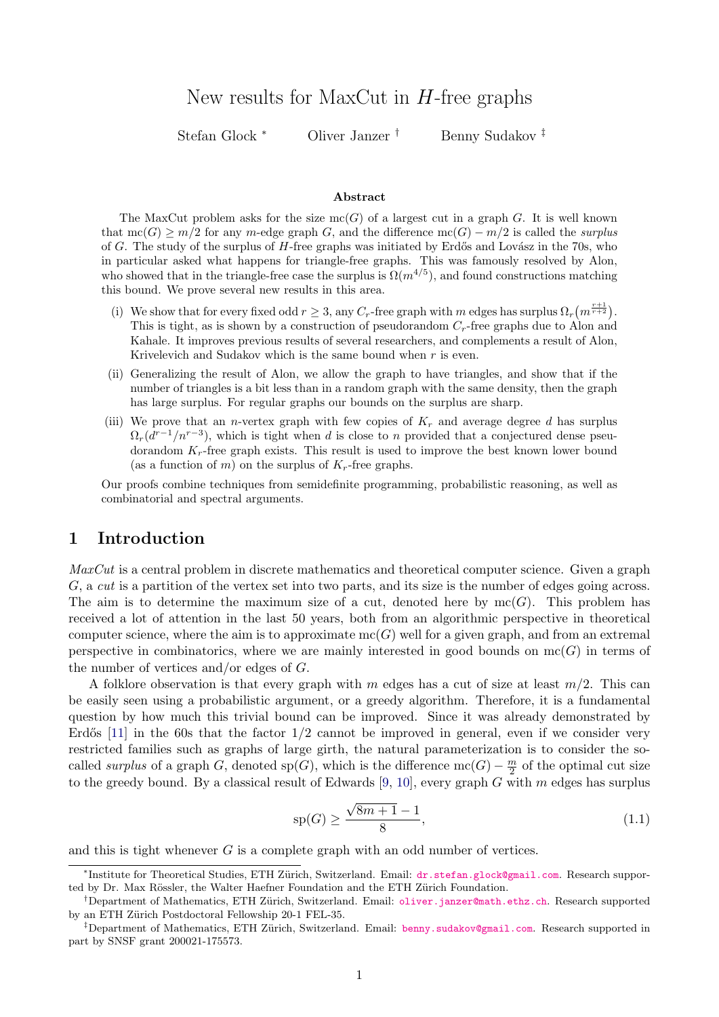# New results for MaxCut in  $H$ -free graphs

Stefan Glock <sup>∗</sup> Oliver Janzer <sup>†</sup> Benny Sudakov <sup>‡</sup>

#### Abstract

The MaxCut problem asks for the size  $mc(G)$  of a largest cut in a graph G. It is well known that  $mc(G) > m/2$  for any m-edge graph G, and the difference  $mc(G) - m/2$  is called the *surplus* of G. The study of the surplus of H-free graphs was initiated by Erdős and Lovász in the 70s, who in particular asked what happens for triangle-free graphs. This was famously resolved by Alon, who showed that in the triangle-free case the surplus is  $\Omega(m^{4/5})$ , and found constructions matching this bound. We prove several new results in this area.

- (i) We show that for every fixed odd  $r \geq 3$ , any  $C_r$ -free graph with m edges has surplus  $\Omega_r(m^{\frac{r+1}{r+2}})$ . This is tight, as is shown by a construction of pseudorandom  $C_r$ -free graphs due to Alon and Kahale. It improves previous results of several researchers, and complements a result of Alon, Krivelevich and Sudakov which is the same bound when  $r$  is even.
- (ii) Generalizing the result of Alon, we allow the graph to have triangles, and show that if the number of triangles is a bit less than in a random graph with the same density, then the graph has large surplus. For regular graphs our bounds on the surplus are sharp.
- (iii) We prove that an *n*-vertex graph with few copies of  $K_r$  and average degree d has surplus  $\Omega_r(d^{r-1}/n^{r-3})$ , which is tight when d is close to n provided that a conjectured dense pseudorandom  $K_r$ -free graph exists. This result is used to improve the best known lower bound (as a function of m) on the surplus of  $K_r$ -free graphs.

Our proofs combine techniques from semidefinite programming, probabilistic reasoning, as well as combinatorial and spectral arguments.

### 1 Introduction

 $MaxCut$  is a central problem in discrete mathematics and theoretical computer science. Given a graph G, a cut is a partition of the vertex set into two parts, and its size is the number of edges going across. The aim is to determine the maximum size of a cut, denoted here by  $mc(G)$ . This problem has received a lot of attention in the last 50 years, both from an algorithmic perspective in theoretical computer science, where the aim is to approximate  $mc(G)$  well for a given graph, and from an extremal perspective in combinatorics, where we are mainly interested in good bounds on  $mc(G)$  in terms of the number of vertices and/or edges of G.

A folklore observation is that every graph with m edges has a cut of size at least  $m/2$ . This can be easily seen using a probabilistic argument, or a greedy algorithm. Therefore, it is a fundamental question by how much this trivial bound can be improved. Since it was already demonstrated by Erdős  $[11]$  in the 60s that the factor  $1/2$  cannot be improved in general, even if we consider very restricted families such as graphs of large girth, the natural parameterization is to consider the socalled *surplus* of a graph G, denoted sp(G), which is the difference mc(G) –  $\frac{m}{2}$  $\frac{m}{2}$  of the optimal cut size to the greedy bound. By a classical result of Edwards [\[9,](#page-28-1) [10\]](#page-28-2), every graph G with m edges has surplus

<span id="page-0-0"></span>
$$
sp(G) \ge \frac{\sqrt{8m+1} - 1}{8},
$$
\n(1.1)

and this is tight whenever  $G$  is a complete graph with an odd number of vertices.

<sup>\*</sup>Institute for Theoretical Studies, ETH Zürich, Switzerland. Email: [dr.stefan.glock@gmail.com](mailto:dr.stefan.glock@gmail.com). Research supported by Dr. Max Rössler, the Walter Haefner Foundation and the ETH Zürich Foundation.

<sup>†</sup>Department of Mathematics, ETH Z¨urich, Switzerland. Email: [oliver.janzer@math.ethz.ch](mailto:oliver.janzer@math.ethz.ch). Research supported by an ETH Zürich Postdoctoral Fellowship 20-1 FEL-35.

<sup>&</sup>lt;sup>‡</sup>Department of Mathematics, ETH Zürich, Switzerland. Email: [benny.sudakov@gmail.com](mailto:benny.sudakov@gmail.com). Research supported in part by SNSF grant 200021-175573.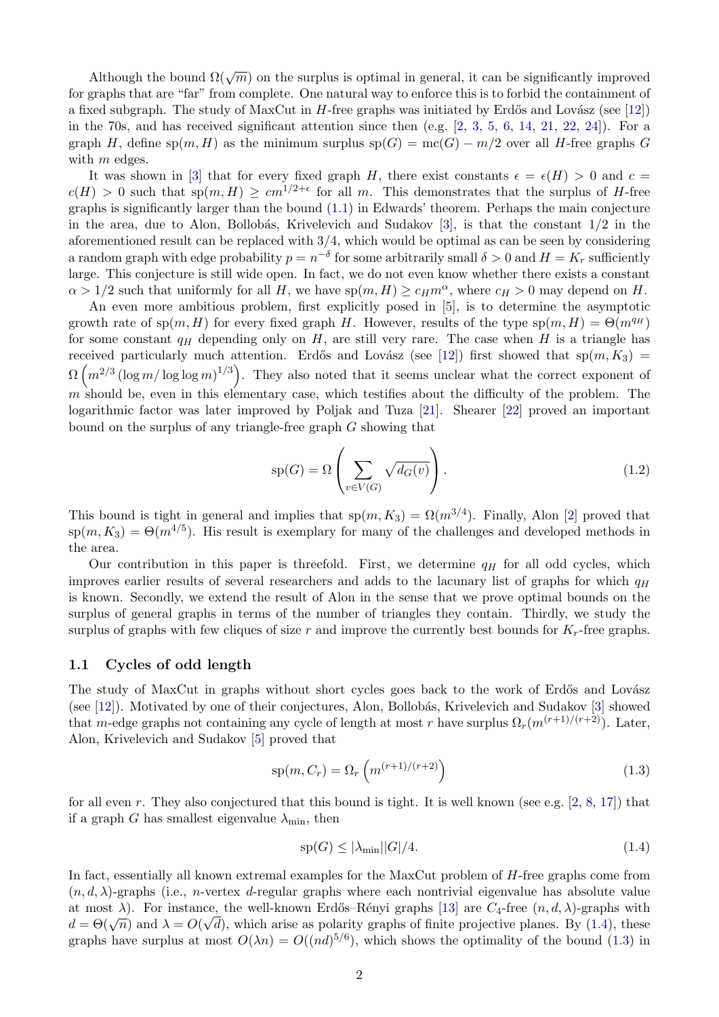Although the bound  $\Omega(\sqrt{m})$  on the surplus is optimal in general, it can be significantly improved for graphs that are "far" from complete. One natural way to enforce this is to forbid the containment of a fixed subgraph. The study of MaxCut in  $H$ -free graphs was initiated by Erdős and Lovász (see [\[12\]](#page-28-3)) in the 70s, and has received significant attention since then  $(e.g. [2, 3, 5, 6, 14, 21, 22, 24])$  $(e.g. [2, 3, 5, 6, 14, 21, 22, 24])$  $(e.g. [2, 3, 5, 6, 14, 21, 22, 24])$  $(e.g. [2, 3, 5, 6, 14, 21, 22, 24])$  $(e.g. [2, 3, 5, 6, 14, 21, 22, 24])$  $(e.g. [2, 3, 5, 6, 14, 21, 22, 24])$  $(e.g. [2, 3, 5, 6, 14, 21, 22, 24])$  $(e.g. [2, 3, 5, 6, 14, 21, 22, 24])$  $(e.g. [2, 3, 5, 6, 14, 21, 22, 24])$  $(e.g. [2, 3, 5, 6, 14, 21, 22, 24])$  $(e.g. [2, 3, 5, 6, 14, 21, 22, 24])$  $(e.g. [2, 3, 5, 6, 14, 21, 22, 24])$  $(e.g. [2, 3, 5, 6, 14, 21, 22, 24])$  $(e.g. [2, 3, 5, 6, 14, 21, 22, 24])$  $(e.g. [2, 3, 5, 6, 14, 21, 22, 24])$  $(e.g. [2, 3, 5, 6, 14, 21, 22, 24])$  $(e.g. [2, 3, 5, 6, 14, 21, 22, 24])$ . For a graph H, define sp $(m, H)$  as the minimum surplus sp $(G) = \text{mc}(G) - m/2$  over all H-free graphs G with  $m$  edges.

It was shown in [\[3\]](#page-27-1) that for every fixed graph H, there exist constants  $\epsilon = \epsilon(H) > 0$  and  $c =$  $c(H) > 0$  such that  $sp(m, H) \geq cm^{1/2+\epsilon}$  for all m. This demonstrates that the surplus of H-free graphs is significantly larger than the bound [\(1.1\)](#page-0-0) in Edwards' theorem. Perhaps the main conjecture in the area, due to Alon, Bollobás, Krivelevich and Sudakov  $[3]$ , is that the constant  $1/2$  in the aforementioned result can be replaced with  $3/4$ , which would be optimal as can be seen by considering a random graph with edge probability  $p = n^{-\delta}$  for some arbitrarily small  $\delta > 0$  and  $H = K_r$  sufficiently large. This conjecture is still wide open. In fact, we do not even know whether there exists a constant  $\alpha > 1/2$  such that uniformly for all H, we have  $sp(m, H) \geq c_H m^{\alpha}$ , where  $c_H > 0$  may depend on H.

An even more ambitious problem, first explicitly posed in [\[5\]](#page-27-2), is to determine the asymptotic growth rate of  $sp(m, H)$  for every fixed graph H. However, results of the type  $sp(m, H) = \Theta(m^{q_H})$ for some constant  $q_H$  depending only on H, are still very rare. The case when H is a triangle has received particularly much attention. Erdős and Lovász (see [\[12\]](#page-28-3)) first showed that  $sp(m, K_3)$  =  $\Omega(m^{2/3}(\log m/\log\log m)^{1/3})$ . They also noted that it seems unclear what the correct exponent of  $m$  should be, even in this elementary case, which testifies about the difficulty of the problem. The logarithmic factor was later improved by Poljak and Tuza [\[21\]](#page-28-6). Shearer [\[22\]](#page-28-7) proved an important bound on the surplus of any triangle-free graph G showing that

<span id="page-1-2"></span>
$$
\text{sp}(G) = \Omega \left( \sum_{v \in V(G)} \sqrt{d_G(v)} \right). \tag{1.2}
$$

This bound is tight in general and implies that  $sp(m, K_3) = \Omega(m^{3/4})$ . Finally, Alon [\[2\]](#page-27-0) proved that  $sp(m, K_3) = \Theta(m^{4/5})$ . His result is exemplary for many of the challenges and developed methods in the area.

Our contribution in this paper is threefold. First, we determine  $q_H$  for all odd cycles, which improves earlier results of several researchers and adds to the lacunary list of graphs for which  $q_H$ is known. Secondly, we extend the result of Alon in the sense that we prove optimal bounds on the surplus of general graphs in terms of the number of triangles they contain. Thirdly, we study the surplus of graphs with few cliques of size r and improve the currently best bounds for  $K_r$ -free graphs.

#### <span id="page-1-3"></span>1.1 Cycles of odd length

The study of MaxCut in graphs without short cycles goes back to the work of Erdős and Lovász (see [\[12\]](#page-28-3)). Motivated by one of their conjectures, Alon, Bollobás, Krivelevich and Sudakov [\[3\]](#page-27-1) showed that m-edge graphs not containing any cycle of length at most r have surplus  $\Omega_r(m^{(r+1)/(r+2)})$ . Later, Alon, Krivelevich and Sudakov [\[5\]](#page-27-2) proved that

$$
sp(m, C_r) = \Omega_r \left( m^{(r+1)/(r+2)} \right) \tag{1.3}
$$

for all even r. They also conjectured that this bound is tight. It is well known (see e.g.  $[2, 8, 17]$  $[2, 8, 17]$  $[2, 8, 17]$  $[2, 8, 17]$  $[2, 8, 17]$ ) that if a graph G has smallest eigenvalue  $\lambda_{\min}$ , then

<span id="page-1-1"></span><span id="page-1-0"></span>
$$
sp(G) \le |\lambda_{\min}| |G| / 4. \tag{1.4}
$$

In fact, essentially all known extremal examples for the MaxCut problem of H-free graphs come from  $(n, d, \lambda)$ -graphs (i.e., *n*-vertex *d*-regular graphs where each nontrivial eigenvalue has absolute value at most  $\lambda$ ). For instance, the well-known Erdős–Rényi graphs [\[13\]](#page-28-11) are  $C_4$ -free  $(n, d, \lambda)$ -graphs with  $d = \Theta(\sqrt{n})$  and  $\lambda = O(\sqrt{d})$ , which arise as polarity graphs of finite projective planes. By [\(1.4\)](#page-1-0), these graphs have surplus at most  $O(\lambda n) = O((nd)^{5/6})$ , which shows the optimality of the bound [\(1.3\)](#page-1-1) in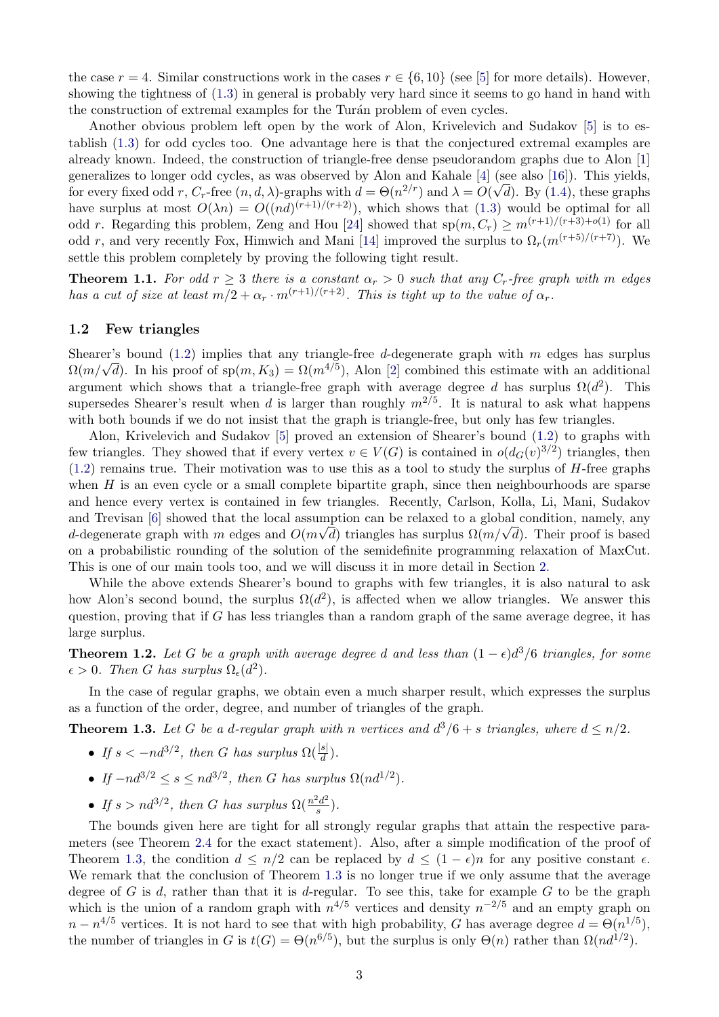the case  $r = 4$ . Similar constructions work in the cases  $r \in \{6, 10\}$  (see [\[5\]](#page-27-2) for more details). However, showing the tightness of [\(1.3\)](#page-1-1) in general is probably very hard since it seems to go hand in hand with the construction of extremal examples for the Turán problem of even cycles.

Another obvious problem left open by the work of Alon, Krivelevich and Sudakov [\[5\]](#page-27-2) is to establish [\(1.3\)](#page-1-1) for odd cycles too. One advantage here is that the conjectured extremal examples are already known. Indeed, the construction of triangle-free dense pseudorandom graphs due to Alon [\[1\]](#page-27-3) generalizes to longer odd cycles, as was observed by Alon and Kahale [\[4\]](#page-27-4) (see also [\[16\]](#page-28-12)). This yields, for every fixed odd r,  $C_r$ -free  $(n, d, \lambda)$ -graphs with  $d = \Theta(n^{2/r})$  and  $\lambda = O(\sqrt{d})$ . By [\(1.4\)](#page-1-0), these graphs have surplus at most  $O(\lambda n) = O((nd)^{(r+1)/(r+2)})$ , which shows that [\(1.3\)](#page-1-1) would be optimal for all odd r. Regarding this problem, Zeng and Hou [\[24\]](#page-28-8) showed that  $sp(m, C_r) \geq m^{(r+1)/(r+3)+o(1)}$  for all odd r, and very recently Fox, Himwich and Mani [\[14\]](#page-28-5) improved the surplus to  $\Omega_r(m^{(r+5)/(r+7)})$ . We settle this problem completely by proving the following tight result.

<span id="page-2-2"></span>**Theorem 1.1.** For odd  $r \geq 3$  there is a constant  $\alpha_r > 0$  such that any  $C_r$ -free graph with m edges has a cut of size at least  $m/2 + \alpha_r \cdot m^{(r+1)/(r+2)}$ . This is tight up to the value of  $\alpha_r$ .

#### <span id="page-2-3"></span>1.2 Few triangles

Shearer's bound  $(1.2)$  implies that any triangle-free d-degenerate graph with m edges has surplus Shearer's bound (1.2) implies that any triangle-free *a*-degenerate graph with *m* edges has surplus  $\Omega(m/\sqrt{d})$ . In his proof of sp $(m, K_3) = \Omega(m^{4/5})$ , Alon [\[2\]](#page-27-0) combined this estimate with an additional argument which shows that a triangle-free graph with average degree d has surplus  $\Omega(d^2)$ . This supersedes Shearer's result when d is larger than roughly  $m^{2/5}$ . It is natural to ask what happens with both bounds if we do not insist that the graph is triangle-free, but only has few triangles.

Alon, Krivelevich and Sudakov [\[5\]](#page-27-2) proved an extension of Shearer's bound [\(1.2\)](#page-1-2) to graphs with few triangles. They showed that if every vertex  $v \in V(G)$  is contained in  $o(d_G(v)^{3/2})$  triangles, then  $(1.2)$  remains true. Their motivation was to use this as a tool to study the surplus of H-free graphs when  $H$  is an even cycle or a small complete bipartite graph, since then neighbourhoods are sparse and hence every vertex is contained in few triangles. Recently, Carlson, Kolla, Li, Mani, Sudakov and Trevisan [\[6\]](#page-28-4) showed that the local assumption can be relaxed to a global condition, namely, any and Trevisan [o] showed that the local assumption can be relaxed to a global condition, namely, any <br>d-degenerate graph with m edges and  $O(m\sqrt{d})$  triangles has surplus  $\Omega(m/\sqrt{d})$ . Their proof is based on a probabilistic rounding of the solution of the semidefinite programming relaxation of MaxCut. This is one of our main tools too, and we will discuss it in more detail in Section [2.](#page-4-0)

While the above extends Shearer's bound to graphs with few triangles, it is also natural to ask how Alon's second bound, the surplus  $\Omega(d^2)$ , is affected when we allow triangles. We answer this question, proving that if  $G$  has less triangles than a random graph of the same average degree, it has large surplus.

<span id="page-2-1"></span>**Theorem 1.2.** Let G be a graph with average degree d and less than  $(1 - \epsilon)d^3/6$  triangles, for some  $\epsilon > 0$ . Then G has surplus  $\Omega_{\epsilon}(d^2)$ .

In the case of regular graphs, we obtain even a much sharper result, which expresses the surplus as a function of the order, degree, and number of triangles of the graph.

<span id="page-2-0"></span>**Theorem 1.3.** Let G be a d-regular graph with n vertices and  $d^3/6 + s$  triangles, where  $d \le n/2$ .

- If  $s < -nd^{3/2}$ , then G has surplus  $\Omega(\frac{|s|}{d})$ .
- If  $-nd^{3/2} \le s \le nd^{3/2}$ , then G has surplus  $\Omega(nd^{1/2})$ .
- If  $s > nd^{3/2}$ , then G has surplus  $\Omega(\frac{n^2d^2}{s})$  $\frac{d^2}{s}$ ).

The bounds given here are tight for all strongly regular graphs that attain the respective parameters (see Theorem [2.4](#page-5-0) for the exact statement). Also, after a simple modification of the proof of Theorem [1.3,](#page-2-0) the condition  $d \leq n/2$  can be replaced by  $d \leq (1 - \epsilon)n$  for any positive constant  $\epsilon$ . We remark that the conclusion of Theorem [1.3](#page-2-0) is no longer true if we only assume that the average degree of G is d, rather than that it is d-regular. To see this, take for example G to be the graph which is the union of a random graph with  $n^{4/5}$  vertices and density  $n^{-2/5}$  and an empty graph on  $n - n^{4/5}$  vertices. It is not hard to see that with high probability, G has average degree  $d = \Theta(n^{1/5})$ , the number of triangles in G is  $t(G) = \Theta(n^{6/5})$ , but the surplus is only  $\Theta(n)$  rather than  $\Omega(n d^{1/2})$ .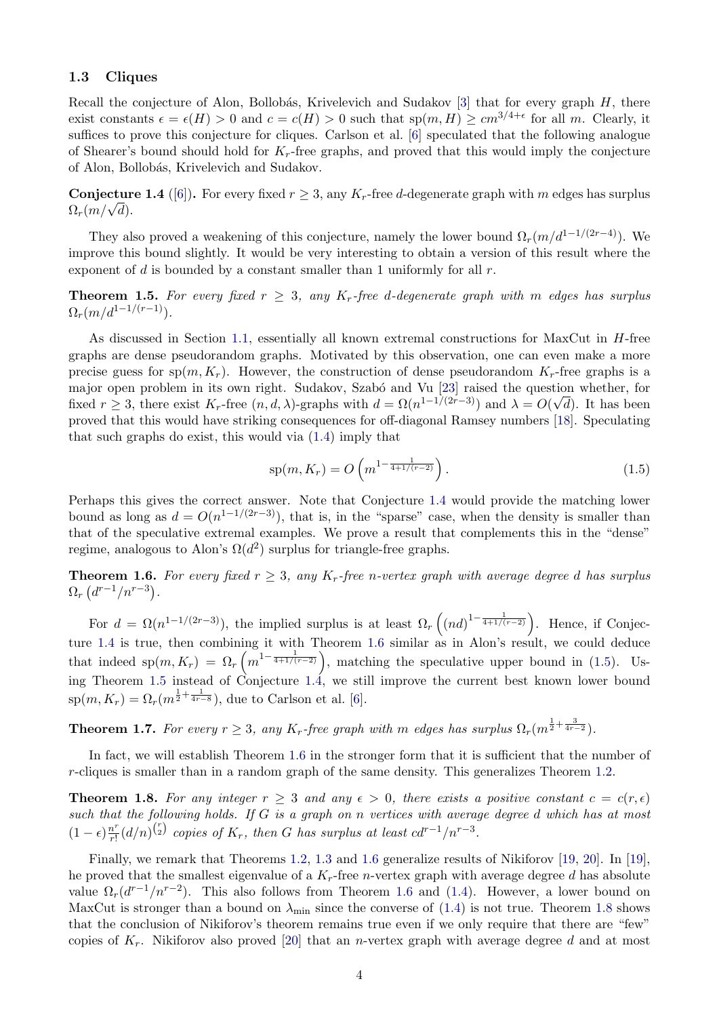#### <span id="page-3-6"></span>1.3 Cliques

Recall the conjecture of Alon, Bollobás, Krivelevich and Sudakov [\[3\]](#page-27-1) that for every graph  $H$ , there exist constants  $\epsilon = \epsilon(H) > 0$  and  $c = c(H) > 0$  such that  $sp(m, H) \ge cm^{3/4+\epsilon}$  for all m. Clearly, it suffices to prove this conjecture for cliques. Carlson et al. [\[6\]](#page-28-4) speculated that the following analogue of Shearer's bound should hold for  $K_r$ -free graphs, and proved that this would imply the conjecture of Alon, Bollobás, Krivelevich and Sudakov.

<span id="page-3-0"></span>**Conjecture 1.4** ([\[6\]](#page-28-4)). For every fixed  $r \geq 3$ , any  $K_r$ -free d-degenerate graph with m edges has surplus  $\mathrm{Conjectur}_{\Omega_r}(m/\sqrt{d}).$ 

They also proved a weakening of this conjecture, namely the lower bound  $\Omega_r(m/d^{1-1/(2r-4)})$ . We improve this bound slightly. It would be very interesting to obtain a version of this result where the exponent of  $d$  is bounded by a constant smaller than 1 uniformly for all  $r$ .

<span id="page-3-3"></span>**Theorem 1.5.** For every fixed  $r \geq 3$ , any  $K_r$ -free d-degenerate graph with m edges has surplus  $\Omega_r(m/d^{1-1/(r-1)})$ .

As discussed in Section [1.1,](#page-1-3) essentially all known extremal constructions for MaxCut in  $H$ -free graphs are dense pseudorandom graphs. Motivated by this observation, one can even make a more precise guess for  $sp(m, K_r)$ . However, the construction of dense pseudorandom  $K_r$ -free graphs is a major open problem in its own right. Sudakov, Szabó and Vu [\[23\]](#page-28-13) raised the question whether, for fixed  $r \geq 3$ , there exist  $K_r$ -free  $(n, d, \lambda)$ -graphs with  $d = \Omega(n^{1-1/(2r-3)})$  and  $\lambda = O(\sqrt{d})$ . It has been proved that this would have striking consequences for off-diagonal Ramsey numbers [\[18\]](#page-28-14). Speculating that such graphs do exist, this would via [\(1.4\)](#page-1-0) imply that

<span id="page-3-2"></span>
$$
sp(m, K_r) = O\left(m^{1 - \frac{1}{4 + 1/(r - 2)}}\right).
$$
\n(1.5)

Perhaps this gives the correct answer. Note that Conjecture [1.4](#page-3-0) would provide the matching lower bound as long as  $d = O(n^{1-1/(2r-3)})$ , that is, in the "sparse" case, when the density is smaller than that of the speculative extremal examples. We prove a result that complements this in the "dense" regime, analogous to Alon's  $\Omega(d^2)$  surplus for triangle-free graphs.

<span id="page-3-1"></span>**Theorem 1.6.** For every fixed  $r \geq 3$ , any  $K_r$ -free n-vertex graph with average degree d has surplus  $\Omega_r\left(d^{r-1}/n^{r-3}\right)$ .

For  $d = \Omega(n^{1-1/(2r-3)})$ , the implied surplus is at least  $\Omega_r\left((nd)^{1-\frac{1}{4+1/(r-2)}}\right)$ . Hence, if Conjecture [1.4](#page-3-0) is true, then combining it with Theorem [1.6](#page-3-1) similar as in Alon's result, we could deduce that indeed  $sp(m, K_r) = \Omega_r\left(m^{1-\frac{1}{4+1/(r-2)}}\right)$ , matching the speculative upper bound in [\(1.5\)](#page-3-2). Us-ing Theorem [1.5](#page-3-3) instead of Conjecture [1.4,](#page-3-0) we still improve the current best known lower bound  $\text{sp}(m, K_r) = \Omega_r(m^{\frac{1}{2} + \frac{1}{4r-8}})$ , due to Carlson et al. [\[6\]](#page-28-4).

<span id="page-3-5"></span>**Theorem 1.7.** For every  $r \geq 3$ , any  $K_r$ -free graph with m edges has surplus  $\Omega_r(m^{\frac{1}{2}+\frac{3}{4r-2}})$ .

In fact, we will establish Theorem [1.6](#page-3-1) in the stronger form that it is sufficient that the number of r-cliques is smaller than in a random graph of the same density. This generalizes Theorem [1.2.](#page-2-1)

<span id="page-3-4"></span>**Theorem 1.8.** For any integer  $r \geq 3$  and any  $\epsilon > 0$ , there exists a positive constant  $c = c(r, \epsilon)$ such that the following holds. If G is a graph on n vertices with average degree d which has at most  $(1-\epsilon)\frac{n^r}{r!}$  $\frac{n^r}{r!} (d/n)^{\binom{r}{2}}$  copies of  $K_r$ , then G has surplus at least  $cd^{r-1}/n^{r-3}$ .

Finally, we remark that Theorems [1.2,](#page-2-1) [1.3](#page-2-0) and [1.6](#page-3-1) generalize results of Nikiforov [\[19,](#page-28-15) [20\]](#page-28-16). In [\[19\]](#page-28-15), he proved that the smallest eigenvalue of a  $K_r$ -free *n*-vertex graph with average degree d has absolute value  $\Omega_r(d^{r-1}/n^{r-2})$ . This also follows from Theorem [1.6](#page-3-1) and [\(1.4\)](#page-1-0). However, a lower bound on MaxCut is stronger than a bound on  $\lambda_{\text{min}}$  since the converse of [\(1.4\)](#page-1-0) is not true. Theorem [1.8](#page-3-4) shows that the conclusion of Nikiforov's theorem remains true even if we only require that there are "few" copies of  $K_r$ . Nikiforov also proved [\[20\]](#page-28-16) that an *n*-vertex graph with average degree d and at most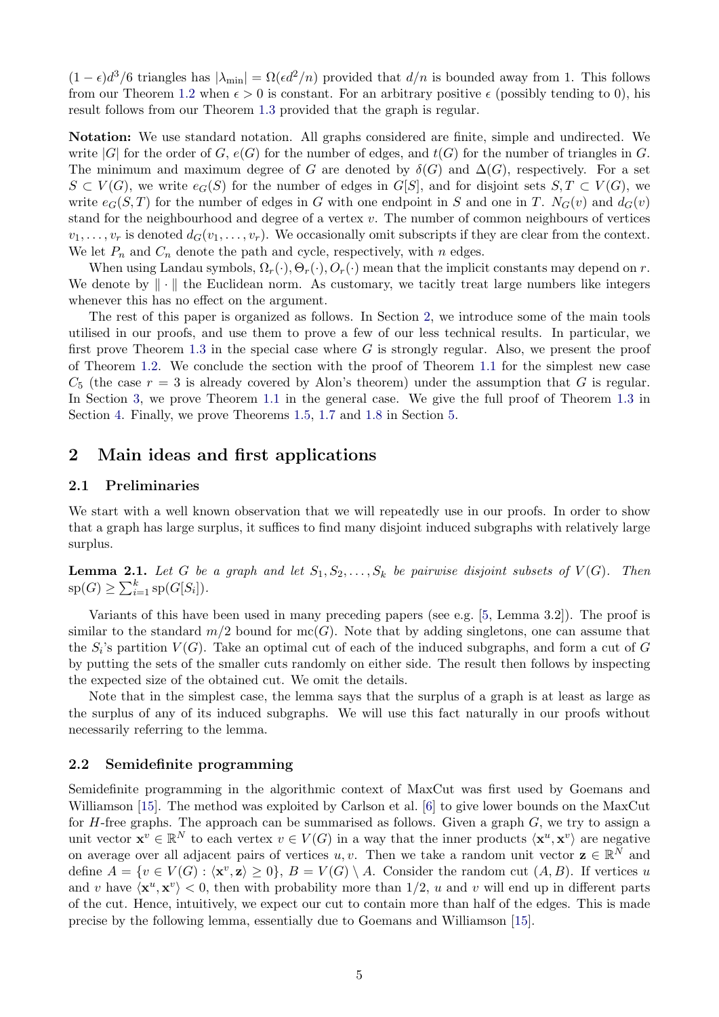$(1 - \epsilon) d^3/6$  triangles has  $|\lambda_{\min}| = \Omega(\epsilon d^2/n)$  provided that  $d/n$  is bounded away from 1. This follows from our Theorem [1.2](#page-2-1) when  $\epsilon > 0$  is constant. For an arbitrary positive  $\epsilon$  (possibly tending to 0), his result follows from our Theorem [1.3](#page-2-0) provided that the graph is regular.

Notation: We use standard notation. All graphs considered are finite, simple and undirected. We write |G| for the order of G,  $e(G)$  for the number of edges, and  $t(G)$  for the number of triangles in G. The minimum and maximum degree of G are denoted by  $\delta(G)$  and  $\Delta(G)$ , respectively. For a set  $S \subset V(G)$ , we write  $e_G(S)$  for the number of edges in  $G[S]$ , and for disjoint sets  $S, T \subset V(G)$ , we write  $e_G(S,T)$  for the number of edges in G with one endpoint in S and one in T.  $N_G(v)$  and  $d_G(v)$ stand for the neighbourhood and degree of a vertex  $v$ . The number of common neighbours of vertices  $v_1, \ldots, v_r$  is denoted  $d_G(v_1, \ldots, v_r)$ . We occasionally omit subscripts if they are clear from the context. We let  $P_n$  and  $C_n$  denote the path and cycle, respectively, with n edges.

When using Landau symbols,  $\Omega_r(\cdot), \Theta_r(\cdot), O_r(\cdot)$  mean that the implicit constants may depend on r. We denote by  $\|\cdot\|$  the Euclidean norm. As customary, we tacitly treat large numbers like integers whenever this has no effect on the argument.

The rest of this paper is organized as follows. In Section [2,](#page-4-0) we introduce some of the main tools utilised in our proofs, and use them to prove a few of our less technical results. In particular, we first prove Theorem [1.3](#page-2-0) in the special case where  $G$  is strongly regular. Also, we present the proof of Theorem [1.2.](#page-2-1) We conclude the section with the proof of Theorem [1.1](#page-2-2) for the simplest new case  $C_5$  (the case  $r = 3$  is already covered by Alon's theorem) under the assumption that G is regular. In Section [3,](#page-13-0) we prove Theorem [1.1](#page-2-2) in the general case. We give the full proof of Theorem [1.3](#page-2-0) in Section [4.](#page-20-0) Finally, we prove Theorems [1.5,](#page-3-3) [1.7](#page-3-5) and [1.8](#page-3-4) in Section [5.](#page-24-0)

### <span id="page-4-0"></span>2 Main ideas and first applications

#### 2.1 Preliminaries

We start with a well known observation that we will repeatedly use in our proofs. In order to show that a graph has large surplus, it suffices to find many disjoint induced subgraphs with relatively large surplus.

<span id="page-4-1"></span>**Lemma 2.1.** Let G be a graph and let  $S_1, S_2, \ldots, S_k$  be pairwise disjoint subsets of  $V(G)$ . Then  $sp(G) \geq \sum_{i=1}^{k} sp(G[S_i]).$ 

Variants of this have been used in many preceding papers (see e.g. [\[5,](#page-27-2) Lemma 3.2]). The proof is similar to the standard  $m/2$  bound for mc(G). Note that by adding singletons, one can assume that the  $S_i$ 's partition  $V(G)$ . Take an optimal cut of each of the induced subgraphs, and form a cut of G by putting the sets of the smaller cuts randomly on either side. The result then follows by inspecting the expected size of the obtained cut. We omit the details.

Note that in the simplest case, the lemma says that the surplus of a graph is at least as large as the surplus of any of its induced subgraphs. We will use this fact naturally in our proofs without necessarily referring to the lemma.

#### <span id="page-4-2"></span>2.2 Semidefinite programming

Semidefinite programming in the algorithmic context of MaxCut was first used by Goemans and Williamson [\[15\]](#page-28-17). The method was exploited by Carlson et al. [\[6\]](#page-28-4) to give lower bounds on the MaxCut for  $H$ -free graphs. The approach can be summarised as follows. Given a graph  $G$ , we try to assign a unit vector  $\mathbf{x}^v \in \mathbb{R}^N$  to each vertex  $v \in V(G)$  in a way that the inner products  $\langle \mathbf{x}^u, \mathbf{x}^v \rangle$  are negative on average over all adjacent pairs of vertices  $u, v$ . Then we take a random unit vector  $\mathbf{z} \in \mathbb{R}^N$  and define  $A = \{v \in V(G) : \langle x^v, z \rangle \geq 0\}, B = V(G) \setminus A$ . Consider the random cut  $(A, B)$ . If vertices u and v have  $\langle x^u, x^v \rangle < 0$ , then with probability more than 1/2, u and v will end up in different parts of the cut. Hence, intuitively, we expect our cut to contain more than half of the edges. This is made precise by the following lemma, essentially due to Goemans and Williamson [\[15\]](#page-28-17).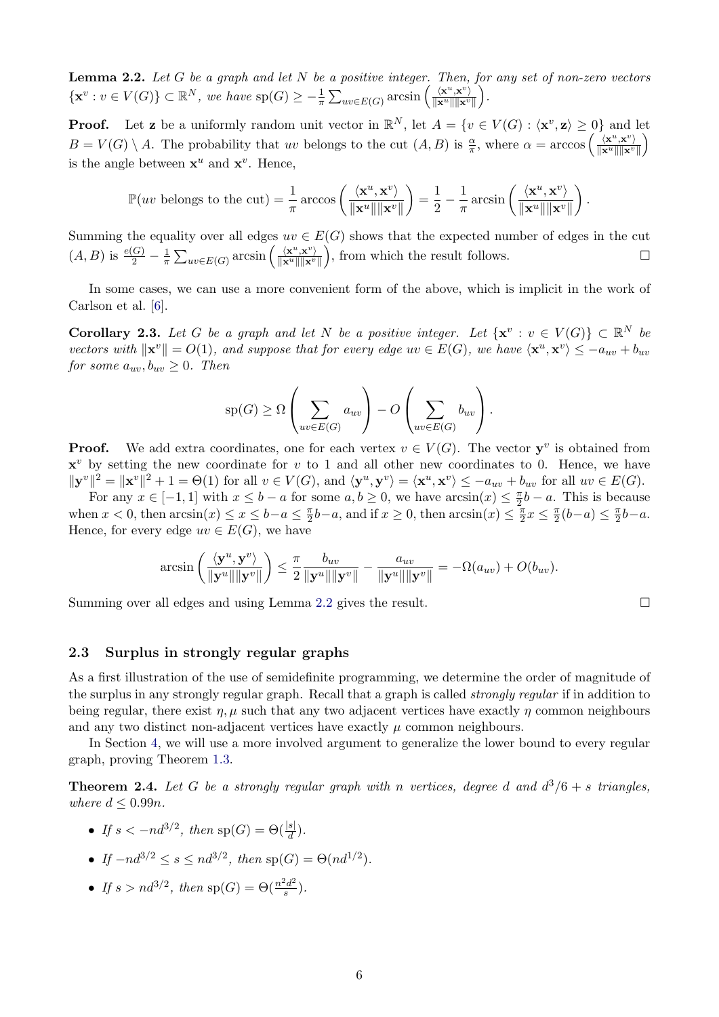<span id="page-5-1"></span>**Lemma 2.2.** Let G be a graph and let N be a positive integer. Then, for any set of non-zero vectors  $\{\mathbf x^v : v \in V(G)\} \subset \mathbb{R}^N$ , we have  $sp(G) \geq -\frac{1}{\pi} \sum_{uv \in E(G)} \arcsin \left( \frac{\langle \mathbf x^u, \mathbf x^v \rangle}{\|\mathbf x^u\|\|\mathbf x^v\|}\right)$  $\frac{\langle \mathbf{x}^u, \mathbf{x}^v \rangle}{\|\mathbf{x}^u\| \|\mathbf{x}^v\|}$ 

**Proof.** Let **z** be a uniformly random unit vector in  $\mathbb{R}^N$ , let  $A = \{v \in V(G) : \langle \mathbf{x}^v, \mathbf{z} \rangle \geq 0\}$  and let  $B = V(G) \setminus A$ . The probability that uv belongs to the cut  $(A, B)$  is  $\frac{\alpha}{\pi}$ , where  $\alpha = \arccos\left(\frac{\langle \mathbf{x}^u, \mathbf{x}^v \rangle}{\|\mathbf{x}^u\|\|\mathbf{x}^v\|}\right)$  $\frac{\langle \mathbf{x}^u, \mathbf{x}^v \rangle}{\|\mathbf{x}^u\| \|\mathbf{x}^v\|}$ is the angle between  $\mathbf{x}^u$  and  $\mathbf{x}^v$ . Hence,

$$
\mathbb{P}(uv \text{ belongs to the cut}) = \frac{1}{\pi} \arccos\left(\frac{\langle \mathbf{x}^u, \mathbf{x}^v \rangle}{\|\mathbf{x}^u\| \|\mathbf{x}^v\|}\right) = \frac{1}{2} - \frac{1}{\pi} \arcsin\left(\frac{\langle \mathbf{x}^u, \mathbf{x}^v \rangle}{\|\mathbf{x}^u\| \|\mathbf{x}^v\|}\right).
$$

Summing the equality over all edges  $uv \in E(G)$  shows that the expected number of edges in the cut  $(A, B)$  is  $\frac{e(G)}{2} - \frac{1}{\pi}$  $\frac{1}{\pi} \sum_{uv \in E(G)} \arcsin \left( \frac{\langle \mathbf{x}^u, \mathbf{x}^v \rangle}{\|\mathbf{x}^u\|\|\mathbf{x}^v\|}\right)$  $\frac{\langle \mathbf{x}^u, \mathbf{x}^v \rangle}{\|\mathbf{x}^u\| \|\mathbf{x}^v\|}$ , from which the result follows.

In some cases, we can use a more convenient form of the above, which is implicit in the work of Carlson et al. [\[6\]](#page-28-4).

<span id="page-5-2"></span>**Corollary 2.3.** Let G be a graph and let N be a positive integer. Let  $\{x^v : v \in V(G)\} \subset \mathbb{R}^N$  be vectors with  $\|\mathbf{x}^v\| = O(1)$ , and suppose that for every edge  $uv \in E(G)$ , we have  $\langle \mathbf{x}^u, \mathbf{x}^v \rangle \le -a_{uv} + b_{uv}$ for some  $a_{uv}, b_{uv} \geq 0$ . Then

$$
sp(G) \ge \Omega \left( \sum_{uv \in E(G)} a_{uv} \right) - O \left( \sum_{uv \in E(G)} b_{uv} \right).
$$

**Proof.** We add extra coordinates, one for each vertex  $v \in V(G)$ . The vector  $y^v$  is obtained from  $x^v$  by setting the new coordinate for v to 1 and all other new coordinates to 0. Hence, we have  $\|\mathbf{y}^{v}\|^2 = \|\mathbf{x}^{v}\|^2 + 1 = \Theta(1)$  for all  $v \in V(G)$ , and  $\langle \mathbf{y}^u, \mathbf{y}^v \rangle = \langle \mathbf{x}^u, \mathbf{x}^v \rangle \le -a_{uv} + b_{uv}$  for all  $uv \in E(G)$ .

For any  $x \in [-1,1]$  with  $x \leq b - a$  for some  $a, b \geq 0$ , we have  $arcsin(x) \leq \frac{\pi}{2}$  $\frac{\pi}{2}b - a$ . This is because when  $x < 0$ , then  $arcsin(x) \leq x \leq b-a \leq \frac{\pi}{2}$  $\frac{\pi}{2}b-a$ , and if  $x \geq 0$ , then  $\arcsin(x) \leq \frac{\pi}{2}$  $\frac{\pi}{2}x \leq \frac{\pi}{2}$  $\frac{\pi}{2}(b-a) \leq \frac{\pi}{2}$  $\frac{\pi}{2}b-a.$ Hence, for every edge  $uv \in E(G)$ , we have

$$
\arcsin\left(\frac{\langle \mathbf{y}^u, \mathbf{y}^v \rangle}{\|\mathbf{y}^u\| \|\mathbf{y}^v\|}\right) \leq \frac{\pi}{2} \frac{b_{uv}}{\|\mathbf{y}^u\| \|\mathbf{y}^v\|} - \frac{a_{uv}}{\|\mathbf{y}^u\| \|\mathbf{y}^v\|} = -\Omega(a_{uv}) + O(b_{uv}).
$$

Summing over all edges and using Lemma [2.2](#page-5-1) gives the result.

#### 2.3 Surplus in strongly regular graphs

As a first illustration of the use of semidefinite programming, we determine the order of magnitude of the surplus in any strongly regular graph. Recall that a graph is called strongly regular if in addition to being regular, there exist  $\eta$ ,  $\mu$  such that any two adjacent vertices have exactly  $\eta$  common neighbours and any two distinct non-adjacent vertices have exactly  $\mu$  common neighbours.

In Section [4,](#page-20-0) we will use a more involved argument to generalize the lower bound to every regular graph, proving Theorem [1.3.](#page-2-0)

<span id="page-5-0"></span>**Theorem 2.4.** Let G be a strongly regular graph with n vertices, degree d and  $d^3/6 + s$  triangles, where  $d \leq 0.99n$ .

- If  $s < -nd^{3/2}$ , then  $sp(G) = \Theta(\frac{|s|}{d})$ .
- If  $-nd^{3/2} \le s \le nd^{3/2}$ , then  $sp(G) = \Theta(nd^{1/2})$ .
- If  $s > nd^{3/2}$ , then  $sp(G) = \Theta(\frac{n^2d^2}{s})$  $\frac{d^2}{s}$ ).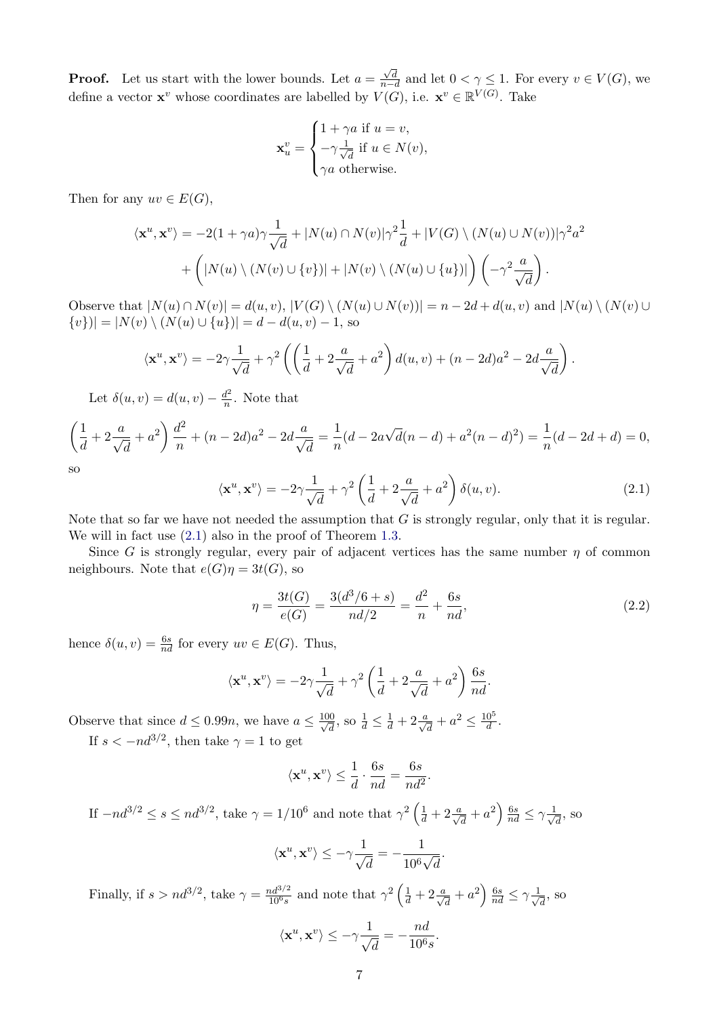**Proof.** Let us start with the lower bounds. Let  $a =$  $\frac{\sqrt{d}}{n-d}$  and let  $0 < \gamma \leq 1$ . For every  $v \in V(G)$ , we define a vector  $\mathbf{x}^v$  whose coordinates are labelled by  $V(G)$ , i.e.  $\mathbf{x}^v \in \mathbb{R}^{V(G)}$ . Take

$$
\mathbf{x}_{u}^{v} = \begin{cases} 1 + \gamma a & \text{if } u = v, \\ -\gamma \frac{1}{\sqrt{d}} & \text{if } u \in N(v), \\ \gamma a & \text{otherwise.} \end{cases}
$$

Then for any  $uv \in E(G)$ ,

$$
\langle \mathbf{x}^u, \mathbf{x}^v \rangle = -2(1 + \gamma a)\gamma \frac{1}{\sqrt{d}} + |N(u) \cap N(v)|\gamma^2 \frac{1}{d} + |V(G) \setminus (N(u) \cup N(v))|\gamma^2 a^2
$$

$$
+ \left( |N(u) \setminus (N(v) \cup \{v\})| + |N(v) \setminus (N(u) \cup \{u\})| \right) \left( -\gamma^2 \frac{a}{\sqrt{d}} \right).
$$

Observe that  $|N(u) \cap N(v)| = d(u, v), |V(G) \setminus (N(u) \cup N(v))| = n - 2d + d(u, v)$  and  $|N(u) \setminus (N(v) \cup N(v))| = n - 2d + d(u, v)$  $\{v\}) = |N(v) \setminus (N(u) \cup \{u\})| = d - d(u, v) - 1$ , so

$$
\langle \mathbf{x}^u, \mathbf{x}^v \rangle = -2\gamma \frac{1}{\sqrt{d}} + \gamma^2 \left( \left( \frac{1}{d} + 2\frac{a}{\sqrt{d}} + a^2 \right) d(u, v) + (n - 2d)a^2 - 2d\frac{a}{\sqrt{d}} \right).
$$

Let  $\delta(u, v) = d(u, v) - \frac{d^2}{n}$  $\frac{d^2}{n}$ . Note that

$$
\left(\frac{1}{d} + 2\frac{a}{\sqrt{d}} + a^2\right)\frac{d^2}{n} + (n - 2d)a^2 - 2d\frac{a}{\sqrt{d}} = \frac{1}{n}(d - 2a\sqrt{d}(n - d) + a^2(n - d)^2) = \frac{1}{n}(d - 2d + d) = 0,
$$
so

<span id="page-6-0"></span>
$$
\langle \mathbf{x}^u, \mathbf{x}^v \rangle = -2\gamma \frac{1}{\sqrt{d}} + \gamma^2 \left( \frac{1}{d} + 2\frac{a}{\sqrt{d}} + a^2 \right) \delta(u, v). \tag{2.1}
$$

Note that so far we have not needed the assumption that  $G$  is strongly regular, only that it is regular. We will in fact use [\(2.1\)](#page-6-0) also in the proof of Theorem [1.3.](#page-2-0)

Since G is strongly regular, every pair of adjacent vertices has the same number  $\eta$  of common neighbours. Note that  $e(G)\eta = 3t(G)$ , so

<span id="page-6-1"></span>
$$
\eta = \frac{3t(G)}{e(G)} = \frac{3(d^3/6 + s)}{nd/2} = \frac{d^2}{n} + \frac{6s}{nd},\tag{2.2}
$$

hence  $\delta(u, v) = \frac{6s}{nd}$  for every  $uv \in E(G)$ . Thus,

$$
\langle \mathbf{x}^u, \mathbf{x}^v \rangle = -2\gamma \frac{1}{\sqrt{d}} + \gamma^2 \left( \frac{1}{d} + 2\frac{a}{\sqrt{d}} + a^2 \right) \frac{6s}{nd}.
$$

Observe that since  $d \le 0.99n$ , we have  $a \le \frac{100}{\sqrt{d}}$ , so  $\frac{1}{d} \le \frac{1}{d} + 2\frac{a}{\sqrt{d}} + a^2 \le \frac{10^5}{d}$  $\frac{0}{d}$ .

If  $s < -nd^{3/2}$ , then take  $\gamma = 1$  to get

$$
\langle \mathbf{x}^u, \mathbf{x}^v \rangle \le \frac{1}{d} \cdot \frac{6s}{nd} = \frac{6s}{nd^2}.
$$

If  $-nd^{3/2} \le s \le nd^{3/2}$ , take  $\gamma = 1/10^6$  and note that  $\gamma^2 \left(\frac{1}{d} + 2\frac{a}{\sqrt{d}} + a^2\right) \frac{6s}{nd} \le \gamma \frac{1}{\sqrt{d}}$  $\overline{\overline{d}}$ , so

$$
\langle \mathbf{x}^u, \mathbf{x}^v \rangle \le -\gamma \frac{1}{\sqrt{d}} = -\frac{1}{10^6 \sqrt{d}}.
$$

Finally, if  $s > nd^{3/2}$ , take  $\gamma = \frac{nd^{3/2}}{106 \epsilon}$  $\frac{ad^{3/2}}{10^6s}$  and note that  $\gamma^2 \left(\frac{1}{d} + 2\frac{a}{\sqrt{d}} + a^2\right) \frac{6s}{nd} \leq \gamma \frac{1}{\sqrt{d}}$  $\overline{\overline{d}}$ , so

$$
\langle \mathbf{x}^u, \mathbf{x}^v \rangle \le -\gamma \frac{1}{\sqrt{d}} = -\frac{nd}{10^6 s}.
$$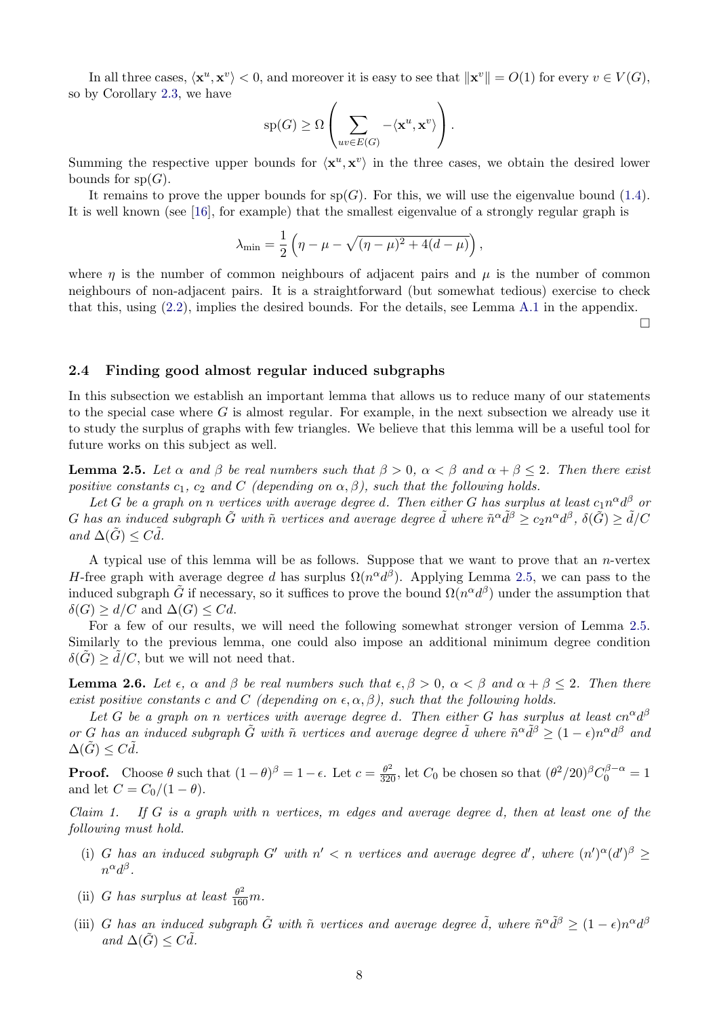In all three cases,  $\langle \mathbf{x}^u, \mathbf{x}^v \rangle < 0$ , and moreover it is easy to see that  $\|\mathbf{x}^v\| = O(1)$  for every  $v \in V(G)$ , so by Corollary [2.3,](#page-5-2) we have

$$
\mathrm{sp}(G) \geq \Omega \left( \sum_{uv \in E(G)} -\langle \mathbf{x}^u, \mathbf{x}^v \rangle \right).
$$

Summing the respective upper bounds for  $\langle x^u, x^v \rangle$  in the three cases, we obtain the desired lower bounds for  $sp(G)$ .

It remains to prove the upper bounds for  $sp(G)$ . For this, we will use the eigenvalue bound [\(1.4\)](#page-1-0). It is well known (see [\[16\]](#page-28-12), for example) that the smallest eigenvalue of a strongly regular graph is

$$
\lambda_{\min} = \frac{1}{2} \left( \eta - \mu - \sqrt{(\eta - \mu)^2 + 4(d - \mu)} \right),
$$

where  $\eta$  is the number of common neighbours of adjacent pairs and  $\mu$  is the number of common neighbours of non-adjacent pairs. It is a straightforward (but somewhat tedious) exercise to check that this, using [\(2.2\)](#page-6-1), implies the desired bounds. For the details, see Lemma [A.1](#page-28-18) in the appendix.

 $\Box$ 

### 2.4 Finding good almost regular induced subgraphs

In this subsection we establish an important lemma that allows us to reduce many of our statements to the special case where  $G$  is almost regular. For example, in the next subsection we already use it to study the surplus of graphs with few triangles. We believe that this lemma will be a useful tool for future works on this subject as well.

<span id="page-7-0"></span>**Lemma 2.5.** Let  $\alpha$  and  $\beta$  be real numbers such that  $\beta > 0$ ,  $\alpha < \beta$  and  $\alpha + \beta < 2$ . Then there exist positive constants  $c_1$ ,  $c_2$  and C (depending on  $\alpha, \beta$ ), such that the following holds.

Let G be a graph on n vertices with average degree d. Then either G has surplus at least  $c_1n^{\alpha}d^{\beta}$  or G has an induced subgraph  $\tilde{G}$  with  $\tilde{n}$  vertices and average degree  $\tilde{d}$  where  $\tilde{n}^\alpha\tilde{d}^\beta\geq c_2n^\alpha d^\beta$ ,  $\delta(\tilde{G})\geq \tilde{d}/C$ and  $\Delta(\tilde{G}) \leq C d$ .

A typical use of this lemma will be as follows. Suppose that we want to prove that an  $n$ -vertex H-free graph with average degree d has surplus  $\Omega(n^{\alpha}d^{\beta})$ . Applying Lemma [2.5,](#page-7-0) we can pass to the induced subgraph  $\tilde{G}$  if necessary, so it suffices to prove the bound  $\Omega(n^{\alpha}d^{\beta})$  under the assumption that  $\delta(G) \geq d/C$  and  $\Delta(G) \leq Cd$ .

For a few of our results, we will need the following somewhat stronger version of Lemma [2.5.](#page-7-0) Similarly to the previous lemma, one could also impose an additional minimum degree condition  $\delta(\tilde{G}) \geq d/C$ , but we will not need that.

<span id="page-7-1"></span>**Lemma 2.6.** Let  $\epsilon$ ,  $\alpha$  and  $\beta$  be real numbers such that  $\epsilon, \beta > 0$ ,  $\alpha < \beta$  and  $\alpha + \beta \leq 2$ . Then there exist positive constants c and C (depending on  $\epsilon, \alpha, \beta$ ), such that the following holds.

Let G be a graph on n vertices with average degree d. Then either G has surplus at least  $cn^{\alpha}d^{\beta}$ or G has an induced subgraph  $\tilde{G}$  with  $\tilde{n}$  vertices and average degree  $\tilde{d}$  where  $\tilde{n}^{\alpha}\tilde{d}^{\beta} \geq (1-\epsilon)n^{\alpha}d^{\beta}$  and  $\Delta(\tilde{G}) \leq C d$ .

**Proof.** Choose  $\theta$  such that  $(1-\theta)^{\beta} = 1-\epsilon$ . Let  $c = \frac{\theta^2}{320}$ , let  $C_0$  be chosen so that  $(\theta^2/20)^{\beta}C_0^{\beta-\alpha} = 1$ and let  $C = C_0/(1 - \theta)$ .

Claim 1. If G is a graph with n vertices, m edges and average degree d, then at least one of the following must hold.

- (i) G has an induced subgraph G' with  $n' < n$  vertices and average degree d', where  $(n')^{\alpha}(d')^{\beta} \ge$  $n^{\alpha}d^{\beta}$ .
- (ii) G has surplus at least  $\frac{\theta^2}{160}m$ .
- (iii) G has an induced subgraph  $\tilde{G}$  with  $\tilde{n}$  vertices and average degree  $\tilde{d}$ , where  $\tilde{n}^{\alpha}\tilde{d}^{\beta} \geq (1-\epsilon)n^{\alpha}d^{\beta}$ and  $\Delta(\tilde{G}) \leq C d$ .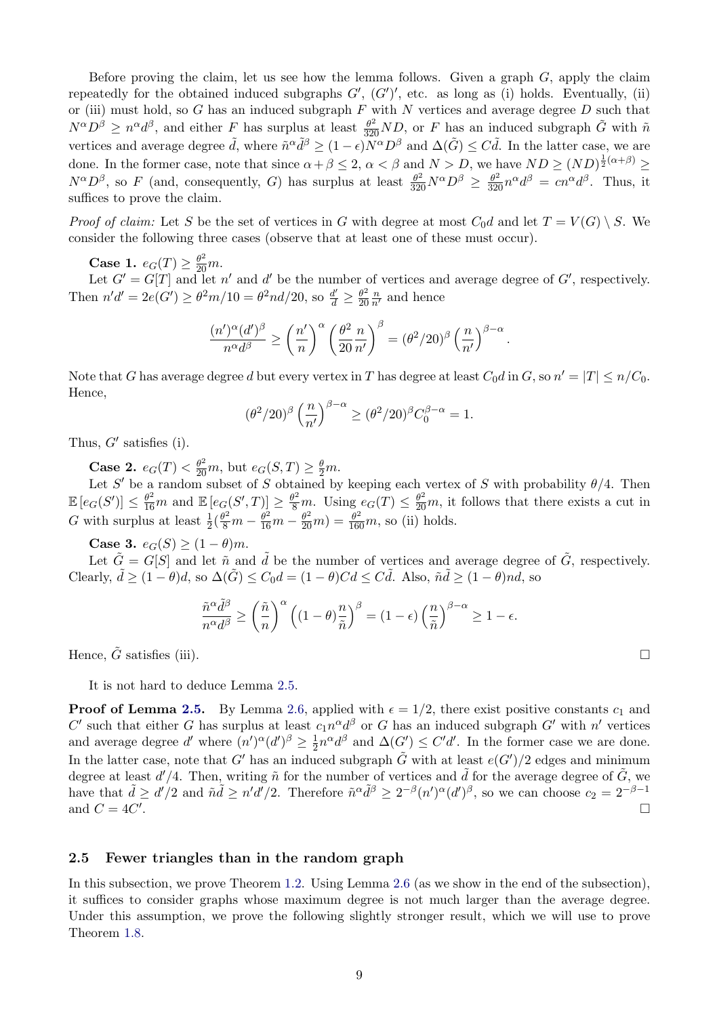Before proving the claim, let us see how the lemma follows. Given a graph  $G$ , apply the claim repeatedly for the obtained induced subgraphs  $G'$ ,  $(G')'$ , etc. as long as (i) holds. Eventually, (ii) or (iii) must hold, so G has an induced subgraph  $F$  with  $N$  vertices and average degree  $D$  such that  $N^{\alpha}D^{\beta} \geq n^{\alpha}d^{\beta}$ , and either F has surplus at least  $\frac{\theta^2}{320}ND$ , or F has an induced subgraph  $\tilde{G}$  with  $\tilde{n}$ vertices and average degree  $\tilde{d}$ , where  $\tilde{n}^{\alpha}\tilde{d}^{\beta} \geq (1-\epsilon)\tilde{N}^{\alpha}D^{\beta}$  and  $\Delta(\tilde{G}) \leq C\tilde{d}$ . In the latter case, we are done. In the former case, note that since  $\alpha + \beta \leq 2$ ,  $\alpha < \beta$  and  $N > D$ , we have  $ND \geq (ND)^{\frac{1}{2}(\alpha+\beta)} \geq$  $N^{\alpha}D^{\beta}$ , so F (and, consequently, G) has surplus at least  $\frac{\theta^2}{320}N^{\alpha}D^{\beta} \ge \frac{\theta^2}{320}n^{\alpha}d^{\beta} = cn^{\alpha}d^{\beta}$ . Thus, it suffices to prove the claim.

*Proof of claim:* Let S be the set of vertices in G with degree at most  $C_0d$  and let  $T = V(G) \setminus S$ . We consider the following three cases (observe that at least one of these must occur).

**Case 1.**  $e_G(T) \ge \frac{\theta^2}{20}m$ .

Let  $G' = G[T]$  and let n' and d' be the number of vertices and average degree of  $G'$ , respectively. Then  $n'd' = 2e(G') \ge \frac{\theta^2 m}{10} = \frac{\theta^2 nd}{20}$ , so  $\frac{d'}{d} \ge \frac{\theta^2}{20}$ 20  $\frac{n}{n'}$  and hence

$$
\frac{(n')^{\alpha}(d')^{\beta}}{n^{\alpha}d^{\beta}} \ge \left(\frac{n'}{n}\right)^{\alpha} \left(\frac{\theta^2}{20} \frac{n}{n'}\right)^{\beta} = (\theta^2/20)^{\beta} \left(\frac{n}{n'}\right)^{\beta-\alpha}.
$$

Note that G has average degree d but every vertex in T has degree at least  $C_0d$  in G, so  $n' = |T| \le n/C_0$ . Hence,

$$
(\theta^2/20)^{\beta} \left(\frac{n}{n'}\right)^{\beta-\alpha} \ge (\theta^2/20)^{\beta} C_0^{\beta-\alpha} = 1.
$$

Thus,  $G'$  satisfies (i).

**Case 2.**  $e_G(T) < \frac{\theta^2}{20}m$ , but  $e_G(S,T) \ge \frac{\theta}{2}m$ .

Let S' be a random subset of S obtained by keeping each vertex of S with probability  $\theta/4$ . Then  $\mathbb{E}\left[e_G(S')\right] \leq \frac{\theta^2}{16}m$  and  $\mathbb{E}\left[e_G(S',T)\right] \geq \frac{\theta^2}{8}m$ . Using  $e_G(T) \leq \frac{\theta^2}{20}m$ , it follows that there exists a cut in G with surplus at least  $\frac{1}{2}(\frac{\theta^2}{8}m - \frac{\theta^2}{16}m - \frac{\theta^2}{20}m) = \frac{\theta^2}{160}m$ , so (ii) holds.

Case 3.  $e_G(S) \geq (1 - \theta)m$ .

Let  $\tilde{G} = G[S]$  and let  $\tilde{n}$  and  $\tilde{d}$  be the number of vertices and average degree of  $\tilde{G}$ , respectively. Clearly,  $\tilde{d} \geq (1 - \theta)d$ , so  $\Delta(\tilde{G}) \leq C_0d = (1 - \theta)Cd \leq C\tilde{d}$ . Also,  $\tilde{n}\tilde{d} \geq (1 - \theta)nd$ , so

$$
\frac{\tilde{n}^{\alpha}\tilde{d}^{\beta}}{n^{\alpha}d^{\beta}} \ge \left(\frac{\tilde{n}}{n}\right)^{\alpha} \left((1-\theta)\frac{n}{\tilde{n}}\right)^{\beta} = (1-\epsilon)\left(\frac{n}{\tilde{n}}\right)^{\beta-\alpha} \ge 1-\epsilon.
$$

Hence,  $\tilde{G}$  satisfies (iii).

It is not hard to deduce Lemma [2.5.](#page-7-0)

**Proof of Lemma [2.5.](#page-7-0)** By Lemma [2.6,](#page-7-1) applied with  $\epsilon = 1/2$ , there exist positive constants  $c_1$  and C' such that either G has surplus at least  $c_1 n^{\alpha} d^{\beta}$  or G has an induced subgraph G' with n' vertices and average degree d' where  $(n')^{\alpha} (d')^{\beta} \geq \frac{1}{2}$  $\frac{1}{2}n^{\alpha}d^{\beta}$  and  $\Delta(G') \leq C'd'$ . In the former case we are done. In the latter case, note that G' has an induced subgraph  $\tilde{G}$  with at least  $e(G')/2$  edges and minimum degree at least  $d'/4$ . Then, writing  $\tilde{n}$  for the number of vertices and  $\tilde{d}$  for the average degree of  $\tilde{G}$ , we have that  $\tilde{d} \geq d'/2$  and  $\tilde{n}\tilde{d} \geq n'd'/2$ . Therefore  $\tilde{n}^{\alpha}\tilde{d}^{\beta} \geq 2^{-\beta}(n')^{\alpha}(d')^{\beta}$ , so we can choose  $c_2 = 2^{-\beta-1}$ and  $C = 4C'$ . In the contract of the contract of the contract of the contract of the contract of the contract of the contra<br>The contract of the contract of the contract of the contract of the contract of the contract of the contract o

#### 2.5 Fewer triangles than in the random graph

In this subsection, we prove Theorem [1.2.](#page-2-1) Using Lemma [2.6](#page-7-1) (as we show in the end of the subsection), it suffices to consider graphs whose maximum degree is not much larger than the average degree. Under this assumption, we prove the following slightly stronger result, which we will use to prove Theorem [1.8.](#page-3-4)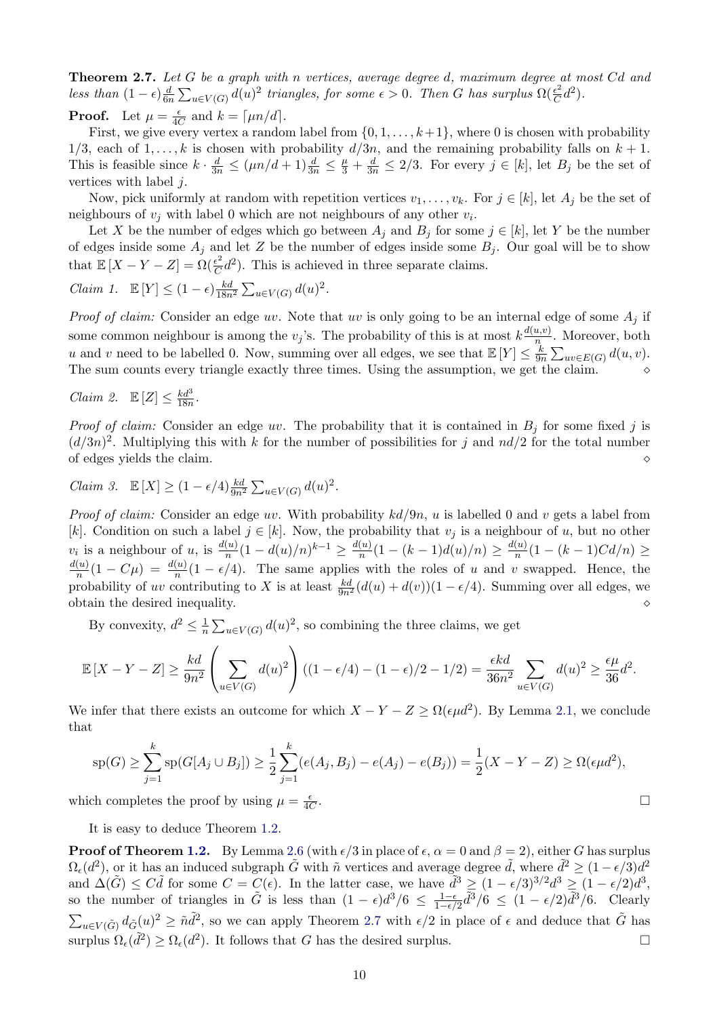<span id="page-9-0"></span>**Theorem 2.7.** Let G be a graph with n vertices, average degree d, maximum degree at most Cd and less than  $(1 - \epsilon) \frac{d}{6\pi}$  $\frac{d}{6n} \sum_{u \in V(G)} d(u)^2$  triangles, for some  $\epsilon > 0$ . Then G has surplus  $\Omega(\frac{\epsilon^2}{C})$  $\frac{\epsilon^2}{C}d^2$ ).

**Proof.** Let  $\mu = \frac{\epsilon}{4\ell}$  $\frac{\epsilon}{4C}$  and  $k = \lceil \mu n/d \rceil$ .

First, we give every vertex a random label from  $\{0, 1, \ldots, k+1\}$ , where 0 is chosen with probability 1/3, each of 1, ..., k is chosen with probability  $d/3n$ , and the remaining probability falls on  $k + 1$ . This is feasible since  $k \cdot \frac{d}{3n} \leq (\mu n/d + 1) \frac{d}{3n} \leq \frac{\mu}{3} + \frac{d}{3n} \leq 2/3$ . For every  $j \in [k]$ , let  $B_j$  be the set of vertices with label j.

Now, pick uniformly at random with repetition vertices  $v_1, \ldots, v_k$ . For  $j \in [k]$ , let  $A_j$  be the set of neighbours of  $v_j$  with label 0 which are not neighbours of any other  $v_i$ .

Let X be the number of edges which go between  $A_j$  and  $B_j$  for some  $j \in [k]$ , let Y be the number of edges inside some  $A_j$  and let Z be the number of edges inside some  $B_j$ . Our goal will be to show that  $\mathbb{E}[X-Y-Z] = \Omega(\frac{\epsilon^2}{C})$  $\frac{\epsilon^2}{C}d^2$ ). This is achieved in three separate claims.

Claim 1. 
$$
\mathbb{E}[Y] \le (1 - \epsilon) \frac{kd}{18n^2} \sum_{u \in V(G)} d(u)^2
$$
.

*Proof of claim:* Consider an edge uv. Note that uv is only going to be an internal edge of some  $A_i$  if some common neighbour is among the  $v_j$ 's. The probability of this is at most  $k \frac{d(u,v)}{n}$  $\frac{u,v}{n}$ . Moreover, both u and v need to be labelled 0. Now, summing over all edges, we see that  $\mathbb{E}[Y] \leq \frac{k}{9}$  $\frac{k}{9n} \sum_{uv \in E(G)} d(u, v).$ The sum counts every triangle exactly three times. Using the assumption, we get the claim.

$$
Claim \ 2. \quad \mathbb{E}\left[Z\right] \le \frac{kd^3}{18n}.
$$

*Proof of claim:* Consider an edge uv. The probability that it is contained in  $B_j$  for some fixed j is  $(d/3n)^2$ . Multiplying this with k for the number of possibilities for j and  $nd/2$  for the total number of edges yields the claim.  $\Diamond$ 

$$
Claim 3. \quad \mathbb{E}[X] \ge (1 - \epsilon/4) \frac{kd}{9n^2} \sum_{u \in V(G)} d(u)^2.
$$

*Proof of claim:* Consider an edge uv. With probability  $kd/9n$ , u is labelled 0 and v gets a label from [k]. Condition on such a label  $j \in [k]$ . Now, the probability that  $v_j$  is a neighbour of u, but no other  $v_i$  is a neighbour of u, is  $\frac{d(u)}{n}(1-d(u)/n)^{k-1} \ge \frac{d(u)}{n}$  $\frac{u}{n}(1-(k-1)d(u)/n) \geq \frac{d(u)}{n}$  $\frac{u}{n}(1-(k-1)Cd/n) \ge$  $d(u)$  $\frac{du}{n}(1-C\mu) = \frac{d(u)}{n}(1-\epsilon/4)$ . The same applies with the roles of u and v swapped. Hence, the probability of uv contributing to X is at least  $\frac{kd}{9n^2}(d(u)+d(v))(1-\epsilon/4)$ . Summing over all edges, we % obtain the desired inequality.  $\qquad \qquad \diamond$ 

By convexity,  $d^2 \leq \frac{1}{n}$  $\frac{1}{n} \sum_{u \in V(G)} d(u)^2$ , so combining the three claims, we get

$$
\mathbb{E}\left[X - Y - Z\right] \ge \frac{kd}{9n^2} \left(\sum_{u \in V(G)} d(u)^2\right) \left((1 - \epsilon/4) - (1 - \epsilon)/2 - 1/2\right) = \frac{\epsilon kd}{36n^2} \sum_{u \in V(G)} d(u)^2 \ge \frac{\epsilon \mu}{36} d^2.
$$

We infer that there exists an outcome for which  $X - Y - Z \ge \Omega(\epsilon \mu d^2)$ . By Lemma [2.1,](#page-4-1) we conclude that

$$
\operatorname{sp}(G) \ge \sum_{j=1}^{k} \operatorname{sp}(G[A_j \cup B_j]) \ge \frac{1}{2} \sum_{j=1}^{k} (e(A_j, B_j) - e(A_j) - e(B_j)) = \frac{1}{2}(X - Y - Z) \ge \Omega(\epsilon \mu d^2),
$$
  
ch completes the proof by using  $\mu = \frac{\epsilon}{4C}$ .

which completes the proof by using  $\mu = \frac{\epsilon}{4}$  $\overline{4C}$ 

It is easy to deduce Theorem [1.2.](#page-2-1)

**Proof of Theorem [1.2.](#page-2-1)** By Lemma [2.6](#page-7-1) (with  $\epsilon/3$  in place of  $\epsilon, \alpha = 0$  and  $\beta = 2$ ), either G has surplus  $\Omega_{\epsilon}(d^2)$ , or it has an induced subgraph  $\tilde{G}$  with  $\tilde{n}$  vertices and average degree  $\tilde{d}$ , where  $\tilde{d}^2 \geq (1 - \epsilon/3)d^2$ and  $\Delta(\tilde{G}) \leq C \tilde{d}$  for some  $C = C(\epsilon)$ . In the latter case, we have  $\tilde{d}^3 \geq (1 - \epsilon/3)^{3/2} d^3 \geq (1 - \epsilon/2) d^3$ , so the number of triangles in  $\tilde{G}$  is less than  $(1 - \epsilon)d^3/6 \leq \frac{1 - \epsilon}{1 - \epsilon}$  $\frac{1-\epsilon}{1-\epsilon/2}\tilde{d}^3/6 \leq (1-\epsilon/2)\tilde{d}^3/6.$  Clearly  $\sum_{u\in V(\tilde{G})}d_{\tilde{G}}(u)^2\geq \tilde{n}\tilde{d}^2$ , so we can apply Theorem [2.7](#page-9-0) with  $\epsilon/2$  in place of  $\epsilon$  and deduce that  $\tilde{G}$  has surplus  $\Omega_{\epsilon}(\tilde{d}^2) \geq \Omega_{\epsilon}(d^2)$ . It follows that G has the desired surplus.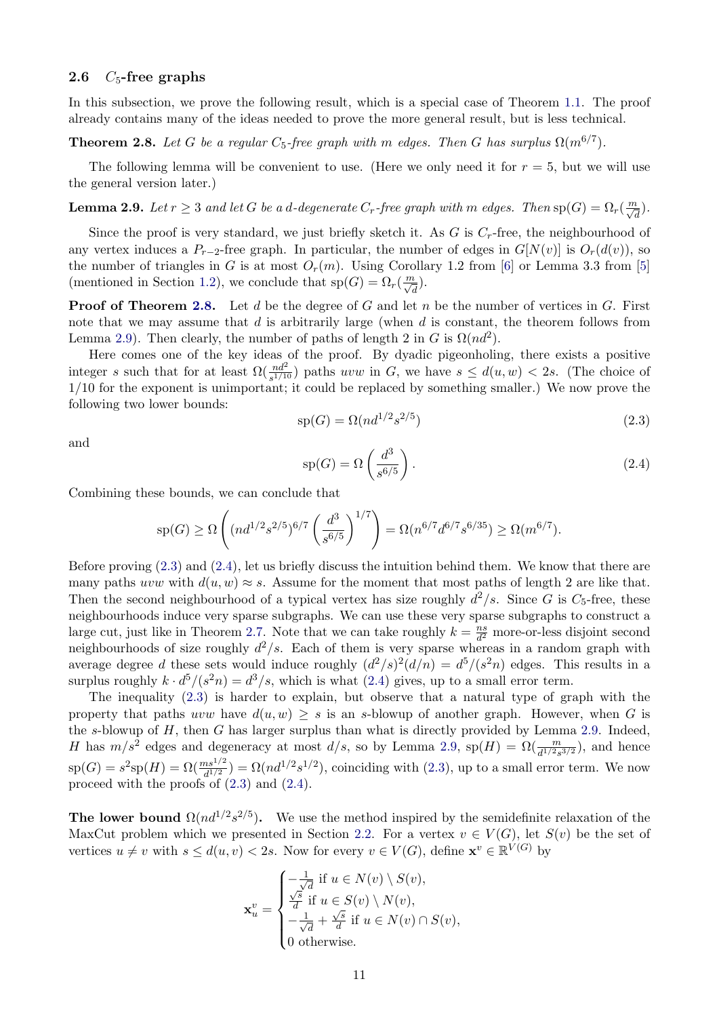#### <span id="page-10-4"></span>2.6  $C_5$ -free graphs

In this subsection, we prove the following result, which is a special case of Theorem [1.1.](#page-2-2) The proof already contains many of the ideas needed to prove the more general result, but is less technical.

<span id="page-10-0"></span>**Theorem 2.8.** Let G be a regular  $C_5$ -free graph with m edges. Then G has surplus  $\Omega(m^{6/7})$ .

The following lemma will be convenient to use. (Here we only need it for  $r = 5$ , but we will use the general version later.)

<span id="page-10-1"></span>**Lemma 2.9.** Let  $r \geq 3$  and let G be a d-degenerate  $C_r$ -free graph with m edges. Then  $sp(G) = \Omega_r(\frac{m}{\sqrt{d}})$ .

Since the proof is very standard, we just briefly sketch it. As  $G$  is  $C_r$ -free, the neighbourhood of any vertex induces a  $P_{r-2}$ -free graph. In particular, the number of edges in  $G[N(v)]$  is  $O_r(d(v))$ , so the number of triangles in G is at most  $O_r(m)$ . Using Corollary 1.2 from [\[6\]](#page-28-4) or Lemma 3.3 from [\[5\]](#page-27-2) (mentioned in Section [1.2\)](#page-2-3), we conclude that  $sp(G) = \Omega_r(\frac{m}{\sqrt{d}})$ .

**Proof of Theorem [2.8.](#page-10-0)** Let  $d$  be the degree of  $G$  and let  $n$  be the number of vertices in  $G$ . First note that we may assume that  $d$  is arbitrarily large (when  $d$  is constant, the theorem follows from Lemma [2.9\)](#page-10-1). Then clearly, the number of paths of length 2 in G is  $\Omega(nd^2)$ .

Here comes one of the key ideas of the proof. By dyadic pigeonholing, there exists a positive integer s such that for at least  $\Omega(\frac{nd^2}{s^{1/10}})$  paths uvw in G, we have  $s \leq d(u, w) < 2s$ . (The choice of 1/10 for the exponent is unimportant; it could be replaced by something smaller.) We now prove the following two lower bounds:

<span id="page-10-2"></span>
$$
sp(G) = \Omega(nd^{1/2}s^{2/5})
$$
\n(2.3)

and

<span id="page-10-3"></span>
$$
\text{sp}(G) = \Omega\left(\frac{d^3}{s^{6/5}}\right). \tag{2.4}
$$

Combining these bounds, we can conclude that

$$
\mathrm{sp}(G) \ge \Omega\left( (nd^{1/2} s^{2/5})^{6/7} \left( \frac{d^3}{s^{6/5}} \right)^{1/7} \right) = \Omega(n^{6/7} d^{6/7} s^{6/35}) \ge \Omega(m^{6/7}).
$$

Before proving [\(2.3\)](#page-10-2) and [\(2.4\)](#page-10-3), let us briefly discuss the intuition behind them. We know that there are many paths uvw with  $d(u, w) \approx s$ . Assume for the moment that most paths of length 2 are like that. Then the second neighbourhood of a typical vertex has size roughly  $d^2/s$ . Since G is C<sub>5</sub>-free, these neighbourhoods induce very sparse subgraphs. We can use these very sparse subgraphs to construct a large cut, just like in Theorem [2.7.](#page-9-0) Note that we can take roughly  $k = \frac{ns}{d^2}$  $\frac{ns}{d^2}$  more-or-less disjoint second neighbourhoods of size roughly  $d^2/s$ . Each of them is very sparse whereas in a random graph with average degree d these sets would induce roughly  $(d^2/s)^2(d/n) = d^5/(s^2n)$  edges. This results in a surplus roughly  $k \cdot d^5/(s^2 n) = d^3/s$ , which is what [\(2.4\)](#page-10-3) gives, up to a small error term.

The inequality [\(2.3\)](#page-10-2) is harder to explain, but observe that a natural type of graph with the property that paths uvw have  $d(u, w) \geq s$  is an s-blowup of another graph. However, when G is the s-blowup of  $H$ , then  $G$  has larger surplus than what is directly provided by Lemma [2.9.](#page-10-1) Indeed, H has  $m/s^2$  edges and degeneracy at most  $d/s$ , so by Lemma [2.9,](#page-10-1) sp $(H) = \Omega(\frac{m}{d^{1/2}s^{3/2}})$ , and hence  $\text{sp}(G) = s^2 \text{sp}(H) = \Omega(\frac{ms^{1/2}}{d^{1/2}}) = \Omega(nd^{1/2}s^{1/2}),$  coinciding with [\(2.3\)](#page-10-2), up to a small error term. We now proceed with the proofs of [\(2.3\)](#page-10-2) and [\(2.4\)](#page-10-3).

**The lower bound**  $\Omega(nd^{1/2}s^{2/5})$ . We use the method inspired by the semidefinite relaxation of the MaxCut problem which we presented in Section [2.2.](#page-4-2) For a vertex  $v \in V(G)$ , let  $S(v)$  be the set of vertices  $u \neq v$  with  $s \leq d(u, v) < 2s$ . Now for every  $v \in V(G)$ , define  $\mathbf{x}^v \in \mathbb{R}^{V(G)}$  by

$$
\mathbf{x}_{u}^{v} = \begin{cases}\n-\frac{1}{\sqrt{d}} \text{ if } u \in N(v) \setminus S(v), \\
\frac{\sqrt{s}}{d} \text{ if } u \in S(v) \setminus N(v), \\
-\frac{1}{\sqrt{d}} + \frac{\sqrt{s}}{d} \text{ if } u \in N(v) \cap S(v), \\
0 \text{ otherwise.} \n\end{cases}
$$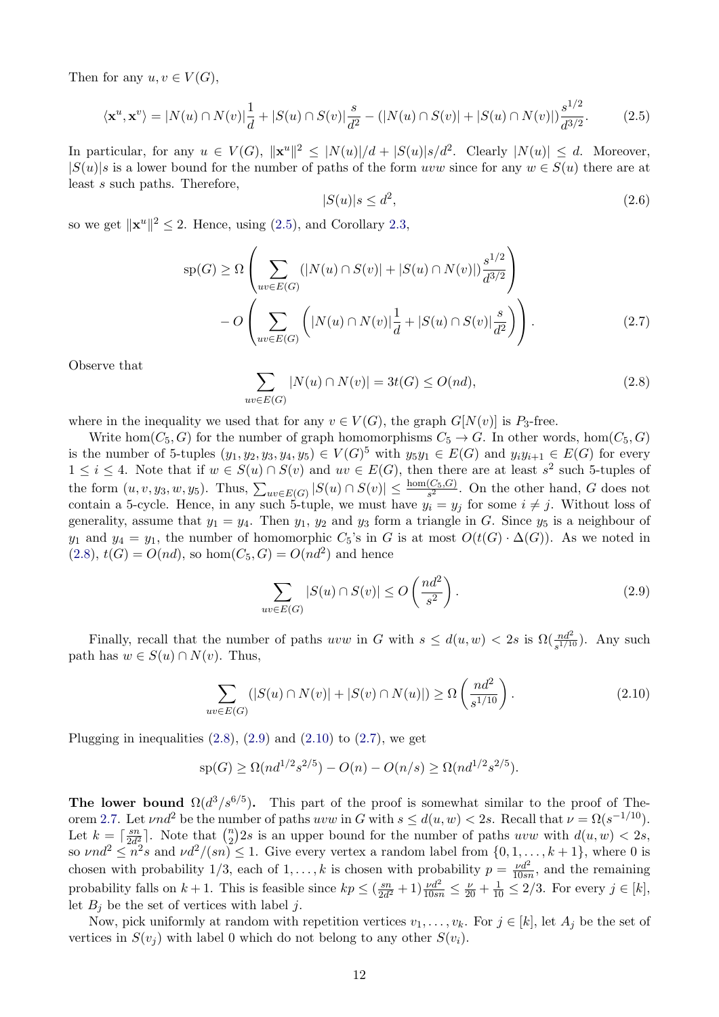Then for any  $u, v \in V(G)$ ,

$$
\langle \mathbf{x}^u, \mathbf{x}^v \rangle = |N(u) \cap N(v)| \frac{1}{d} + |S(u) \cap S(v)| \frac{s}{d^2} - (|N(u) \cap S(v)| + |S(u) \cap N(v)|) \frac{s^{1/2}}{d^{3/2}}.
$$
 (2.5)

In particular, for any  $u \in V(G)$ ,  $\|\mathbf{x}^{u}\|^2 \leq |N(u)|/d + |S(u)|s/d^2$ . Clearly  $|N(u)| \leq d$ . Moreover,  $|S(u)|s$  is a lower bound for the number of paths of the form uvw since for any  $w \in S(u)$  there are at least s such paths. Therefore,

<span id="page-11-5"></span><span id="page-11-4"></span><span id="page-11-0"></span>
$$
|S(u)|s \le d^2,\tag{2.6}
$$

so we get  $\|\mathbf{x}^u\|^2 \leq 2$ . Hence, using [\(2.5\)](#page-11-0), and Corollary [2.3,](#page-5-2)

$$
sp(G) \ge \Omega \left( \sum_{uv \in E(G)} (|N(u) \cap S(v)| + |S(u) \cap N(v)|) \frac{s^{1/2}}{d^{3/2}} \right) - O \left( \sum_{uv \in E(G)} (|N(u) \cap N(v)| \frac{1}{d} + |S(u) \cap S(v)| \frac{s}{d^2} \right) \right).
$$
 (2.7)

Observe that

<span id="page-11-1"></span>
$$
\sum_{uv \in E(G)} |N(u) \cap N(v)| = 3t(G) \le O(nd),\tag{2.8}
$$

where in the inequality we used that for any  $v \in V(G)$ , the graph  $G[N(v)]$  is  $P_3$ -free.

Write hom $(C_5, G)$  for the number of graph homomorphisms  $C_5 \rightarrow G$ . In other words, hom $(C_5, G)$ is the number of 5-tuples  $(y_1, y_2, y_3, y_4, y_5) \in V(G)^5$  with  $y_5y_1 \in E(G)$  and  $y_iy_{i+1} \in E(G)$  for every  $1 \leq i \leq 4$ . Note that if  $w \in S(u) \cap S(v)$  and  $uv \in E(G)$ , then there are at least  $s^2$  such 5-tuples of the form  $(u, v, y_3, w, y_5)$ . Thus,  $\sum_{uv \in E(G)} |S(u) \cap S(v)| \leq \frac{\hom(C_5, G)}{s^2}$ . On the other hand, G does not contain a 5-cycle. Hence, in any such 5-tuple, we must have  $y_i = y_j$  for some  $i \neq j$ . Without loss of generality, assume that  $y_1 = y_4$ . Then  $y_1$ ,  $y_2$  and  $y_3$  form a triangle in G. Since  $y_5$  is a neighbour of y<sub>1</sub> and y<sub>4</sub> = y<sub>1</sub>, the number of homomorphic  $C_5$ 's in G is at most  $O(t(G) \cdot \Delta(G))$ . As we noted in  $(2.8), t(G) = O(nd),$  $(2.8), t(G) = O(nd),$  so hom $(C_5, G) = O(nd^2)$  and hence

<span id="page-11-2"></span>
$$
\sum_{uv \in E(G)} |S(u) \cap S(v)| \le O\left(\frac{nd^2}{s^2}\right). \tag{2.9}
$$

Finally, recall that the number of paths uvw in G with  $s \leq d(u, w) < 2s$  is  $\Omega(\frac{nd^2}{s^{1/10}})$ . Any such path has  $w \in S(u) \cap N(v)$ . Thus,

<span id="page-11-3"></span>
$$
\sum_{uv \in E(G)} (|S(u) \cap N(v)| + |S(v) \cap N(u)|) \ge \Omega\left(\frac{nd^2}{s^{1/10}}\right). \tag{2.10}
$$

Plugging in inequalities  $(2.8)$ ,  $(2.9)$  and  $(2.10)$  to  $(2.7)$ , we get

$$
\text{sp}(G) \ge \Omega(nd^{1/2}s^{2/5}) - O(n) - O(n/s) \ge \Omega(nd^{1/2}s^{2/5}).
$$

The lower bound  $\Omega(d^3/s^{6/5})$ . This part of the proof is somewhat similar to the proof of The-orem [2.7.](#page-9-0) Let  $\nu nd^2$  be the number of paths  $uvw$  in G with  $s \leq d(u, w) < 2s$ . Recall that  $\nu = \Omega(s^{-1/10})$ . Let  $k = \lceil \frac{sn}{2d^2} \rceil$  $\left(\frac{sn}{2d_0^2}\right)$ . Note that  $\binom{n}{2}$  $\binom{n}{2}$ 2s is an upper bound for the number of paths uvw with  $d(u, w) < 2s$ , so  $\nu nd^2 \n\leq n^2$  and  $\nu d^2/(sn) \leq 1$ . Give every vertex a random label from  $\{0, 1, \ldots, k+1\}$ , where 0 is chosen with probability 1/3, each of  $1, \ldots, k$  is chosen with probability  $p = \frac{\nu d^2}{10s}$  $\frac{\nu d^2}{10sn}$ , and the remaining probability falls on  $k + 1$ . This is feasible since  $kp \leq \left(\frac{sn}{2d}\right)$  $\frac{sn}{2d^2} + 1$ )  $\frac{\nu d^2}{10sn} \leq \frac{\nu}{20} + \frac{1}{10} \leq 2/3$ . For every  $j \in [k]$ , let  $B_j$  be the set of vertices with label j.

Now, pick uniformly at random with repetition vertices  $v_1, \ldots, v_k$ . For  $j \in [k]$ , let  $A_j$  be the set of vertices in  $S(v_i)$  with label 0 which do not belong to any other  $S(v_i)$ .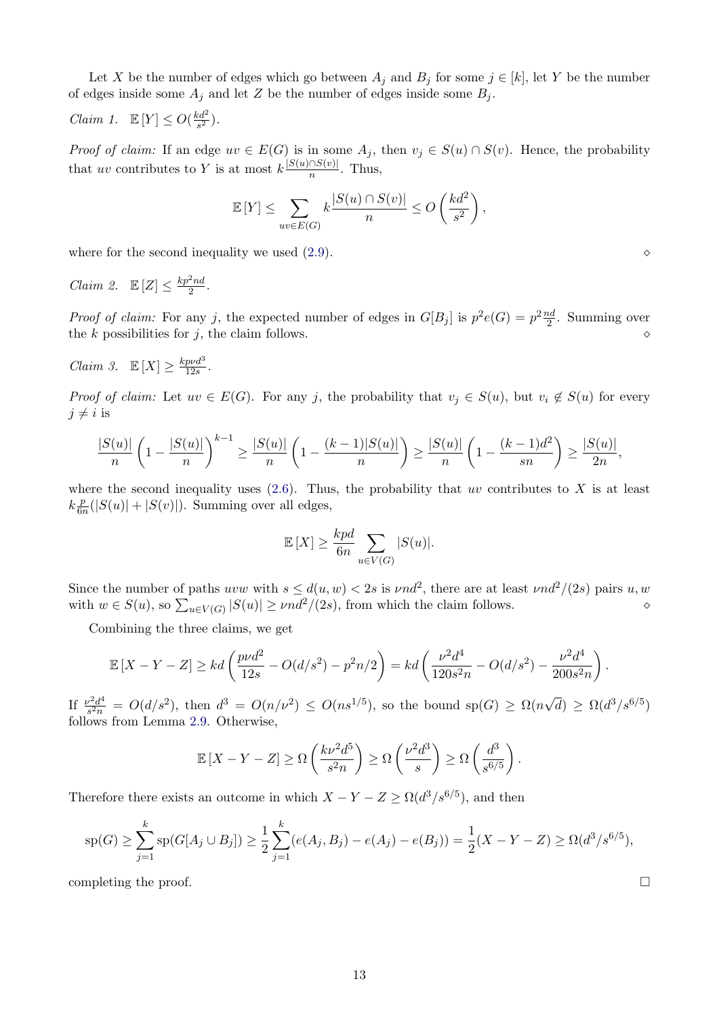Let X be the number of edges which go between  $A_j$  and  $B_j$  for some  $j \in [k]$ , let Y be the number of edges inside some  $A_j$  and let Z be the number of edges inside some  $B_j$ .

*Claim 1.*  $\mathbb{E}[Y] \leq O(\frac{kd^2}{s^2})$  $rac{cd^2}{s^2}$ .

*Proof of claim:* If an edge  $uv \in E(G)$  is in some  $A_j$ , then  $v_j \in S(u) \cap S(v)$ . Hence, the probability that uv contributes to Y is at most  $k \frac{|S(u) \cap S(v)|}{n}$  $\frac{n}{n}$ . Thus,

$$
\mathbb{E}\left[Y\right] \leq \sum_{uv \in E(G)} k \frac{|S(u) \cap S(v)|}{n} \leq O\left(\frac{kd^2}{s^2}\right),
$$

where for the second inequality we used  $(2.9)$ .

*Claim 2.*  $\mathbb{E}[Z] \leq \frac{kp^2nd}{2}$  $rac{\tau n a}{2}$ .

*Proof of claim:* For any j, the expected number of edges in  $G[B_j]$  is  $p^2e(G) = p^2\frac{nd}{2}$ . Summing over the  $k$  possibilities for  $j$ , the claim follows.

*Claim 3.*  $\mathbb{E}[X] \geq \frac{k p \nu d^3}{12s}$  $\frac{p\nu a^{\circ}}{12s}$ .

*Proof of claim:* Let  $uv \in E(G)$ . For any j, the probability that  $v_i \in S(u)$ , but  $v_i \notin S(u)$  for every  $j \neq i$  is

$$
\frac{|S(u)|}{n}\left(1-\frac{|S(u)|}{n}\right)^{k-1}\ge\frac{|S(u)|}{n}\left(1-\frac{(k-1)|S(u)|}{n}\right)\ge\frac{|S(u)|}{n}\left(1-\frac{(k-1)d^2}{sn}\right)\ge\frac{|S(u)|}{2n},
$$

where the second inequality uses  $(2.6)$ . Thus, the probability that uv contributes to X is at least  $k\frac{p}{6r}$  $\frac{p}{6n}(|S(u)| + |S(v)|)$ . Summing over all edges,

$$
\mathbb{E}[X] \ge \frac{kpd}{6n} \sum_{u \in V(G)} |S(u)|.
$$

Since the number of paths uvw with  $s \leq d(u, w) < 2s$  is  $\nu nd^2$ , there are at least  $\nu nd^2/(2s)$  pairs u, w with  $w \in S(u)$ , so  $\sum_{u \in V(G)} |S(u)| \ge \nu nd^2/(2s)$ , from which the claim follows.

Combining the three claims, we get

$$
\mathbb{E}\left[X - Y - Z\right] \geq kd \left(\frac{p\nu d^2}{12s} - O(d/s^2) - p^2n/2\right) = kd \left(\frac{\nu^2 d^4}{120s^2n} - O(d/s^2) - \frac{\nu^2 d^4}{200s^2n}\right).
$$

If  $\frac{\nu^2 d^4}{a^2 n}$  $S^2 \frac{d^4}{s^2 n} = O(d/s^2)$ , then  $d^3 = O(n/\nu^2) \leq O(ns^{1/5})$ , so the bound sp $(G) \geq \Omega(n)$ √  $\overline{d}) \geq \Omega(d^3/s^{6/5})$ follows from Lemma [2.9.](#page-10-1) Otherwise,

$$
\mathbb{E}\left[X - Y - Z\right] \ge \Omega\left(\frac{k\nu^2 d^5}{s^2 n}\right) \ge \Omega\left(\frac{\nu^2 d^3}{s}\right) \ge \Omega\left(\frac{d^3}{s^{6/5}}\right).
$$

Therefore there exists an outcome in which  $X - Y - Z \ge \Omega(d^3/s^{6/5})$ , and then

$$
\mathrm{sp}(G) \ge \sum_{j=1}^k \mathrm{sp}(G[A_j \cup B_j]) \ge \frac{1}{2} \sum_{j=1}^k (e(A_j, B_j) - e(A_j) - e(B_j)) = \frac{1}{2}(X - Y - Z) \ge \Omega(d^3/s^{6/5}),
$$

completing the proof.  $\Box$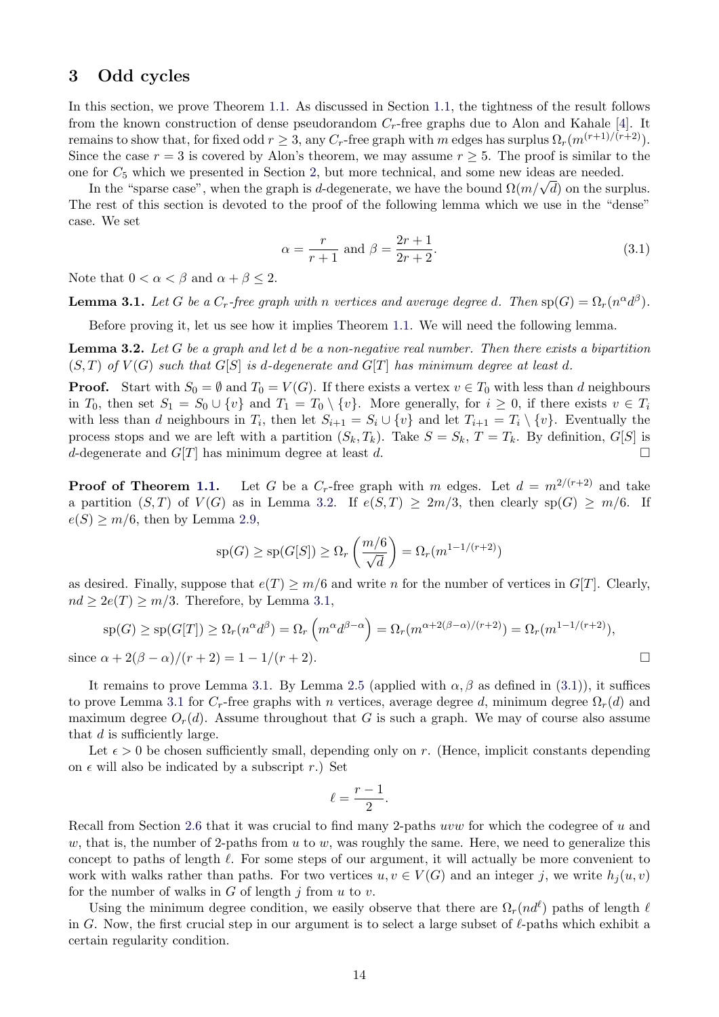# <span id="page-13-0"></span>3 Odd cycles

In this section, we prove Theorem [1.1.](#page-2-2) As discussed in Section [1.1,](#page-1-3) the tightness of the result follows from the known construction of dense pseudorandom  $C_r$ -free graphs due to Alon and Kahale [\[4\]](#page-27-4). It remains to show that, for fixed odd  $r \geq 3$ , any  $C_r$ -free graph with m edges has surplus  $\Omega_r(m^{(r+1)/(r+2)})$ . Since the case  $r = 3$  is covered by Alon's theorem, we may assume  $r \geq 5$ . The proof is similar to the one for C<sup>5</sup> which we presented in Section [2,](#page-4-0) but more technical, and some new ideas are needed.

In the "sparse case", when the graph is d-degenerate, we have the bound  $\Omega(m/\sqrt{d})$  on the surplus. The rest of this section is devoted to the proof of the following lemma which we use in the "dense" case. We set

<span id="page-13-3"></span>
$$
\alpha = \frac{r}{r+1} \text{ and } \beta = \frac{2r+1}{2r+2}.
$$
 (3.1)

Note that  $0 < \alpha < \beta$  and  $\alpha + \beta \leq 2$ .

<span id="page-13-2"></span>**Lemma 3.1.** Let G be a  $C_r$ -free graph with n vertices and average degree d. Then  $sp(G) = \Omega_r(n^{\alpha}d^{\beta})$ .

Before proving it, let us see how it implies Theorem [1.1.](#page-2-2) We will need the following lemma.

<span id="page-13-1"></span>**Lemma 3.2.** Let G be a graph and let d be a non-negative real number. Then there exists a bipartition  $(S, T)$  of  $V(G)$  such that  $G[S]$  is d-degenerate and  $G[T]$  has minimum degree at least d.

**Proof.** Start with  $S_0 = \emptyset$  and  $T_0 = V(G)$ . If there exists a vertex  $v \in T_0$  with less than d neighbours in  $T_0$ , then set  $S_1 = S_0 \cup \{v\}$  and  $T_1 = T_0 \setminus \{v\}$ . More generally, for  $i \geq 0$ , if there exists  $v \in T_i$ with less than d neighbours in  $T_i$ , then let  $S_{i+1} = S_i \cup \{v\}$  and let  $T_{i+1} = T_i \setminus \{v\}$ . Eventually the process stops and we are left with a partition  $(S_k, T_k)$ . Take  $S = S_k$ ,  $T = T_k$ . By definition,  $G[S]$  is d-degenerate and  $G[T]$  has minimum degree at least d.

**Proof of Theorem [1.1.](#page-2-2)** Let G be a  $C_r$ -free graph with m edges. Let  $d = m^{2/(r+2)}$  and take a partition  $(S, T)$  of  $V(G)$  as in Lemma [3.2.](#page-13-1) If  $e(S, T) \geq 2m/3$ , then clearly  $sp(G) \geq m/6$ . If  $e(S) \geq m/6$ , then by Lemma [2.9,](#page-10-1)

$$
sp(G) \ge sp(G[S]) \ge \Omega_r\left(\frac{m/6}{\sqrt{d}}\right) = \Omega_r(m^{1-1/(r+2)})
$$

as desired. Finally, suppose that  $e(T) \geq m/6$  and write n for the number of vertices in  $G[T]$ . Clearly,  $nd \geq 2e(T) \geq m/3$ . Therefore, by Lemma [3.1,](#page-13-2)

$$
sp(G) \ge sp(G[T]) \ge \Omega_r(n^{\alpha}d^{\beta}) = \Omega_r\left(m^{\alpha}d^{\beta-\alpha}\right) = \Omega_r(m^{\alpha+2(\beta-\alpha)/(r+2)}) = \Omega_r(m^{1-1/(r+2)}),
$$
  
since  $\alpha + 2(\beta - \alpha)/(r+2) = 1 - 1/(r+2)$ .

It remains to prove Lemma [3.1.](#page-13-2) By Lemma [2.5](#page-7-0) (applied with  $\alpha, \beta$  as defined in [\(3.1\)](#page-13-3)), it suffices to prove Lemma [3.1](#page-13-2) for  $C_r$ -free graphs with n vertices, average degree d, minimum degree  $\Omega_r(d)$  and maximum degree  $O_r(d)$ . Assume throughout that G is such a graph. We may of course also assume that d is sufficiently large.

Let  $\epsilon > 0$  be chosen sufficiently small, depending only on r. (Hence, implicit constants depending on  $\epsilon$  will also be indicated by a subscript r.) Set

$$
\ell = \frac{r-1}{2}.
$$

Recall from Section [2.6](#page-10-4) that it was crucial to find many 2-paths uvw for which the codegree of u and w, that is, the number of 2-paths from  $u$  to  $w$ , was roughly the same. Here, we need to generalize this concept to paths of length  $\ell$ . For some steps of our argument, it will actually be more convenient to work with walks rather than paths. For two vertices  $u, v \in V(G)$  and an integer j, we write  $h_i(u, v)$ for the number of walks in  $G$  of length  $j$  from  $u$  to  $v$ .

Using the minimum degree condition, we easily observe that there are  $\Omega_r(nd^\ell)$  paths of length  $\ell$ in G. Now, the first crucial step in our argument is to select a large subset of  $\ell$ -paths which exhibit a certain regularity condition.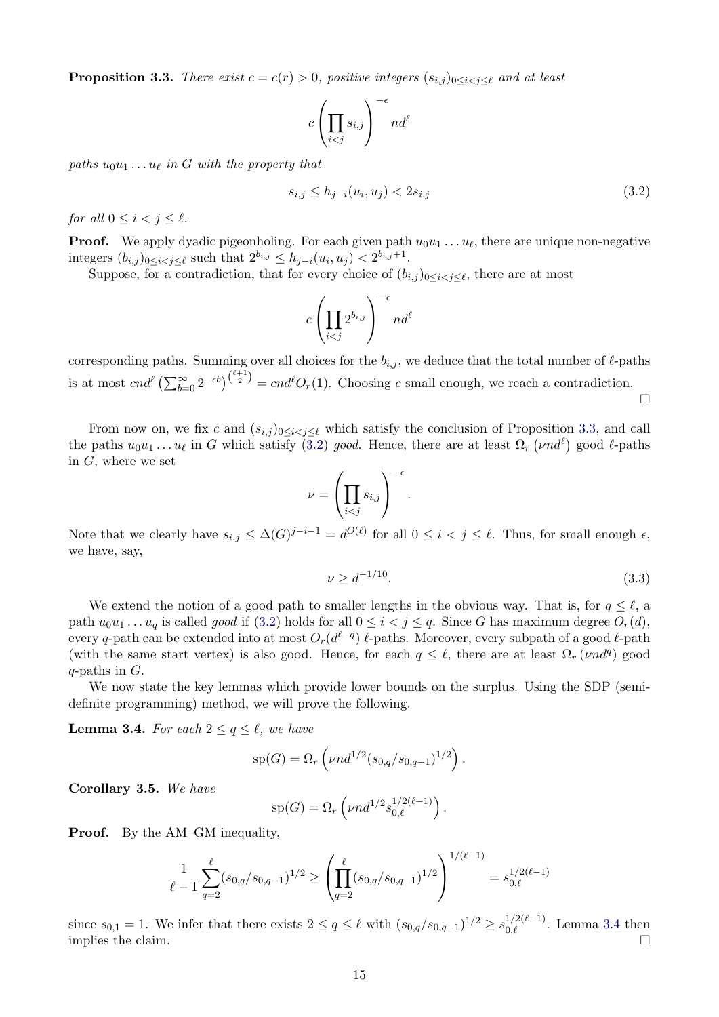<span id="page-14-0"></span>**Proposition 3.3.** There exist  $c = c(r) > 0$ , positive integers  $(s_{i,j})_{0 \le i \le j \le \ell}$  and at least

<span id="page-14-1"></span>
$$
c\left(\prod_{i
$$

paths  $u_0u_1 \ldots u_\ell$  in G with the property that

$$
s_{i,j} \le h_{j-i}(u_i, u_j) < 2s_{i,j} \tag{3.2}
$$

for all  $0 \leq i \leq j \leq \ell$ .

**Proof.** We apply dyadic pigeonholing. For each given path  $u_0u_1 \ldots u_\ell$ , there are unique non-negative integers  $(b_{i,j})_{0 \leq i < j \leq \ell}$  such that  $2^{b_{i,j}} \leq h_{j-i}(u_i, u_j) < 2^{b_{i,j}+1}$ .

Suppose, for a contradiction, that for every choice of  $(b_{i,j})_{0 \leq i < j \leq \ell}$ , there are at most

$$
c\left(\prod_{i
$$

corresponding paths. Summing over all choices for the  $b_{i,j}$ , we deduce that the total number of  $\ell$ -paths is at most  $cnd^{\ell} \left( \sum_{b=0}^{\infty} 2^{-\epsilon b} \right)^{\ell+1} = cnd^{\ell} O_r(1)$ . Choosing c small enough, we reach a contradiction.  $\Box$ 

From now on, we fix c and  $(s_{i,j})_{0 \leq i < j \leq \ell}$  which satisfy the conclusion of Proposition [3.3,](#page-14-0) and call the paths  $u_0u_1 \ldots u_\ell$  in G which satisfy [\(3.2\)](#page-14-1) good. Hence, there are at least  $\Omega_r \left(\nu n d^\ell\right)$  good  $\ell$ -paths in  $G$ , where we set

$$
\nu = \left(\prod_{i < j} s_{i,j}\right)^{-\epsilon}.
$$

Note that we clearly have  $s_{i,j} \leq \Delta(G)^{j-i-1} = d^{O(\ell)}$  for all  $0 \leq i < j \leq \ell$ . Thus, for small enough  $\epsilon$ , we have, say,

<span id="page-14-4"></span>
$$
\nu \ge d^{-1/10}.\tag{3.3}
$$

We extend the notion of a good path to smaller lengths in the obvious way. That is, for  $q \leq \ell$ , a path  $u_0u_1 \ldots u_q$  is called good if [\(3.2\)](#page-14-1) holds for all  $0 \leq i \leq j \leq q$ . Since G has maximum degree  $O_r(d)$ , every q-path can be extended into at most  $O_r(d^{\ell-q})$   $\ell$ -paths. Moreover, every subpath of a good  $\ell$ -path (with the same start vertex) is also good. Hence, for each  $q \leq \ell$ , there are at least  $\Omega_r (\nu n d^q)$  good  $q$ -paths in  $G$ .

We now state the key lemmas which provide lower bounds on the surplus. Using the SDP (semidefinite programming) method, we will prove the following.

<span id="page-14-2"></span>**Lemma 3.4.** For each  $2 \le q \le \ell$ , we have

$$
sp(G) = \Omega_r \left( \nu n d^{1/2} (s_{0,q} / s_{0,q-1})^{1/2} \right).
$$

<span id="page-14-3"></span>Corollary 3.5. We have

$$
\text{sp}(G) = \Omega_r \left( \nu n d^{1/2} s_{0,\ell}^{1/2(\ell-1)} \right).
$$

Proof. By the AM–GM inequality,

$$
\frac{1}{\ell-1} \sum_{q=2}^{\ell} (s_{0,q}/s_{0,q-1})^{1/2} \ge \left( \prod_{q=2}^{\ell} (s_{0,q}/s_{0,q-1})^{1/2} \right)^{1/(\ell-1)} = s_{0,\ell}^{1/2(\ell-1)}
$$

since  $s_{0,1} = 1$ . We infer that there exists  $2 \le q \le \ell$  with  $(s_{0,q}/s_{0,q-1})^{1/2} \ge s_{0,\ell}^{1/2(\ell-1)}$ . Lemma [3.4](#page-14-2) then implies the claim.  $\Box$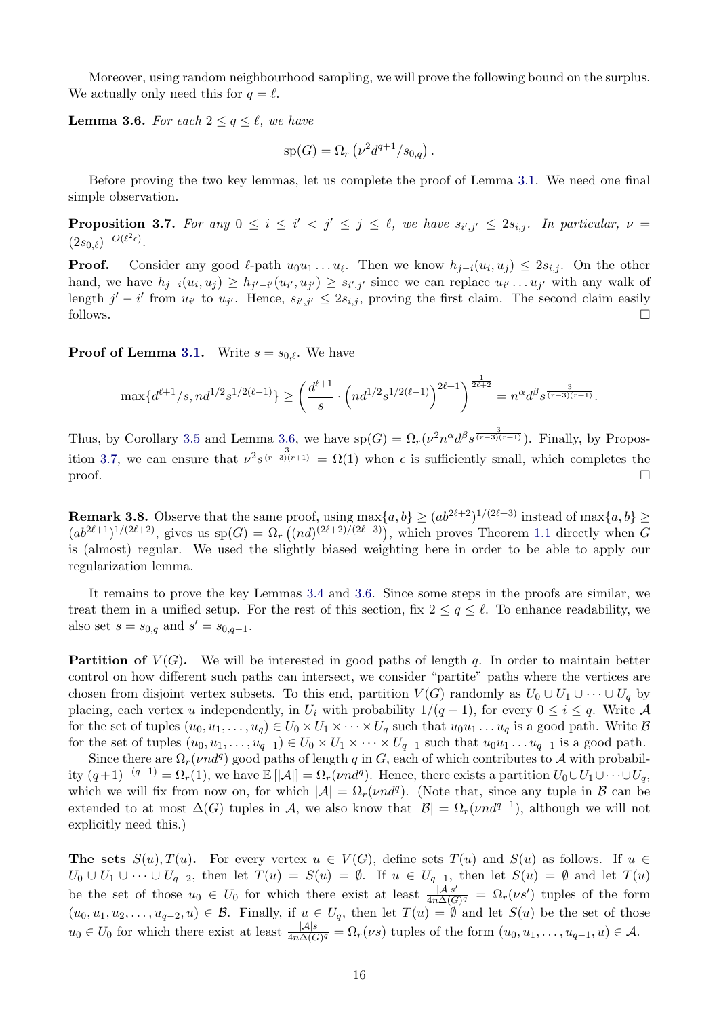Moreover, using random neighbourhood sampling, we will prove the following bound on the surplus. We actually only need this for  $q = \ell$ .

<span id="page-15-0"></span>**Lemma 3.6.** For each  $2 \leq q \leq \ell$ , we have

$$
\text{sp}(G) = \Omega_r \left( \nu^2 d^{q+1} / s_{0,q} \right).
$$

Before proving the two key lemmas, let us complete the proof of Lemma [3.1.](#page-13-2) We need one final simple observation.

<span id="page-15-1"></span>**Proposition 3.7.** For any  $0 \le i \le i' < j' \le j \le \ell$ , we have  $s_{i',j'} \le 2s_{i,j}$ . In particular,  $\nu =$  $(2s_{0,\ell})^{-O(\ell^2\epsilon)}.$ 

**Proof.** Consider any good  $\ell$ -path  $u_0u_1 \ldots u_\ell$ . Then we know  $h_{j-i}(u_i, u_j) \leq 2s_{i,j}$ . On the other hand, we have  $h_{j-i}(u_i, u_j) \ge h_{j'-i'}(u_{i'}, u_{j'}) \ge s_{i',j'}$  since we can replace  $u_{i'} \dots u_{j'}$  with any walk of length  $j'-i'$  from  $u_{i'}$  to  $u_{j'}$ . Hence,  $s_{i',j'} \leq 2s_{i,j}$ , proving the first claim. The second claim easily follows.

**Proof of Lemma [3.1.](#page-13-2)** Write  $s = s_{0,\ell}$ . We have

$$
\max\{d^{\ell+1}/s,nd^{1/2}s^{1/2(\ell-1)}\}\geq \left(\frac{d^{\ell+1}}{s}\cdot \left(nd^{1/2}s^{1/2(\ell-1)}\right)^{2\ell+1}\right)^{\frac{1}{2\ell+2}}=n^{\alpha}d^{\beta}s^{\frac{3}{(r-3)(r+1)}}.
$$

Thus, by Corollary [3.5](#page-14-3) and Lemma [3.6,](#page-15-0) we have  $sp(G) = \Omega_r(\nu^2 n^{\alpha} d^{\beta} s^{\frac{3}{(r-3)(r+1)}})$ . Finally, by Propos-ition [3.7,](#page-15-1) we can ensure that  $\nu^2 s^{\frac{3}{(r-3)(r+1)}} = \Omega(1)$  when  $\epsilon$  is sufficiently small, which completes the  $\Box$ 

**Remark 3.8.** Observe that the same proof, using  $\max\{a, b\} \ge (ab^{2\ell+2})^{1/(2\ell+3)}$  instead of  $\max\{a, b\} \ge$  $(ab^{2\ell+1})^{1/(2\ell+2)}$ , gives us sp $(G) = \Omega_r((nd)^{(2\ell+2)/(2\ell+3)})$ , which proves Theorem [1.1](#page-2-2) directly when G is (almost) regular. We used the slightly biased weighting here in order to be able to apply our regularization lemma.

It remains to prove the key Lemmas [3.4](#page-14-2) and [3.6.](#page-15-0) Since some steps in the proofs are similar, we treat them in a unified setup. For the rest of this section, fix  $2 \le q \le \ell$ . To enhance readability, we also set  $s = s_{0,q}$  and  $s' = s_{0,q-1}$ .

**Partition of**  $V(G)$ . We will be interested in good paths of length q. In order to maintain better control on how different such paths can intersect, we consider "partite" paths where the vertices are chosen from disjoint vertex subsets. To this end, partition  $V(G)$  randomly as  $U_0 \cup U_1 \cup \cdots \cup U_q$  by placing, each vertex u independently, in  $U_i$  with probability  $1/(q+1)$ , for every  $0 \le i \le q$ . Write A for the set of tuples  $(u_0, u_1, \ldots, u_q) \in U_0 \times U_1 \times \cdots \times U_q$  such that  $u_0u_1 \ldots u_q$  is a good path. Write  $\mathcal B$ for the set of tuples  $(u_0, u_1, \ldots, u_{q-1}) \in U_0 \times U_1 \times \cdots \times U_{q-1}$  such that  $u_0u_1 \ldots u_{q-1}$  is a good path.

Since there are  $\Omega_r(\nu nd^q)$  good paths of length q in G, each of which contributes to A with probability  $(q+1)^{-(q+1)} = \Omega_r(1)$ , we have  $\mathbb{E} [|\mathcal{A}|] = \Omega_r(\nu nd^q)$ . Hence, there exists a partition  $U_0 \cup U_1 \cup \cdots \cup U_q$ , which we will fix from now on, for which  $|\mathcal{A}| = \Omega_r(\nu nd^q)$ . (Note that, since any tuple in  $\mathcal B$  can be extended to at most  $\Delta(G)$  tuples in A, we also know that  $|\mathcal{B}| = \Omega_r(\nu nd^{q-1})$ , although we will not explicitly need this.)

The sets  $S(u)$ ,  $T(u)$ . For every vertex  $u \in V(G)$ , define sets  $T(u)$  and  $S(u)$  as follows. If  $u \in V(G)$  $U_0 \cup U_1 \cup \cdots \cup U_{q-2}$ , then let  $T(u) = S(u) = \emptyset$ . If  $u \in U_{q-1}$ , then let  $S(u) = \emptyset$  and let  $T(u)$ be the set of those  $u_0 \in U_0$  for which there exist at least  $\frac{|A|s'}{4n\Delta(G)}$  $\frac{|A|s'}{4n\Delta(G)^q} = \Omega_r(\nu s')$  tuples of the form  $(u_0, u_1, u_2, \ldots, u_{q-2}, u) \in \mathcal{B}$ . Finally, if  $u \in U_q$ , then let  $T(u) = \emptyset$  and let  $S(u)$  be the set of those  $u_0 \in U_0$  for which there exist at least  $\frac{|A|s}{4n\Delta(G)^q} = \Omega_r(\nu s)$  tuples of the form  $(u_0, u_1, \ldots, u_{q-1}, u) \in \mathcal{A}$ .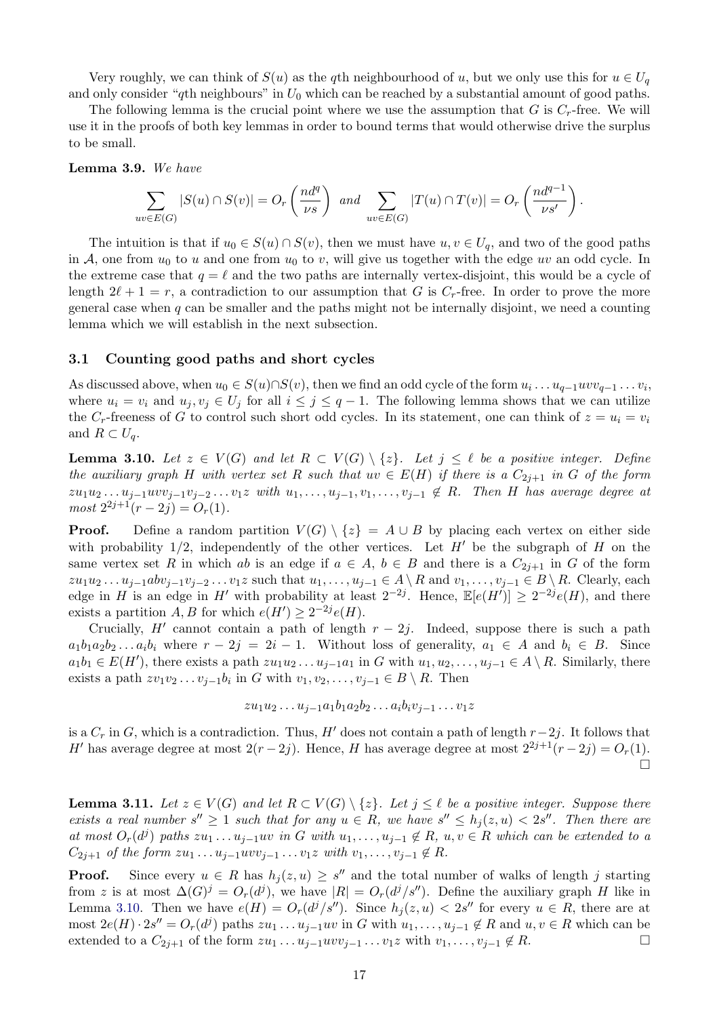Very roughly, we can think of  $S(u)$  as the qth neighbourhood of u, but we only use this for  $u \in U_q$ and only consider "qth neighbours" in  $U_0$  which can be reached by a substantial amount of good paths.

The following lemma is the crucial point where we use the assumption that  $G$  is  $C_r$ -free. We will use it in the proofs of both key lemmas in order to bound terms that would otherwise drive the surplus to be small.

<span id="page-16-2"></span>Lemma 3.9. We have

$$
\sum_{uv \in E(G)} |S(u) \cap S(v)| = O_r\left(\frac{nd^q}{\nu s}\right) \text{ and } \sum_{uv \in E(G)} |T(u) \cap T(v)| = O_r\left(\frac{nd^{q-1}}{\nu s'}\right).
$$

The intuition is that if  $u_0 \in S(u) \cap S(v)$ , then we must have  $u, v \in U_q$ , and two of the good paths in A, one from  $u_0$  to u and one from  $u_0$  to v, will give us together with the edge uv an odd cycle. In the extreme case that  $q = \ell$  and the two paths are internally vertex-disjoint, this would be a cycle of length  $2\ell + 1 = r$ , a contradiction to our assumption that G is  $C_r$ -free. In order to prove the more general case when  $q$  can be smaller and the paths might not be internally disjoint, we need a counting lemma which we will establish in the next subsection.

#### 3.1 Counting good paths and short cycles

As discussed above, when  $u_0 \in S(u) \cap S(v)$ , then we find an odd cycle of the form  $u_i \dots u_{q-1} u v v_{q-1} \dots v_i$ , where  $u_i = v_i$  and  $u_j, v_j \in U_j$  for all  $i \leq j \leq q-1$ . The following lemma shows that we can utilize the C<sub>r</sub>-freeness of G to control such short odd cycles. In its statement, one can think of  $z = u_i = v_i$ and  $R \subset U_q$ .

<span id="page-16-0"></span>**Lemma 3.10.** Let  $z \in V(G)$  and let  $R \subset V(G) \setminus \{z\}$ . Let  $j \leq \ell$  be a positive integer. Define the auxiliary graph H with vertex set R such that  $uv \in E(H)$  if there is a  $C_{2j+1}$  in G of the form  $zu_1u_2 \ldots u_{j-1}uv_1v_{j-2} \ldots v_1z$  with  $u_1, \ldots, u_{j-1}, v_1, \ldots, v_{j-1} \notin R$ . Then H has average degree at  $most 2^{2j+1}(r-2j) = O_r(1).$ 

**Proof.** Define a random partition  $V(G) \setminus \{z\} = A \cup B$  by placing each vertex on either side with probability  $1/2$ , independently of the other vertices. Let H' be the subgraph of H on the same vertex set R in which ab is an edge if  $a \in A$ ,  $b \in B$  and there is a  $C_{2i+1}$  in G of the form  $zu_1u_2 \ldots u_{j-1}abv_{j-1}v_{j-2} \ldots v_1z$  such that  $u_1, \ldots, u_{j-1} \in A \setminus R$  and  $v_1, \ldots, v_{j-1} \in B \setminus R$ . Clearly, each edge in H is an edge in H' with probability at least  $2^{-2j}$ . Hence,  $\mathbb{E}[e(H')] \geq 2^{-2j}e(H)$ , and there exists a partition  $A, B$  for which  $e(H') \geq 2^{-2j}e(H)$ .

Crucially,  $H'$  cannot contain a path of length  $r - 2j$ . Indeed, suppose there is such a path  $a_1b_1a_2b_2... a_ib_i$  where  $r-2j = 2i-1$ . Without loss of generality,  $a_1 \in A$  and  $b_i \in B$ . Since  $a_1b_1 \in E(H')$ , there exists a path  $zu_1u_2 \ldots u_{j-1}a_1$  in G with  $u_1, u_2, \ldots, u_{j-1} \in A \setminus R$ . Similarly, there exists a path  $zv_1v_2 \ldots v_{j-1}b_i$  in G with  $v_1, v_2, \ldots, v_{j-1} \in B \setminus R$ . Then

$$
zu_1u_2\ldots u_{j-1}a_1b_1a_2b_2\ldots a_ib_iv_{j-1}\ldots v_1z
$$

is a  $C_r$  in G, which is a contradiction. Thus, H' does not contain a path of length  $r-2j$ . It follows that H' has average degree at most  $2(r - 2j)$ . Hence, H has average degree at most  $2^{2j+1}(r - 2j) = O_r(1)$ .  $\Box$ 

<span id="page-16-1"></span>**Lemma 3.11.** Let  $z \in V(G)$  and let  $R \subset V(G) \setminus \{z\}$ . Let  $j \leq \ell$  be a positive integer. Suppose there exists a real number  $s'' \geq 1$  such that for any  $u \in R$ , we have  $s'' \leq h_j(z, u) < 2s''$ . Then there are at most  $O_r(d^j)$  paths  $zu_1 \ldots u_{j-1}uv$  in G with  $u_1, \ldots, u_{j-1} \notin R$ ,  $u, v \in R$  which can be extended to a  $C_{2j+1}$  of the form  $zu_1 \ldots u_{j-1}uvv_{j-1} \ldots v_1z$  with  $v_1, \ldots, v_{j-1} \notin R$ .

**Proof.** Since every  $u \in R$  has  $h_j(z, u) \geq s''$  and the total number of walks of length j starting from z is at most  $\Delta(G)^j = O_r(d^j)$ , we have  $|R| = O_r(d^j/s'')$ . Define the auxiliary graph H like in Lemma [3.10.](#page-16-0) Then we have  $e(H) = O_r(d^j/s'')$ . Since  $h_j(z, u) < 2s''$  for every  $u \in R$ , there are at most  $2e(H) \cdot 2s'' = O_r(d^j)$  paths  $zu_1 \ldots u_{j-1}uv$  in G with  $u_1, \ldots, u_{j-1} \notin R$  and  $u, v \in R$  which can be extended to a  $C_{2j+1}$  of the form  $zu_1 \ldots u_{j-1}uvv_{j-1} \ldots v_1z$  with  $v_1, \ldots, v_{j-1} \notin R$ .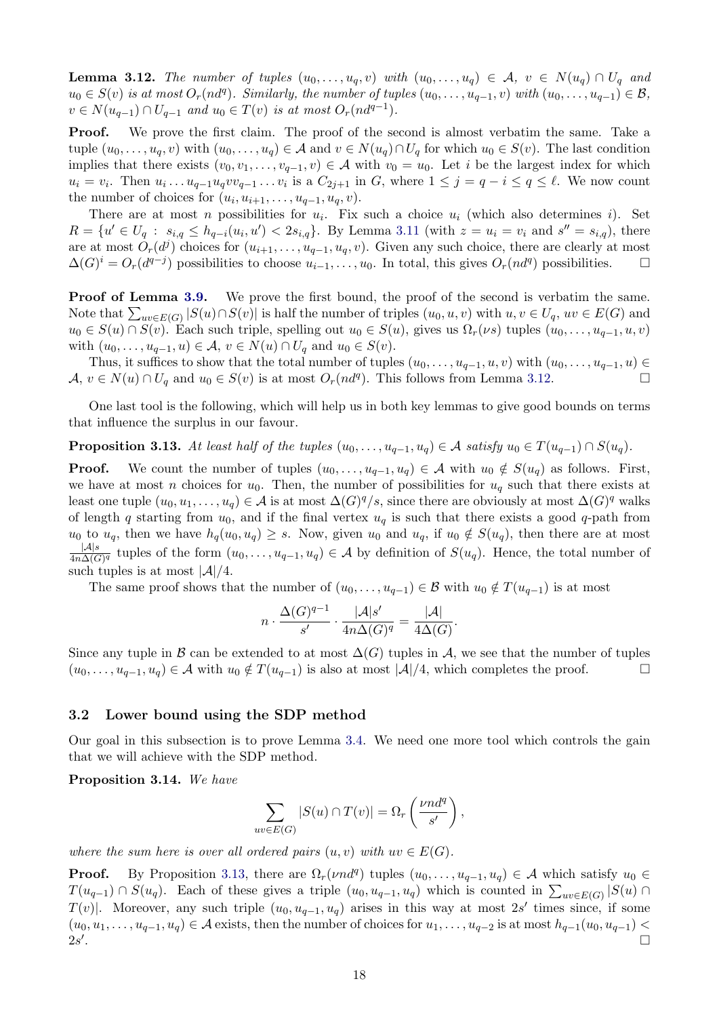<span id="page-17-0"></span>**Lemma 3.12.** The number of tuples  $(u_0, \ldots, u_q, v)$  with  $(u_0, \ldots, u_q) \in A$ ,  $v \in N(u_q) \cap U_q$  and  $u_0 \in S(v)$  is at most  $O_r(nd^q)$ . Similarly, the number of tuples  $(u_0, \ldots, u_{q-1}, v)$  with  $(u_0, \ldots, u_{q-1}) \in B$ ,  $v \in N(u_{q-1}) \cap U_{q-1}$  and  $u_0 \in T(v)$  is at most  $O_r(nd^{q-1})$ .

Proof. We prove the first claim. The proof of the second is almost verbatim the same. Take a tuple  $(u_0, \ldots, u_q, v)$  with  $(u_0, \ldots, u_q) \in \mathcal{A}$  and  $v \in N(u_q) \cap U_q$  for which  $u_0 \in S(v)$ . The last condition implies that there exists  $(v_0, v_1, \ldots, v_{q-1}, v) \in \mathcal{A}$  with  $v_0 = u_0$ . Let i be the largest index for which  $u_i = v_i$ . Then  $u_i \dots u_{q-1} u_q v v_{q-1} \dots v_i$  is a  $C_{2j+1}$  in G, where  $1 \leq j = q - i \leq q \leq \ell$ . We now count the number of choices for  $(u_i, u_{i+1}, \ldots, u_{q-1}, u_q, v)$ .

There are at most n possibilities for  $u_i$ . Fix such a choice  $u_i$  (which also determines i). Set  $R = \{u' \in U_q : s_{i,q} \leq h_{q-i}(u_i, u') < 2s_{i,q}\}.$  By Lemma [3.11](#page-16-1) (with  $z = u_i = v_i$  and  $s'' = s_{i,q}$ ), there are at most  $\tilde{O}_r(d^j)$  choices for  $(u_{i+1},\ldots,u_{q-1},u_q,v)$ . Given any such choice, there are clearly at most  $\Delta(G)^i = O_r(d^{q-j})$  possibilities to choose  $u_{i-1}, \ldots, u_0$ . In total, this gives  $O_r(nd^q)$  possibilities.  $\Box$ 

Proof of Lemma [3.9.](#page-16-2) We prove the first bound, the proof of the second is verbatim the same. Note that  $\sum_{uv\in E(G)} |S(u) \cap S(v)|$  is half the number of triples  $(u_0, u, v)$  with  $u, v \in U_q$ ,  $uv \in E(G)$  and  $u_0 \in S(u) \cap S(v)$ . Each such triple, spelling out  $u_0 \in S(u)$ , gives us  $\Omega_r(\nu s)$  tuples  $(u_0, \ldots, u_{q-1}, u, v)$ with  $(u_0, ..., u_{q-1}, u) \in \mathcal{A}, v \in N(u) \cap U_q$  and  $u_0 \in S(v)$ .

Thus, it suffices to show that the total number of tuples  $(u_0, \ldots, u_{q-1}, u, v)$  with  $(u_0, \ldots, u_{q-1}, u) \in$  $A, v \in N(u) \cap U_q$  and  $u_0 \in S(v)$  is at most  $O_r(nd^q)$ . This follows from Lemma [3.12.](#page-17-0)

One last tool is the following, which will help us in both key lemmas to give good bounds on terms that influence the surplus in our favour.

<span id="page-17-1"></span>**Proposition 3.13.** At least half of the tuples  $(u_0, \ldots, u_{q-1}, u_q) \in \mathcal{A}$  satisfy  $u_0 \in T(u_{q-1}) \cap S(u_q)$ .

**Proof.** We count the number of tuples  $(u_0, \ldots, u_{q-1}, u_q) \in A$  with  $u_0 \notin S(u_q)$  as follows. First, we have at most n choices for  $u_0$ . Then, the number of possibilities for  $u_q$  such that there exists at least one tuple  $(u_0, u_1, \ldots, u_q) \in A$  is at most  $\Delta(G)^q/s$ , since there are obviously at most  $\Delta(G)^q$  walks of length q starting from  $u_0$ , and if the final vertex  $u_q$  is such that there exists a good q-path from  $u_0$  to  $u_q$ , then we have  $h_q(u_0, u_q) \geq s$ . Now, given  $u_0$  and  $u_q$ , if  $u_0 \notin S(u_q)$ , then there are at most  $|A|s$  $\frac{|\mathcal{A}|^{S}}{4n\Delta(G)^{q}}$  tuples of the form  $(u_0,\ldots,u_{q-1},u_q)\in\mathcal{A}$  by definition of  $S(u_q)$ . Hence, the total number of such tuples is at most  $|\mathcal{A}|/4$ .

The same proof shows that the number of  $(u_0, \ldots, u_{q-1}) \in \mathcal{B}$  with  $u_0 \notin T(u_{q-1})$  is at most

$$
n \cdot \frac{\Delta(G)^{q-1}}{s'} \cdot \frac{|\mathcal{A}|s'}{4n\Delta(G)^q} = \frac{|\mathcal{A}|}{4\Delta(G)}.
$$

Since any tuple in B can be extended to at most  $\Delta(G)$  tuples in A, we see that the number of tuples  $(u_0, \ldots, u_{q-1}, u_q) \in \mathcal{A}$  with  $u_0 \notin T(u_{q-1})$  is also at most  $|\mathcal{A}|/4$ , which completes the proof.

#### 3.2 Lower bound using the SDP method

Our goal in this subsection is to prove Lemma [3.4.](#page-14-2) We need one more tool which controls the gain that we will achieve with the SDP method.

<span id="page-17-2"></span>Proposition 3.14. We have

$$
\sum_{uv \in E(G)} |S(u) \cap T(v)| = \Omega_r \left( \frac{\nu n d^q}{s'} \right),
$$

where the sum here is over all ordered pairs  $(u, v)$  with  $uv \in E(G)$ .

**Proof.** By Proposition [3.13,](#page-17-1) there are  $\Omega_r(\nu nd^q)$  tuples  $(u_0, \ldots, u_{q-1}, u_q) \in \mathcal{A}$  which satisfy  $u_0 \in \mathcal{A}$  $T(u_{q-1}) \cap S(u_q)$ . Each of these gives a triple  $(u_0, u_{q-1}, u_q)$  which is counted in  $\sum_{uv \in E(G)} |S(u)| \cap$  $T(v)$ . Moreover, any such triple  $(u_0, u_{q-1}, u_q)$  arises in this way at most 2s' times since, if some  $(u_0, u_1, \ldots, u_{q-1}, u_q) \in \mathcal{A}$  exists, then the number of choices for  $u_1, \ldots, u_{q-2}$  is at most  $h_{q-1}(u_0, u_{q-1})$  $2s'$ . In the contract of the contract of the contract of the contract of the contract of the contract of the contra<br>In the contract of the contract of the contract of the contract of the contract of the contract of the contrac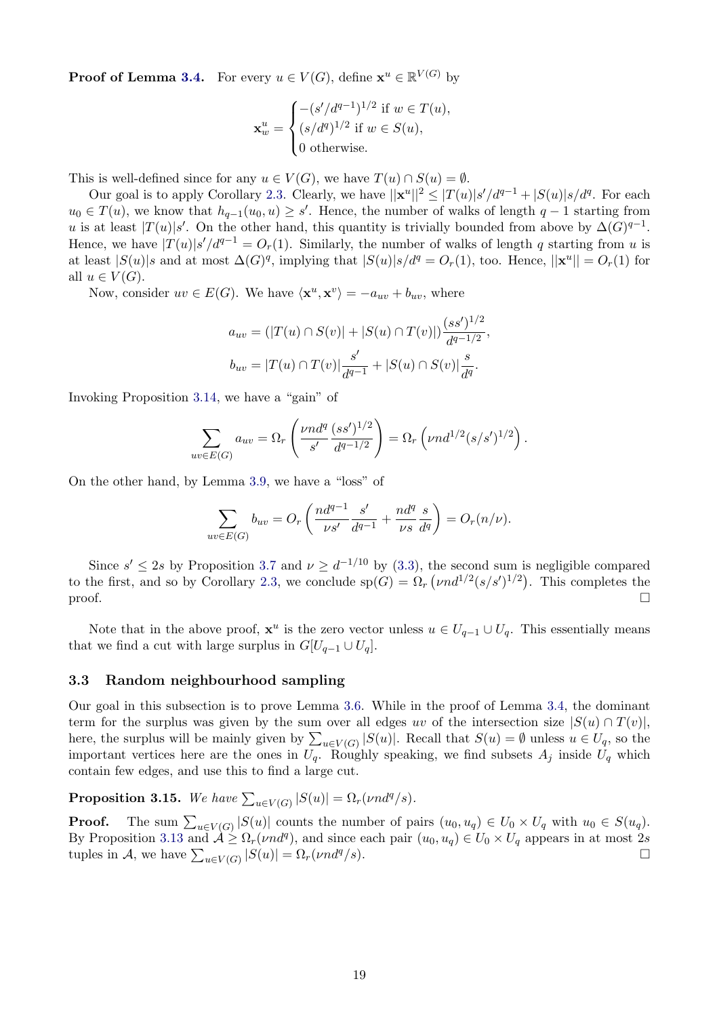**Proof of Lemma [3.4.](#page-14-2)** For every  $u \in V(G)$ , define  $\mathbf{x}^u \in \mathbb{R}^{V(G)}$  by

$$
\mathbf{x}_{w}^{u} = \begin{cases}\n-(s'/d^{q-1})^{1/2} & \text{if } w \in T(u), \\
(s/d^{q})^{1/2} & \text{if } w \in S(u), \\
0 & \text{otherwise.}\n\end{cases}
$$

This is well-defined since for any  $u \in V(G)$ , we have  $T(u) \cap S(u) = \emptyset$ .

Our goal is to apply Corollary [2.3.](#page-5-2) Clearly, we have  $||\mathbf{x}^u||^2 \leq |T(u)|s'/d^{q-1} + |S(u)|s/d^q$ . For each  $u_0 \in T(u)$ , we know that  $h_{q-1}(u_0, u) \geq s'$ . Hence, the number of walks of length  $q-1$  starting from u is at least  $|T(u)|s'$ . On the other hand, this quantity is trivially bounded from above by  $\Delta(G)^{q-1}$ . Hence, we have  $|T(u)|s'/d^{q-1} = O_r(1)$ . Similarly, the number of walks of length q starting from u is at least  $|S(u)|s$  and at most  $\Delta(G)^q$ , implying that  $|S(u)|s/d^q = O_r(1)$ , too. Hence,  $||\mathbf{x}^u|| = O_r(1)$  for all  $u \in V(G)$ .

Now, consider  $uv \in E(G)$ . We have  $\langle \mathbf{x}^u, \mathbf{x}^v \rangle = -a_{uv} + b_{uv}$ , where

$$
a_{uv} = (|T(u) \cap S(v)| + |S(u) \cap T(v)|) \frac{(ss')^{1/2}}{d^{q-1/2}},
$$
  

$$
b_{uv} = |T(u) \cap T(v)| \frac{s'}{d^{q-1}} + |S(u) \cap S(v)| \frac{s}{d^q}.
$$

Invoking Proposition [3.14,](#page-17-2) we have a "gain" of

$$
\sum_{uv \in E(G)} a_{uv} = \Omega_r \left( \frac{\nu n d^q}{s'} \frac{(ss')^{1/2}}{d^{q-1/2}} \right) = \Omega_r \left( \nu n d^{1/2} (s/s')^{1/2} \right).
$$

On the other hand, by Lemma [3.9,](#page-16-2) we have a "loss" of

$$
\sum_{uv \in E(G)} b_{uv} = O_r \left( \frac{nd^{q-1}}{\nu s'} \frac{s'}{d^{q-1}} + \frac{nd^q}{\nu s} \frac{s}{d^q} \right) = O_r(n/\nu).
$$

Since  $s' \leq 2s$  by Proposition [3.7](#page-15-1) and  $\nu \geq d^{-1/10}$  by [\(3.3\)](#page-14-4), the second sum is negligible compared to the first, and so by Corollary [2.3,](#page-5-2) we conclude  $sp(G) = \Omega_r \left( \nu n d^{1/2} (s/s')^{1/2} \right)$ . This completes the  $\Box$ 

Note that in the above proof,  $\mathbf{x}^u$  is the zero vector unless  $u \in U_{q-1} \cup U_q$ . This essentially means that we find a cut with large surplus in  $G[U_{q-1} \cup U_q]$ .

#### 3.3 Random neighbourhood sampling

Our goal in this subsection is to prove Lemma [3.6.](#page-15-0) While in the proof of Lemma [3.4,](#page-14-2) the dominant term for the surplus was given by the sum over all edges uv of the intersection size  $|S(u) \cap T(v)|$ , here, the surplus will be mainly given by  $\sum_{u\in V(G)} |S(u)|$ . Recall that  $S(u) = \emptyset$  unless  $u \in U_q$ , so the important vertices here are the ones in  $\overline{U_q}$ . Roughly speaking, we find subsets  $A_j$  inside  $U_q$  which contain few edges, and use this to find a large cut.

<span id="page-18-0"></span>**Proposition 3.15.** We have  $\sum_{u \in V(G)} |S(u)| = \Omega_r(\nu nd^q/s)$ .

**Proof.** The sum  $\sum_{u \in V(G)} |S(u)|$  counts the number of pairs  $(u_0, u_q) \in U_0 \times U_q$  with  $u_0 \in S(u_q)$ . By Proposition [3.13](#page-17-1) and  $\mathcal{A} \geq \Omega_r(\nu n d^q)$ , and since each pair  $(u_0, u_q) \in U_0 \times U_q$  appears in at most 2s tuples in A, we have  $\sum_{u \in V(G)} |S(u)| = \Omega_r(\nu nd^q/s)$ .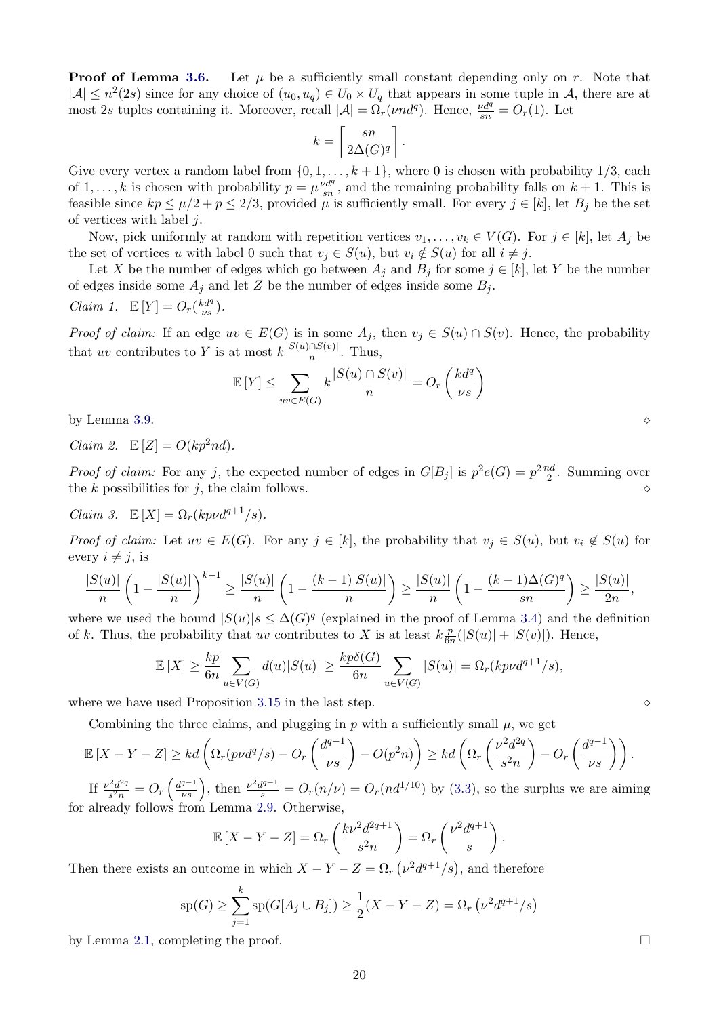**Proof of Lemma [3.6.](#page-15-0)** Let  $\mu$  be a sufficiently small constant depending only on r. Note that  $|\mathcal{A}| \leq n^2(2s)$  since for any choice of  $(u_0, u_q) \in U_0 \times U_q$  that appears in some tuple in A, there are at most 2s tuples containing it. Moreover, recall  $|\mathcal{A}| = \Omega_r(\nu nd^q)$ . Hence,  $\frac{\nu d^q}{sn} = O_r(1)$ . Let

$$
k = \left\lceil \frac{sn}{2\Delta(G)^q} \right\rceil.
$$

Give every vertex a random label from  $\{0, 1, \ldots, k+1\}$ , where 0 is chosen with probability  $1/3$ , each of  $1, \ldots, k$  is chosen with probability  $p = \mu \frac{\nu d^q}{s^n}$  $\frac{sd^4}{sn}$ , and the remaining probability falls on  $k + 1$ . This is feasible since  $kp \leq \mu/2 + p \leq 2/3$ , provided  $\mu$  is sufficiently small. For every  $j \in [k]$ , let  $B_j$  be the set of vertices with label j.

Now, pick uniformly at random with repetition vertices  $v_1, \ldots, v_k \in V(G)$ . For  $j \in [k]$ , let  $A_j$  be the set of vertices u with label 0 such that  $v_j \in S(u)$ , but  $v_i \notin S(u)$  for all  $i \neq j$ .

Let X be the number of edges which go between  $A_j$  and  $B_j$  for some  $j \in [k]$ , let Y be the number of edges inside some  $A_i$  and let Z be the number of edges inside some  $B_i$ .

Claim 1. 
$$
\mathbb{E}[Y] = O_r(\frac{kd^q}{\nu s}).
$$

*Proof of claim:* If an edge  $uv \in E(G)$  is in some  $A_j$ , then  $v_j \in S(u) \cap S(v)$ . Hence, the probability that uv contributes to Y is at most  $k \frac{|S(u) \cap S(v)|}{n}$  $\frac{n}{n}$ . Thus,

$$
\mathbb{E}\left[Y\right] \le \sum_{uv \in E(G)} k \frac{|S(u) \cap S(v)|}{n} = O_r\left(\frac{k d^q}{\nu s}\right)
$$

by Lemma [3.9.](#page-16-2)  $\Diamond$ 

Claim 2.  $\mathbb{E}[Z] = O(kp^2nd)$ .

*Proof of claim:* For any j, the expected number of edges in  $G[B_j]$  is  $p^2e(G) = p^2\frac{nd}{2}$ . Summing over the k possibilities for j, the claim follows.

$$
Claim \ 3. \quad \mathbb{E}\left[X\right] = \Omega_r(kp\nu d^{q+1}/s).
$$

*Proof of claim:* Let  $uv \in E(G)$ . For any  $j \in [k]$ , the probability that  $v_j \in S(u)$ , but  $v_i \notin S(u)$  for every  $i \neq j$ , is

$$
\frac{|S(u)|}{n}\left(1-\frac{|S(u)|}{n}\right)^{k-1} \ge \frac{|S(u)|}{n}\left(1-\frac{(k-1)|S(u)|}{n}\right) \ge \frac{|S(u)|}{n}\left(1-\frac{(k-1)\Delta(G)^q}{sn}\right) \ge \frac{|S(u)|}{2n},
$$

where we used the bound  $|S(u)|s \leq \Delta(G)^q$  (explained in the proof of Lemma [3.4\)](#page-14-2) and the definition of k. Thus, the probability that uv contributes to X is at least  $k\frac{p}{6}$  $\frac{p}{6n}(|S(u)| + |S(v)|)$ . Hence,

$$
\mathbb{E}[X] \ge \frac{kp}{6n} \sum_{u \in V(G)} d(u)|S(u)| \ge \frac{kp\delta(G)}{6n} \sum_{u \in V(G)} |S(u)| = \Omega_r(kp\nu d^{q+1}/s),
$$

where we have used Proposition [3.15](#page-18-0) in the last step.  $\Diamond$ 

Combining the three claims, and plugging in  $p$  with a sufficiently small  $\mu$ , we get

$$
\mathbb{E}\left[X - Y - Z\right] \geq kd \left(\Omega_r(p\nu d^q/s) - O_r\left(\frac{d^{q-1}}{\nu s}\right) - O(p^2 n)\right) \geq kd \left(\Omega_r\left(\frac{\nu^2 d^{2q}}{s^2 n}\right) - O_r\left(\frac{d^{q-1}}{\nu s}\right)\right).
$$

If  $\frac{\nu^2 d^{2q}}{s^2 n}$  $\frac{d^2d^{2q}}{s^2n} = O_r\left(\frac{d^{q-1}}{\nu s}\right)$ , then  $\frac{\nu^2d^{q+1}}{s} = O_r(n/\nu) = O_r(nd^{1/10})$  by [\(3.3\)](#page-14-4), so the surplus we are aiming for already follows from Lemma [2.9.](#page-10-1) Otherwise,

$$
\mathbb{E}\left[X - Y - Z\right] = \Omega_r\left(\frac{kv^2 d^{2q+1}}{s^2 n}\right) = \Omega_r\left(\frac{\nu^2 d^{q+1}}{s}\right).
$$

Then there exists an outcome in which  $X - Y - Z = \Omega_r \left(\nu^2 d^{q+1}/s\right)$ , and therefore

$$
sp(G) \ge \sum_{j=1}^{k} sp(G[A_j \cup B_j]) \ge \frac{1}{2}(X - Y - Z) = \Omega_r(\nu^2 d^{q+1}/s)
$$

by Lemma [2.1,](#page-4-1) completing the proof.  $\Box$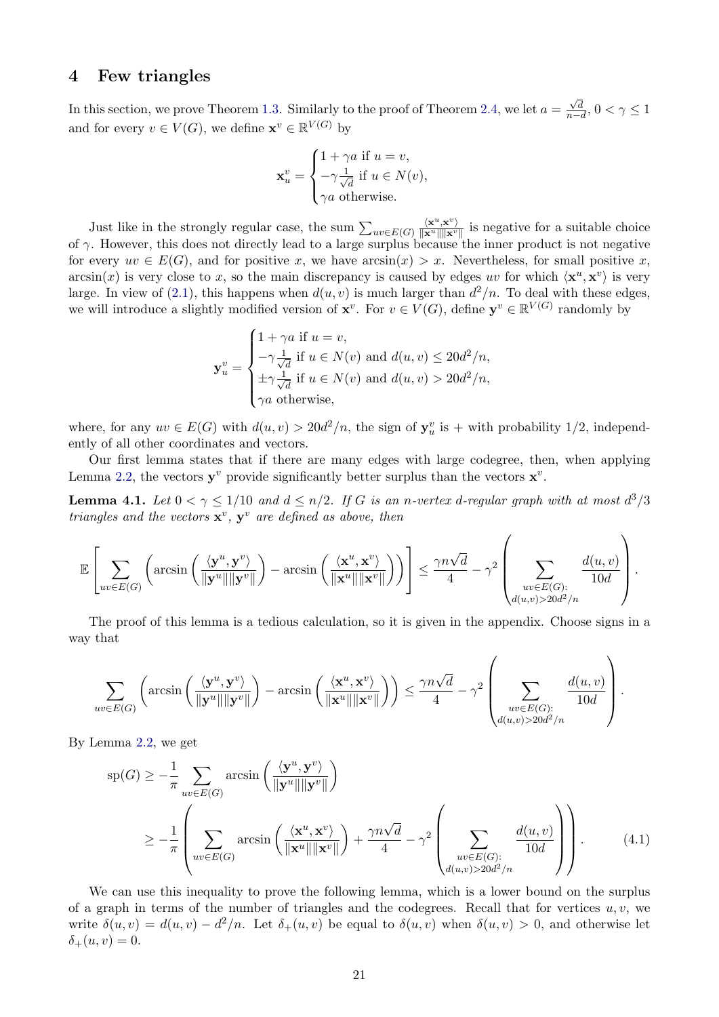# <span id="page-20-0"></span>4 Few triangles

In this section, we prove Theorem [1.3.](#page-2-0) Similarly to the proof of Theorem [2.4,](#page-5-0) we let  $a =$  $\frac{\sqrt{d}}{n-d}, 0 < \gamma \leq 1$ and for every  $v \in V(G)$ , we define  $\mathbf{x}^v \in \mathbb{R}^{V(G)}$  by

$$
\mathbf{x}_{u}^{v} = \begin{cases} 1 + \gamma a & \text{if } u = v, \\ -\gamma \frac{1}{\sqrt{d}} & \text{if } u \in N(v), \\ \gamma a & \text{otherwise.} \end{cases}
$$

Just like in the strongly regular case, the sum  $\sum_{uv \in E(G)}$  $\langle \mathbf{x}^u, \mathbf{x}^v \rangle$  $\frac{\langle \mathbf{x}^{\mathbf{x}}, \mathbf{x}^{\mathbf{x}} \rangle}{\|\mathbf{x}^{\mathbf{u}}\| \|\mathbf{x}^{\mathbf{v}}\|}$  is negative for a suitable choice of  $\gamma$ . However, this does not directly lead to a large surplus because the inner product is not negative for every  $uv \in E(G)$ , and for positive x, we have  $arcsin(x) > x$ . Nevertheless, for small positive x,  $arcsin(x)$  is very close to x, so the main discrepancy is caused by edges uv for which  $\langle \mathbf{x}^u, \mathbf{x}^v \rangle$  is very large. In view of [\(2.1\)](#page-6-0), this happens when  $d(u, v)$  is much larger than  $d^2/n$ . To deal with these edges, we will introduce a slightly modified version of  $\mathbf{x}^v$ . For  $v \in V(G)$ , define  $\mathbf{y}^v \in \mathbb{R}^{V(G)}$  randomly by

$$
\mathbf{y}_{u}^{v} = \begin{cases} 1 + \gamma a & \text{if } u = v, \\ -\gamma \frac{1}{\sqrt{d}} & \text{if } u \in N(v) \text{ and } d(u, v) \le 20d^{2}/n, \\ \pm \gamma \frac{1}{\sqrt{d}} & \text{if } u \in N(v) \text{ and } d(u, v) > 20d^{2}/n, \\ \gamma a & \text{otherwise,} \end{cases}
$$

where, for any  $uv \in E(G)$  with  $d(u, v) > 20d^2/n$ , the sign of  $\mathbf{y}_u^v$  is + with probability 1/2, independently of all other coordinates and vectors.

Our first lemma states that if there are many edges with large codegree, then, when applying Lemma [2.2,](#page-5-1) the vectors  $y^v$  provide significantly better surplus than the vectors  $x^v$ .

<span id="page-20-1"></span>**Lemma 4.1.** Let  $0 < \gamma \leq 1/10$  and  $d \leq n/2$ . If G is an n-vertex d-regular graph with at most  $d^3/3$ triangles and the vectors  $\mathbf{x}^v$ ,  $\mathbf{y}^v$  are defined as above, then

$$
\mathbb{E}\left[\sum_{uv\in E(G)}\left(\arcsin\left(\frac{\langle \mathbf{y}^u,\mathbf{y}^v\rangle}{\|\mathbf{y}^u\|\|\mathbf{y}^v\|}\right)-\arcsin\left(\frac{\langle \mathbf{x}^u,\mathbf{x}^v\rangle}{\|\mathbf{x}^u\|\|\mathbf{x}^v\|}\right)\right)\right]\leq \frac{\gamma n\sqrt{d}}{4}-\gamma^2\left(\sum_{\substack{uv\in E(G):\\d(u,v)>20d^2/n}}\frac{d(u,v)}{10d}\right).
$$

The proof of this lemma is a tedious calculation, so it is given in the appendix. Choose signs in a way that

$$
\sum_{uv \in E(G)} \left( \arcsin \left( \frac{\langle \mathbf{y}^u, \mathbf{y}^v \rangle}{\|\mathbf{y}^u\| \|\mathbf{y}^v\|} \right) - \arcsin \left( \frac{\langle \mathbf{x}^u, \mathbf{x}^v \rangle}{\|\mathbf{x}^u\| \|\mathbf{x}^v\|} \right) \right) \leq \frac{\gamma n \sqrt{d}}{4} - \gamma^2 \left( \sum_{\substack{uv \in E(G): \\ d(u,v) > 20d^2/n}} \frac{d(u,v)}{10d} \right).
$$

By Lemma [2.2,](#page-5-1) we get

<span id="page-20-2"></span>
$$
sp(G) \ge -\frac{1}{\pi} \sum_{uv \in E(G)} \arcsin\left(\frac{\langle \mathbf{y}^u, \mathbf{y}^v \rangle}{\|\mathbf{y}^u\| \|\mathbf{y}^v\|}\right)
$$
  
 
$$
\ge -\frac{1}{\pi} \left( \sum_{uv \in E(G)} \arcsin\left(\frac{\langle \mathbf{x}^u, \mathbf{x}^v \rangle}{\|\mathbf{x}^u\| \|\mathbf{x}^v\|}\right) + \frac{\gamma n \sqrt{d}}{4} - \gamma^2 \left( \sum_{\substack{uv \in E(G): \\ d(u,v) > 20d^2/n}} \frac{d(u,v)}{10d} \right) \right).
$$
 (4.1)

We can use this inequality to prove the following lemma, which is a lower bound on the surplus of a graph in terms of the number of triangles and the codegrees. Recall that for vertices  $u, v$ , we write  $\delta(u, v) = d(u, v) - d^2/n$ . Let  $\delta_+(u, v)$  be equal to  $\delta(u, v)$  when  $\delta(u, v) > 0$ , and otherwise let  $\delta_{+}(u, v) = 0.$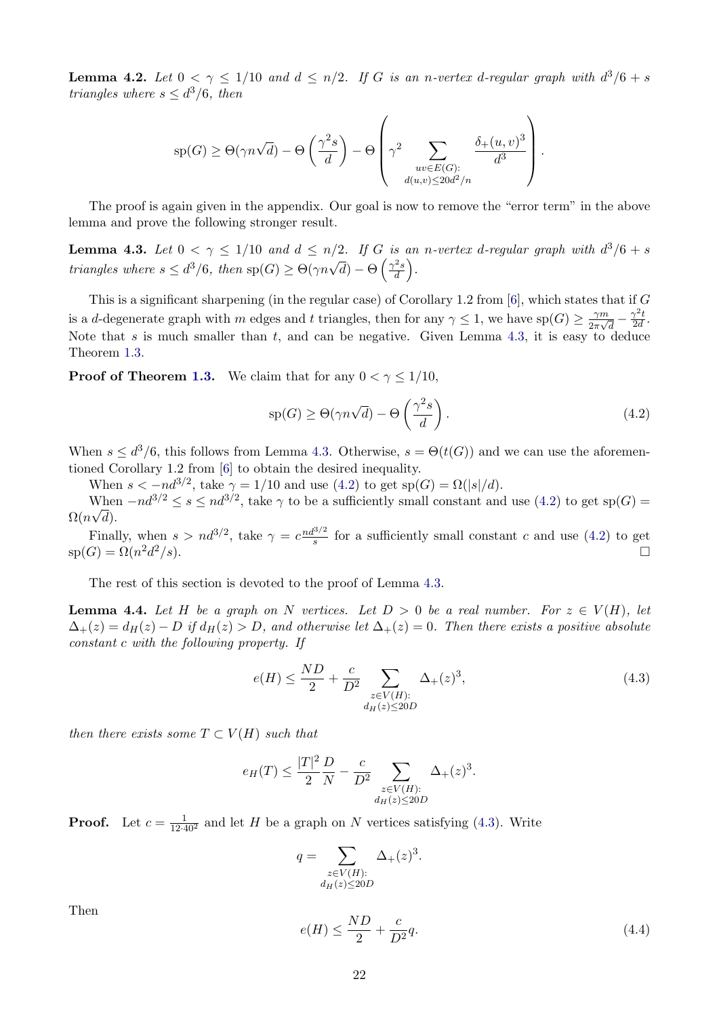<span id="page-21-5"></span>**Lemma 4.2.** Let  $0 < \gamma \leq 1/10$  and  $d \leq n/2$ . If G is an n-vertex d-regular graph with  $d^3/6 + s$ triangles where  $s \leq d^3/6$ , then

$$
sp(G) \geq \Theta(\gamma n\sqrt{d}) - \Theta\left(\frac{\gamma^2 s}{d}\right) - \Theta\left(\gamma^2 \sum_{\substack{uv \in E(G): \\ d(u,v) \leq 20d^2/n}} \frac{\delta_+(u,v)^3}{d^3}\right).
$$

The proof is again given in the appendix. Our goal is now to remove the "error term" in the above lemma and prove the following stronger result.

<span id="page-21-0"></span>**Lemma 4.3.** Let  $0 < \gamma \leq 1/10$  and  $d \leq n/2$ . If G is an n-vertex d-regular graph with  $d^3/6 + s$ **EXECUTE:**  $\frac{1}{s} \sum_{i=1}^{s} \frac{1}{s} \sum_{j=1}^{s} \frac{1}{s} \sum_{j=1}^{s} \frac{1}{s} \sum_{j=1}^{s} \sum_{j=1}^{s} \sum_{j=1}^{s} \frac{1}{s} \sum_{j=1}^{s} \frac{1}{s} \sum_{j=1}^{s} \frac{1}{s} \sum_{j=1}^{s} \frac{1}{s} \sum_{j=1}^{s} \frac{1}{s} \sum_{j=1}^{s} \frac{1}{s} \sum_{j=1}^{s} \frac{1}{s} \sum_{j=1}^{s} \frac$  $\frac{a^2s}{d}$ .

This is a significant sharpening (in the regular case) of Corollary 1.2 from [\[6\]](#page-28-4), which states that if G is a d-degenerate graph with m edges and t triangles, then for any  $\gamma \leq 1$ , we have sp $(G) \geq \frac{\gamma m}{2\pi}$  $\frac{\gamma m}{2\pi\sqrt{d}}-\frac{\gamma^2 t}{2d}$  $\frac{\gamma^-t}{2d}$  . Note that s is much smaller than t, and can be negative. Given Lemma [4.3,](#page-21-0) it is easy to deduce Theorem [1.3.](#page-2-0)

**Proof of Theorem [1.3.](#page-2-0)** We claim that for any  $0 < \gamma < 1/10$ ,

<span id="page-21-1"></span>
$$
\text{sp}(G) \ge \Theta(\gamma n\sqrt{d}) - \Theta\left(\frac{\gamma^2 s}{d}\right). \tag{4.2}
$$

When  $s \leq d^3/6$ , this follows from Lemma [4.3.](#page-21-0) Otherwise,  $s = \Theta(t(G))$  and we can use the aforementioned Corollary 1.2 from [\[6\]](#page-28-4) to obtain the desired inequality.

When  $s < -nd^{3/2}$ , take  $\gamma = 1/10$  and use [\(4.2\)](#page-21-1) to get sp( $G = \Omega(|s|/d)$ .

When  $-nd^{3/2} \le s \le nd^{3/2}$ , take  $\gamma$  to be a sufficiently small constant and use [\(4.2\)](#page-21-1) to get sp(G) =  $\Omega(n\sqrt{d}).$ 

Finally, when  $s > nd^{3/2}$ , take  $\gamma = c \frac{nd^{3/2}}{s}$  $\frac{\log 2}{s}$  for a sufficiently small constant c and use [\(4.2\)](#page-21-1) to get  $sp(G) = \Omega(n^2d)$  $^{2}/s$ ).

The rest of this section is devoted to the proof of Lemma [4.3.](#page-21-0)

<span id="page-21-4"></span>**Lemma 4.4.** Let H be a graph on N vertices. Let  $D > 0$  be a real number. For  $z \in V(H)$ , let  $\Delta_+(z) = d_H(z) - D$  if  $d_H(z) > D$ , and otherwise let  $\Delta_+(z) = 0$ . Then there exists a positive absolute constant c with the following property. If

<span id="page-21-2"></span>
$$
e(H) \le \frac{ND}{2} + \frac{c}{D^2} \sum_{\substack{z \in V(H): \\ d_H(z) \le 20D}} \Delta_+(z)^3,
$$
\n(4.3)

then there exists some  $T \subset V(H)$  such that

$$
e_H(T) \le \frac{|T|^2}{2} \frac{D}{N} - \frac{c}{D^2} \sum_{\substack{z \in V(H): \\ d_H(z) \le 20D}} \Delta_{+}(z)^3.
$$

**Proof.** Let  $c = \frac{1}{12 \cdot 40^2}$  and let H be a graph on N vertices satisfying [\(4.3\)](#page-21-2). Write

$$
q = \sum_{\substack{z \in V(H): \\ d_H(z) \le 20D}} \Delta_{+}(z)^3.
$$

Then

<span id="page-21-3"></span>
$$
e(H) \le \frac{ND}{2} + \frac{c}{D^2}q.\tag{4.4}
$$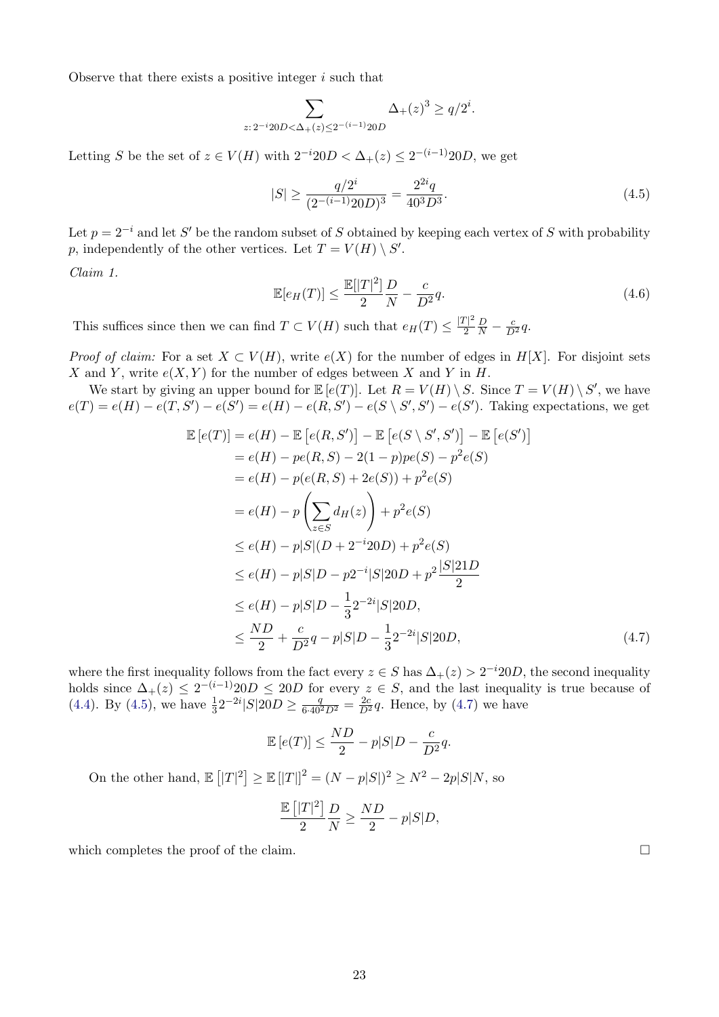Observe that there exists a positive integer i such that

$$
\sum_{z:\,2^{-i}20D < \Delta_+(z) \le 2^{-(i-1)}20D} \Delta_+(z)^3 \ge q/2^i.
$$

Letting S be the set of  $z \in V(H)$  with  $2^{-i}20D < \Delta_+(z) \leq 2^{-(i-1)}20D$ , we get

<span id="page-22-0"></span>
$$
|S| \ge \frac{q/2^i}{(2^{-(i-1)}20D)^3} = \frac{2^{2i}q}{40^3D^3}.
$$
\n(4.5)

Let  $p = 2^{-i}$  and let S' be the random subset of S obtained by keeping each vertex of S with probability p, independently of the other vertices. Let  $T = V(H) \setminus S'$ .

Claim 1.

$$
\mathbb{E}[e_H(T)] \le \frac{\mathbb{E}[|T|^2]}{2} \frac{D}{N} - \frac{c}{D^2} q.
$$
\n(4.6)

This suffices since then we can find  $T \subset V(H)$  such that  $e_H(T) \leq \frac{|T|^2}{2}$ 2  $rac{D}{N} - \frac{c}{D^2}q.$ 

*Proof of claim:* For a set  $X \subset V(H)$ , write  $e(X)$  for the number of edges in H[X]. For disjoint sets X and Y, write  $e(X, Y)$  for the number of edges between X and Y in H.

We start by giving an upper bound for  $\mathbb{E}[e(T)]$ . Let  $R = V(H) \setminus S$ . Since  $T = V(H) \setminus S'$ , we have  $e(T) = e(H) - e(T, S') - e(S') = e(H) - e(R, S') - e(S \setminus S', S') - e(S')$ . Taking expectations, we get

$$
\mathbb{E}\left[e(T)\right] = e(H) - \mathbb{E}\left[e(R, S')\right] - \mathbb{E}\left[e(S \setminus S', S')\right] - \mathbb{E}\left[e(S')\right] \n= e(H) - pe(R, S) - 2(1 - p)pe(S) - p^2e(S) \n= e(H) - p(e(R, S) + 2e(S)) + p^2e(S) \n= e(H) - p\left(\sum_{z \in S} d_H(z)\right) + p^2e(S) \n\le e(H) - p|S|(D + 2^{-i}20D) + p^2e(S) \n\le e(H) - p|S|D - p2^{-i}|S|20D + p^2\frac{|S|21D}{2} \n\le e(H) - p|S|D - \frac{1}{3}2^{-2i}|S|20D, \n\le \frac{ND}{2} + \frac{c}{D^2}q - p|S|D - \frac{1}{3}2^{-2i}|S|20D, \tag{4.7}
$$

where the first inequality follows from the fact every  $z \in S$  has  $\Delta_{+}(z) > 2^{-i}20D$ , the second inequality holds since  $\Delta_+(z) \leq 2^{-(i-1)}20D \leq 20D$  for every  $z \in S$ , and the last inequality is true because of [\(4.4\)](#page-21-3). By [\(4.5\)](#page-22-0), we have  $\frac{1}{3}2^{-2i}|S|20D \ge \frac{q}{6\cdot 40^2D^2} = \frac{2c}{D^2}q$ . Hence, by [\(4.7\)](#page-22-1) we have

$$
\mathbb{E}\left[e(T)\right] \le \frac{ND}{2} - p|S|D - \frac{c}{D^2}q.
$$

On the other hand,  $\mathbb{E} \left[ |T|^2 \right] \geq \mathbb{E} \left[ |T| \right]^2 = (N - p|S|)^2 \geq N^2 - 2p|S|N$ , so

$$
\frac{\mathbb{E}\left[|T|^2\right]}{2}\frac{D}{N} \ge \frac{ND}{2} - p|S|D,
$$

which completes the proof of the claim.  $\Box$ 

<span id="page-22-1"></span>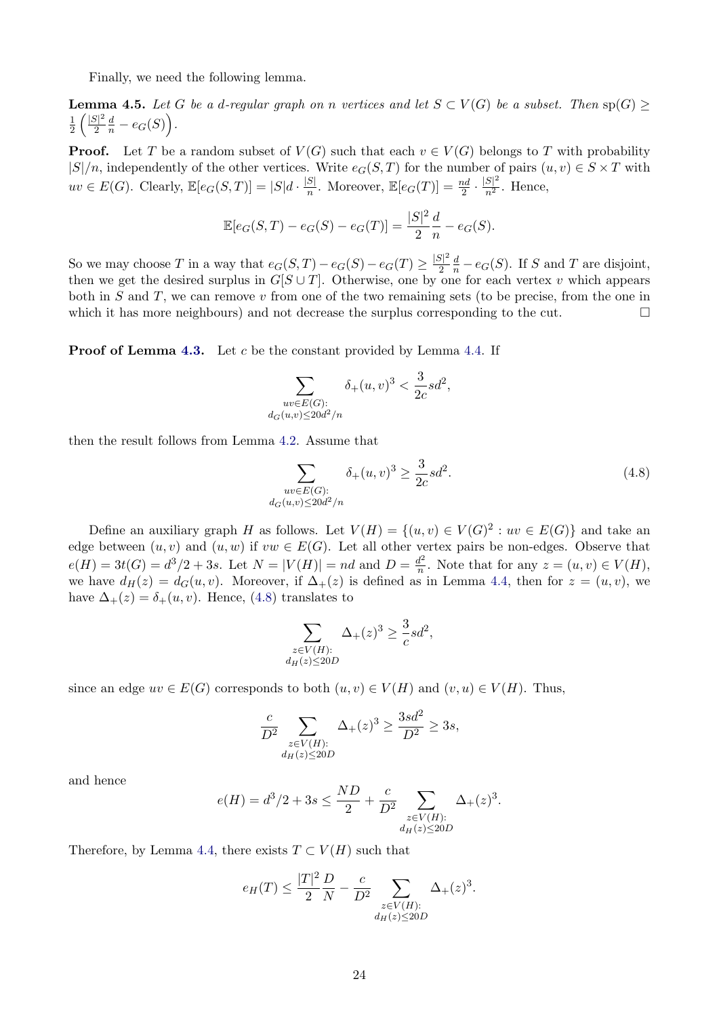Finally, we need the following lemma.

<span id="page-23-1"></span>**Lemma 4.5.** Let G be a d-regular graph on n vertices and let  $S \subset V(G)$  be a subset. Then sp $(G) \geq$ 1  $\frac{1}{2} \left( \frac{|S|^2}{2} \right)$ 2  $\frac{d}{n} - e_G(S) \Big).$ 

**Proof.** Let T be a random subset of  $V(G)$  such that each  $v \in V(G)$  belongs to T with probability  $|S|/n$ , independently of the other vertices. Write  $e_G(S,T)$  for the number of pairs  $(u, v) \in S \times T$  with  $uv \in E(G)$ . Clearly,  $\mathbb{E}[e_G(S,T)] = |S|d \cdot \frac{|S|}{n}$  $\frac{S|}{n}$ . Moreover,  $\mathbb{E}[e_G(T)] = \frac{nd}{2} \cdot \frac{|S|^2}{n^2}$ . Hence,

$$
\mathbb{E}[e_G(S,T) - e_G(S) - e_G(T)] = \frac{|S|^2}{2} \frac{d}{n} - e_G(S).
$$

So we may choose T in a way that  $e_G(S,T) - e_G(S) - e_G(T) \geq \frac{|S|^2}{2}$ 2  $\frac{d}{n} - e_G(S)$ . If S and T are disjoint, then we get the desired surplus in  $G[S \cup T]$ . Otherwise, one by one for each vertex v which appears both in  $S$  and  $T$ , we can remove  $v$  from one of the two remaining sets (to be precise, from the one in which it has more neighbours) and not decrease the surplus corresponding to the cut.  $\Box$ 

**Proof of Lemma [4.3.](#page-21-0)** Let c be the constant provided by Lemma [4.4.](#page-21-4) If

$$
\sum_{\substack{uv \in E(G): \\ d_G(u,v) \le 20d^2/n}} \delta_+(u,v)^3 < \frac{3}{2c}sd^2,
$$

then the result follows from Lemma [4.2.](#page-21-5) Assume that

<span id="page-23-0"></span>
$$
\sum_{\substack{uv \in E(G): \\ d_G(u,v) \le 20d^2/n}} \delta_+(u,v)^3 \ge \frac{3}{2c}sd^2.
$$
\n(4.8)

Define an auxiliary graph H as follows. Let  $V(H) = \{(u, v) \in V(G)^2 : uv \in E(G)\}\$ and take an edge between  $(u, v)$  and  $(u, w)$  if  $vw \in E(G)$ . Let all other vertex pairs be non-edges. Observe that  $e(H) = 3t(G) = d^3/2 + 3s$ . Let  $N = |V(H)| = nd$  and  $D = \frac{d^2}{n}$  $\frac{d^2}{n}$ . Note that for any  $z = (u, v) \in V(H)$ , we have  $d_H(z) = d_G(u, v)$ . Moreover, if  $\Delta_+(z)$  is defined as in Lemma [4.4,](#page-21-4) then for  $z = (u, v)$ , we have  $\Delta_{+}(z) = \delta_{+}(u, v)$ . Hence, [\(4.8\)](#page-23-0) translates to

$$
\sum_{\substack{z \in V(H): \\ d_H(z) \le 20D}} \Delta_+(z)^3 \ge \frac{3}{c} s d^2,
$$

since an edge  $uv \in E(G)$  corresponds to both  $(u, v) \in V(H)$  and  $(v, u) \in V(H)$ . Thus,

$$
\frac{c}{D^2} \sum_{\substack{z \in V(H): \\ d_H(z) \le 20D}} \Delta_+(z)^3 \ge \frac{3sd^2}{D^2} \ge 3s,
$$

and hence

$$
e(H) = d^{3}/2 + 3s \le \frac{ND}{2} + \frac{c}{D^{2}} \sum_{\substack{z \in V(H): \\ d_{H}(z) \le 20D}} \Delta_{+}(z)^{3}.
$$

Therefore, by Lemma [4.4,](#page-21-4) there exists  $T \subset V(H)$  such that

$$
e_H(T) \le \frac{|T|^2}{2} \frac{D}{N} - \frac{c}{D^2} \sum_{\substack{z \in V(H): \\ d_H(z) \le 20D}} \Delta_{+}(z)^3.
$$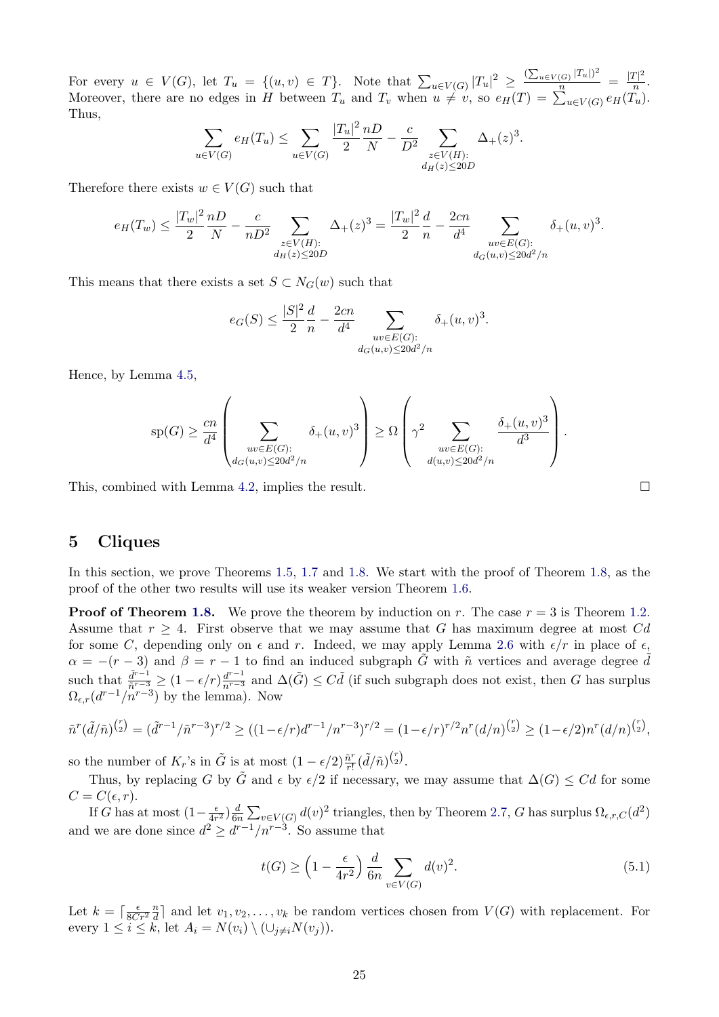For every  $u \in V(G)$ , let  $T_u = \{(u, v) \in T\}$ . Note that  $\sum_{u \in V(G)} |T_u|^2 \geq \frac{(\sum_{u \in V(G)} |T_u|)^2}{n} = \frac{|T|^2}{n}$  $rac{1}{n}$ . Moreover, there are no edges in H between  $T_u$  and  $T_v$  when  $u \neq v$ , so  $e_H(T) = \sum_{u \in V(G)} e_H(T_u)$ . Thus,

$$
\sum_{e \in V(G)} e_H(T_u) \le \sum_{u \in V(G)} \frac{|T_u|^2 n}{2} \frac{n}{N} - \frac{c}{D^2} \sum_{\substack{z \in V(H): \\ d_H(z) \le 20D}} \Delta_{+}(z)^3.
$$

Therefore there exists  $w \in V(G)$  such that

 $\overline{u}$ 

$$
e_H(T_w) \le \frac{|T_w|^2 n}{2} \frac{n}{N} - \frac{c}{nD^2} \sum_{\substack{z \in V(H): \\ d_H(z) \le 20D}} \Delta_+(z)^3 = \frac{|T_w|^2 d}{2} - \frac{2cn}{d^4} \sum_{\substack{uv \in E(G): \\ d_G(u,v) \le 20d^2/n}} \delta_+(u,v)^3.
$$

This means that there exists a set  $S \subset N_G(w)$  such that

$$
e_G(S) \le \frac{|S|^2}{2} \frac{d}{n} - \frac{2cn}{d^4} \sum_{\substack{uv \in E(G): \\ d_G(u,v) \le 20d^2/n}} \delta_+(u,v)^3.
$$

Hence, by Lemma [4.5,](#page-23-1)

$$
\mathrm{sp}(G) \geq \frac{cn}{d^4} \left( \sum_{\substack{uv \in E(G): \\ d_G(u,v) \leq 20d^2/n}} \delta_+(u,v)^3 \right) \geq \Omega \left( \gamma^2 \sum_{\substack{uv \in E(G): \\ d(u,v) \leq 20d^2/n}} \frac{\delta_+(u,v)^3}{d^3} \right).
$$

This, combined with Lemma [4.2,](#page-21-5) implies the result.

### <span id="page-24-0"></span>5 Cliques

In this section, we prove Theorems [1.5,](#page-3-3) [1.7](#page-3-5) and [1.8.](#page-3-4) We start with the proof of Theorem [1.8,](#page-3-4) as the proof of the other two results will use its weaker version Theorem [1.6.](#page-3-1)

**Proof of Theorem [1.8.](#page-3-4)** We prove the theorem by induction on r. The case  $r = 3$  is Theorem [1.2.](#page-2-1) Assume that  $r \geq 4$ . First observe that we may assume that G has maximum degree at most Cd for some C, depending only on  $\epsilon$  and r. Indeed, we may apply Lemma [2.6](#page-7-1) with  $\epsilon/r$  in place of  $\epsilon$ ,  $\alpha = -(r-3)$  and  $\beta = r-1$  to find an induced subgraph  $\tilde{G}$  with  $\tilde{n}$  vertices and average degree  $\tilde{d}$ such that  $\frac{\tilde{d}^{r-1}}{\tilde{n}^{r-3}} \geq (1 - \epsilon/r) \frac{d^{r-1}}{n^{r-3}}$  and  $\Delta(\tilde{G}) \leq C \tilde{d}$  (if such subgraph does not exist, then G has surplus  $\Omega_{\epsilon,r}(d^{r-1}/n^{r-3})$  by the lemma). Now

$$
\tilde{n}^r(\tilde{d}/\tilde{n})^{r \choose 2} = (\tilde{d}^{r-1}/\tilde{n}^{r-3})^{r/2} \ge ((1-\epsilon/r)d^{r-1}/n^{r-3})^{r/2} = (1-\epsilon/r)^{r/2}n^r(d/n)^{r \choose 2} \ge (1-\epsilon/2)n^r(d/n)^{r \choose 2},
$$

so the number of  $K_r$ 's in  $\tilde{G}$  is at most  $(1 - \epsilon/2) \frac{\tilde{n}^r}{r!}$  $\frac{\tilde{n}^r}{r!}(\tilde{d}/\tilde{n})^{\binom{r}{2}}.$ 

Thus, by replacing G by  $\tilde{G}$  and  $\epsilon$  by  $\epsilon/2$  if necessary, we may assume that  $\Delta(G) \leq Cd$  for some  $C = C(\epsilon, r).$ 

If G has at most  $(1-\frac{\epsilon}{4r})$  $\frac{\epsilon}{4r^2}$ ) $\frac{d}{6r}$  $\frac{d}{6n} \sum_{v \in V(G)} d(v)^2$  triangles, then by Theorem [2.7,](#page-9-0) G has surplus  $\Omega_{\epsilon,r,C}(d^2)$ and we are done since  $d^2 \geq d^{r-1}/n^{r-3}$ . So assume that

<span id="page-24-1"></span>
$$
t(G) \ge \left(1 - \frac{\epsilon}{4r^2}\right) \frac{d}{6n} \sum_{v \in V(G)} d(v)^2.
$$
 (5.1)

Let  $k = \lceil \frac{\epsilon}{8Cr^2} \frac{n}{d} \rceil$  $\frac{n}{d}$  and let  $v_1, v_2, \ldots, v_k$  be random vertices chosen from  $V(G)$  with replacement. For every  $1 \leq i \leq k$ , let  $A_i = N(v_i) \setminus (\cup_{j \neq i} N(v_j)).$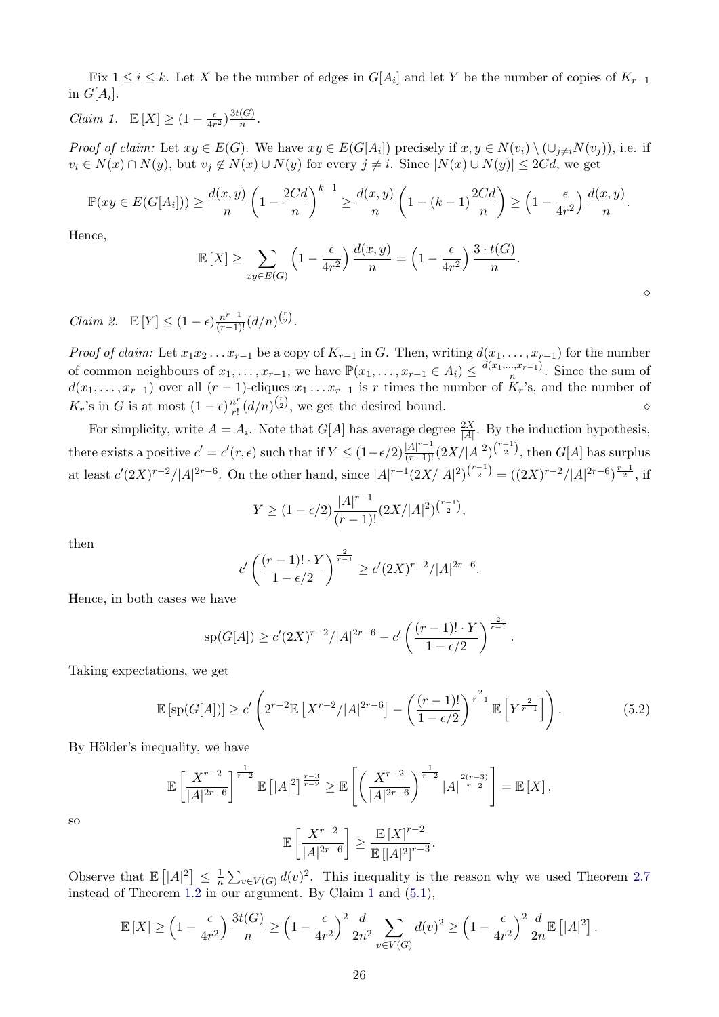Fix  $1 \leq i \leq k$ . Let X be the number of edges in  $G[A_i]$  and let Y be the number of copies of  $K_{r-1}$ in  $G[A_i]$ .

<span id="page-25-0"></span>
$$
Claim \t1. \t\mathbb{E}[X] \ge (1 - \frac{\epsilon}{4r^2}) \frac{3t(G)}{n}.
$$

*Proof of claim:* Let  $xy \in E(G)$ . We have  $xy \in E(G[A_i])$  precisely if  $x, y \in N(v_i) \setminus (\cup_{j \neq i} N(v_j))$ , i.e. if  $v_i \in N(x) \cap N(y)$ , but  $v_j \notin N(x) \cup N(y)$  for every  $j \neq i$ . Since  $|N(x) \cup N(y)| \leq 2Cd$ , we get

$$
\mathbb{P}(xy \in E(G[A_i])) \ge \frac{d(x,y)}{n} \left(1 - \frac{2Cd}{n}\right)^{k-1} \ge \frac{d(x,y)}{n} \left(1 - (k-1)\frac{2Cd}{n}\right) \ge \left(1 - \frac{\epsilon}{4r^2}\right) \frac{d(x,y)}{n}.
$$

Hence,

$$
\mathbb{E}[X] \ge \sum_{xy \in E(G)} \left(1 - \frac{\epsilon}{4r^2}\right) \frac{d(x, y)}{n} = \left(1 - \frac{\epsilon}{4r^2}\right) \frac{3 \cdot t(G)}{n}.
$$

<span id="page-25-1"></span>*Claim 2.*  $\mathbb{E}[Y] \leq (1 - \epsilon) \frac{n^{r-1}}{(r-1)!} (d/n)^{{r \choose 2}}$ .

*Proof of claim:* Let  $x_1x_2 \ldots x_{r-1}$  be a copy of  $K_{r-1}$  in G. Then, writing  $d(x_1, \ldots, x_{r-1})$  for the number of common neighbours of  $x_1, \ldots, x_{r-1}$ , we have  $\mathbb{P}(x_1, \ldots, x_{r-1} \in A_i) \leq \frac{d(x_1, \ldots, x_{r-1})}{n}$  $\frac{n^{(n-1)}}{n}$ . Since the sum of  $d(x_1, \ldots, x_{r-1})$  over all  $(r-1)$ -cliques  $x_1 \ldots x_{r-1}$  is r times the number of  $K_r$ 's, and the number of  $K_r$ 's in G is at most  $(1 - \epsilon) \frac{n^r}{r!}$  $\frac{n^r}{r!} (d/n)^{\binom{r}{2}}$ , we get the desired bound.

For simplicity, write  $A = A_i$ . Note that  $G[A]$  has average degree  $\frac{2X}{|A|}$ . By the induction hypothesis, there exists a positive  $c' = c'(r, \epsilon)$  such that if  $Y \leq (1 - \epsilon/2) \frac{|A|^{r-1}}{(r-1)!} (2X/|A|^2)^{\binom{r-1}{2}}$ , then  $G[A]$  has surplus at least  $c'(2X)^{r-2}/|A|^{2r-6}$ . On the other hand, since  $|A|^{r-1}(2X/|A|^2)^{\binom{r-1}{2}} = ((2X)^{r-2}/|A|^{2r-6})^{\frac{r-1}{2}}$ , if

$$
Y \ge (1 - \epsilon/2) \frac{|A|^{r-1}}{(r-1)!} (2X/|A|^2)^{\binom{r-1}{2}},
$$

then

$$
c'\left(\frac{(r-1)! \cdot Y}{1 - \epsilon/2}\right)^{\frac{2}{r-1}} \ge c'(2X)^{r-2}/|A|^{2r-6}.
$$

Hence, in both cases we have

$$
\mathrm{sp}(G[A]) \ge c'(2X)^{r-2}/|A|^{2r-6} - c'\left(\frac{(r-1)! \cdot Y}{1-\epsilon/2}\right)^{\frac{2}{r-1}}.
$$

Taking expectations, we get

<span id="page-25-2"></span>
$$
\mathbb{E}\left[\text{sp}(G[A])\right] \ge c' \left(2^{r-2} \mathbb{E}\left[X^{r-2}/|A|^{2r-6}\right] - \left(\frac{(r-1)!}{1-\epsilon/2}\right)^{\frac{2}{r-1}} \mathbb{E}\left[Y^{\frac{2}{r-1}}\right]\right). \tag{5.2}
$$

By Hölder's inequality, we have

$$
\mathbb{E}\left[\frac{X^{r-2}}{|A|^{2r-6}}\right]^{\frac{1}{r-2}}\mathbb{E}\left[|A|^2\right]^{\frac{r-3}{r-2}} \geq \mathbb{E}\left[\left(\frac{X^{r-2}}{|A|^{2r-6}}\right)^{\frac{1}{r-2}}|A|^{\frac{2(r-3)}{r-2}}\right] = \mathbb{E}\left[X\right],
$$

so

$$
\mathbb{E}\left[\frac{X^{r-2}}{|A|^{2r-6}}\right] \ge \frac{\mathbb{E}\left[X\right]^{r-2}}{\mathbb{E}\left[|A|^2\right]^{r-3}}.
$$

Observe that  $\mathbb{E}[|A|^2] \leq \frac{1}{n}$  $\frac{1}{n} \sum_{v \in V(G)} d(v)^2$ . This inequality is the reason why we used Theorem [2.7](#page-9-0) instead of Theorem [1.2](#page-2-1) in our argument. By Claim [1](#page-25-0) and  $(5.1)$ ,

$$
\mathbb{E}\left[X\right] \geq \left(1 - \frac{\epsilon}{4r^2}\right) \frac{3t(G)}{n} \geq \left(1 - \frac{\epsilon}{4r^2}\right)^2 \frac{d}{2n^2} \sum_{v \in V(G)} d(v)^2 \geq \left(1 - \frac{\epsilon}{4r^2}\right)^2 \frac{d}{2n} \mathbb{E}\left[|A|^2\right].
$$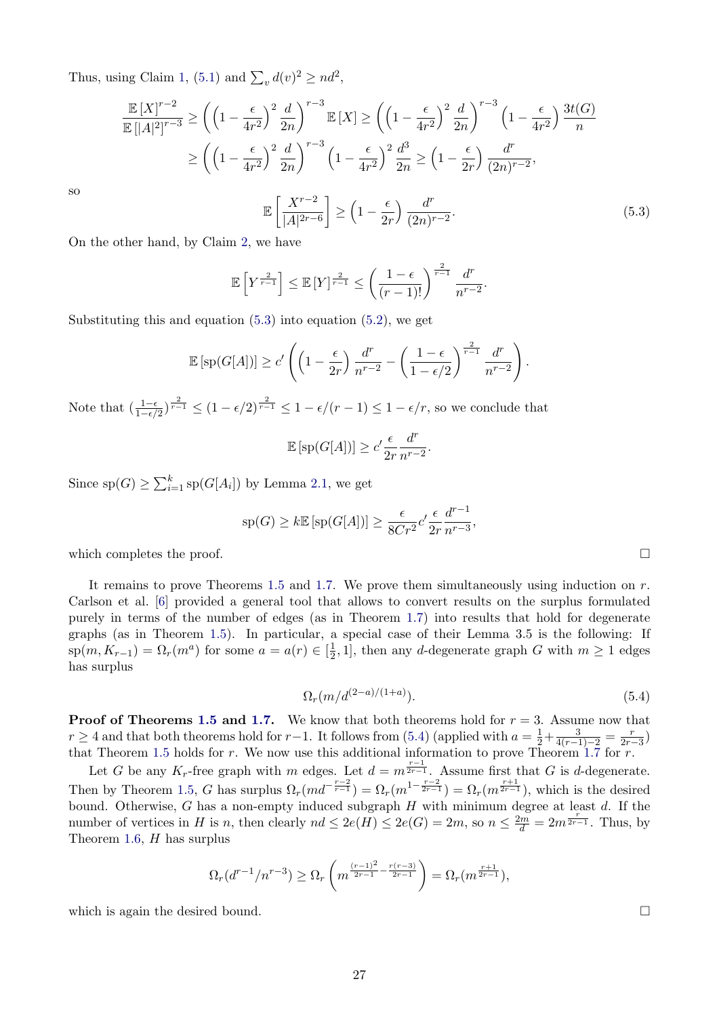Thus, using Claim [1,](#page-25-0) [\(5.1\)](#page-24-1) and  $\sum_{v} d(v)^2 \geq nd^2$ ,

$$
\frac{\mathbb{E}\left[X\right]^{r-2}}{\mathbb{E}\left[|A|^2\right]^{r-3}} \ge \left(\left(1 - \frac{\epsilon}{4r^2}\right)^2 \frac{d}{2n}\right)^{r-3} \mathbb{E}\left[X\right] \ge \left(\left(1 - \frac{\epsilon}{4r^2}\right)^2 \frac{d}{2n}\right)^{r-3} \left(1 - \frac{\epsilon}{4r^2}\right) \frac{3t(G)}{n}
$$
\n
$$
\ge \left(\left(1 - \frac{\epsilon}{4r^2}\right)^2 \frac{d}{2n}\right)^{r-3} \left(1 - \frac{\epsilon}{4r^2}\right)^2 \frac{d^3}{2n} \ge \left(1 - \frac{\epsilon}{2r}\right) \frac{d^r}{(2n)^{r-2}},
$$

so

<span id="page-26-0"></span>
$$
\mathbb{E}\left[\frac{X^{r-2}}{|A|^{2r-6}}\right] \ge \left(1 - \frac{\epsilon}{2r}\right) \frac{d^r}{(2n)^{r-2}}.\tag{5.3}
$$

On the other hand, by Claim [2,](#page-25-1) we have

$$
\mathbb{E}\left[Y^{\frac{2}{r-1}}\right] \leq \mathbb{E}\left[Y\right]^{\frac{2}{r-1}} \leq \left(\frac{1-\epsilon}{(r-1)!}\right)^{\frac{2}{r-1}} \frac{d^r}{n^{r-2}}.
$$

Substituting this and equation  $(5.3)$  into equation  $(5.2)$ , we get

$$
\mathbb{E}\left[\text{sp}(G[A])\right] \geq c' \left( \left(1 - \frac{\epsilon}{2r}\right) \frac{d^r}{n^{r-2}} - \left(\frac{1-\epsilon}{1-\epsilon/2}\right)^{\frac{2}{r-1}} \frac{d^r}{n^{r-2}} \right).
$$

Note that  $\left(\frac{1-\epsilon}{1-\epsilon/2}\right)^{\frac{2}{r-1}} \leq (1-\epsilon/2)^{\frac{2}{r-1}} \leq 1-\epsilon/(r-1) \leq 1-\epsilon/r$ , so we conclude that

$$
\mathbb{E}\left[\text{sp}(G[A])\right] \ge c' \frac{\epsilon}{2r} \frac{d^r}{n^{r-2}}.
$$

Since  $sp(G) \geq \sum_{i=1}^{k} sp(G[A_i])$  by Lemma [2.1,](#page-4-1) we get

$$
\text{sp}(G) \ge k \mathbb{E} \left[ \text{sp}(G[A]) \right] \ge \frac{\epsilon}{8Cr^2} c' \frac{\epsilon}{2r} \frac{d^{r-1}}{n^{r-3}},
$$

which completes the proof.  $\Box$ 

It remains to prove Theorems [1.5](#page-3-3) and [1.7.](#page-3-5) We prove them simultaneously using induction on  $r$ . Carlson et al. [\[6\]](#page-28-4) provided a general tool that allows to convert results on the surplus formulated purely in terms of the number of edges (as in Theorem [1.7\)](#page-3-5) into results that hold for degenerate graphs (as in Theorem [1.5\)](#page-3-3). In particular, a special case of their Lemma 3.5 is the following: If  $\text{sp}(m, K_{r-1}) = \Omega_r(m^a)$  for some  $a = a(r) \in [\frac{1}{2}]$  $(\frac{1}{2}, 1]$ , then any *d*-degenerate graph *G* with  $m \geq 1$  edges has surplus

$$
\Omega_r(m/d^{(2-a)/(1+a)}).
$$
\n(5.4)

**Proof of Theorems [1.5](#page-3-3) and [1.7.](#page-3-5)** We know that both theorems hold for  $r = 3$ . Assume now that  $r \geq 4$  and that both theorems hold for r-1. It follows from [\(5.4\)](#page-26-1) (applied with  $a = \frac{1}{2} + \frac{3}{4(r-1)-2} = \frac{r}{2r-3}$ ) that Theorem [1.5](#page-3-3) holds for r. We now use this additional information to prove Theorem [1.7](#page-3-5) for r.

Let G be any  $K_r$ -free graph with m edges. Let  $d = m^{\frac{r-1}{2r-1}}$ . Assume first that G is d-degenerate. Then by Theorem [1.5,](#page-3-3) G has surplus  $\Omega_r(m d^{-\frac{r-2}{r-1}}) = \Omega_r(m^{1-\frac{r-2}{2r-1}}) = \Omega_r(m^{\frac{r+1}{2r-1}})$ , which is the desired bound. Otherwise,  $G$  has a non-empty induced subgraph  $H$  with minimum degree at least  $d$ . If the number of vertices in H is n, then clearly  $nd \leq 2e(H) \leq 2e(G) = 2m$ , so  $n \leq \frac{2m}{d} = 2m^{\frac{r}{2r-1}}$ . Thus, by Theorem [1.6,](#page-3-1)  $H$  has surplus

$$
\Omega_r(d^{r-1}/n^{r-3}) \ge \Omega_r\left(m^{\frac{(r-1)^2}{2r-1} - \frac{r(r-3)}{2r-1}}\right) = \Omega_r(m^{\frac{r+1}{2r-1}}),
$$

which is again the desired bound.  $\square$ 

<span id="page-26-1"></span>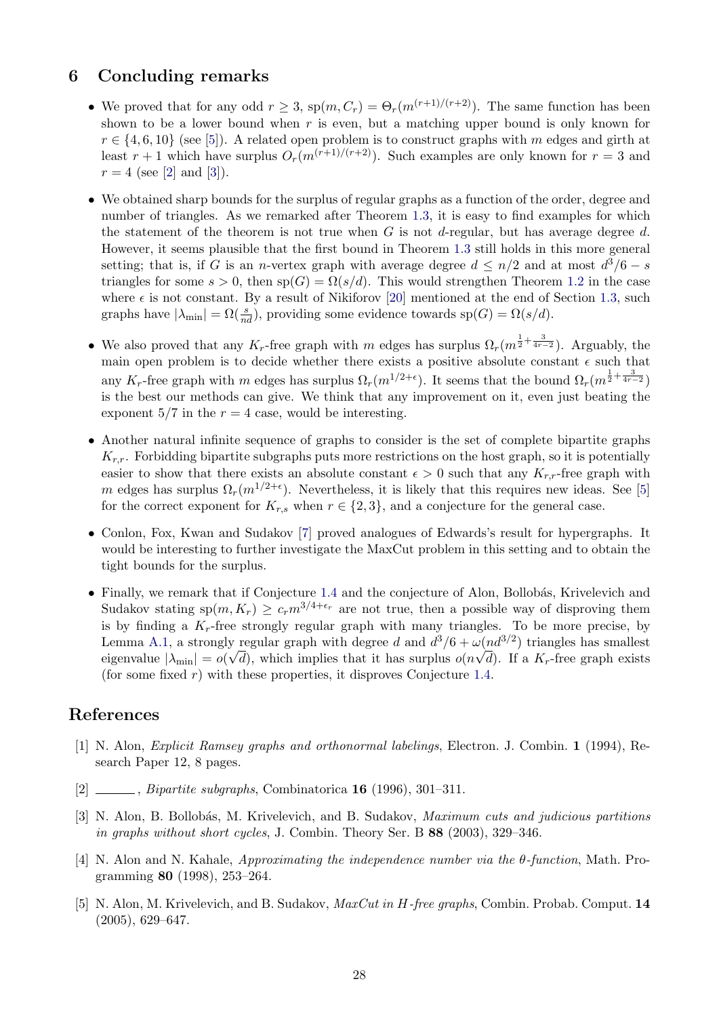# 6 Concluding remarks

- We proved that for any odd  $r \geq 3$ ,  $sp(m, C_r) = \Theta_r(m^{(r+1)/(r+2)})$ . The same function has been shown to be a lower bound when  $r$  is even, but a matching upper bound is only known for  $r \in \{4, 6, 10\}$  (see [\[5\]](#page-27-2)). A related open problem is to construct graphs with m edges and girth at least  $r + 1$  which have surplus  $O_r(m^{(r+1)/(r+2)})$ . Such examples are only known for  $r = 3$  and  $r = 4$  (see [\[2\]](#page-27-0) and [\[3\]](#page-27-1)).
- We obtained sharp bounds for the surplus of regular graphs as a function of the order, degree and number of triangles. As we remarked after Theorem [1.3,](#page-2-0) it is easy to find examples for which the statement of the theorem is not true when  $G$  is not d-regular, but has average degree  $d$ . However, it seems plausible that the first bound in Theorem [1.3](#page-2-0) still holds in this more general setting; that is, if G is an *n*-vertex graph with average degree  $d \leq n/2$  and at most  $d^3/6 - s$ triangles for some  $s > 0$ , then  $sp(G) = \Omega(s/d)$ . This would strengthen Theorem [1.2](#page-2-1) in the case where  $\epsilon$  is not constant. By a result of Nikiforov [\[20\]](#page-28-16) mentioned at the end of Section [1.3,](#page-3-6) such graphs have  $|\lambda_{\min}| = \Omega(\frac{s}{nd})$ , providing some evidence towards sp $(G) = \Omega(s/d)$ .
- We also proved that any  $K_r$ -free graph with m edges has surplus  $\Omega_r(m^{\frac{1}{2}+\frac{3}{4r-2}})$ . Arguably, the main open problem is to decide whether there exists a positive absolute constant  $\epsilon$  such that any  $K_r$ -free graph with m edges has surplus  $\Omega_r(m^{1/2+\epsilon})$ . It seems that the bound  $\Omega_r(m^{\frac{1}{2}+\frac{3}{4r-2}})$ is the best our methods can give. We think that any improvement on it, even just beating the exponent  $5/7$  in the  $r = 4$  case, would be interesting.
- Another natural infinite sequence of graphs to consider is the set of complete bipartite graphs  $K_{r,r}$ . Forbidding bipartite subgraphs puts more restrictions on the host graph, so it is potentially easier to show that there exists an absolute constant  $\epsilon > 0$  such that any  $K_{rr}$ -free graph with m edges has surplus  $\Omega_r(m^{1/2+\epsilon})$ . Nevertheless, it is likely that this requires new ideas. See [\[5\]](#page-27-2) for the correct exponent for  $K_{r,s}$  when  $r \in \{2,3\}$ , and a conjecture for the general case.
- Conlon, Fox, Kwan and Sudakov [\[7\]](#page-28-19) proved analogues of Edwards's result for hypergraphs. It would be interesting to further investigate the MaxCut problem in this setting and to obtain the tight bounds for the surplus.
- Finally, we remark that if Conjecture [1.4](#page-3-0) and the conjecture of Alon, Bollobás, Krivelevich and Sudakov stating  $sp(m, K_r) \geq c_r m^{3/4+\epsilon_r}$  are not true, then a possible way of disproving them is by finding a  $K_r$ -free strongly regular graph with many triangles. To be more precise, by Lemma [A.1,](#page-28-18) a strongly regular graph with degree d and  $d^3/6 + \omega (nd^{3/2})$  triangles has smallest eigenvalue  $|\lambda_{\min}| = o(\sqrt{d})$ , which implies that it has surplus  $o(n\sqrt{d})$ . If a  $K_r$ -free graph exists (for some fixed  $r$ ) with these properties, it disproves Conjecture [1.4.](#page-3-0)

# References

- <span id="page-27-3"></span>[1] N. Alon, Explicit Ramsey graphs and orthonormal labelings, Electron. J. Combin. 1 (1994), Research Paper 12, 8 pages.
- <span id="page-27-0"></span> $[2]$  , *Bipartite subgraphs*, Combinatorica 16 (1996), 301–311.
- <span id="page-27-1"></span>[3] N. Alon, B. Bollobás, M. Krivelevich, and B. Sudakov, *Maximum cuts and judicious partitions* in graphs without short cycles, J. Combin. Theory Ser. B 88 (2003), 329–346.
- <span id="page-27-4"></span>[4] N. Alon and N. Kahale, Approximating the independence number via the θ-function, Math. Programming 80 (1998), 253–264.
- <span id="page-27-2"></span>[5] N. Alon, M. Krivelevich, and B. Sudakov, MaxCut in H-free graphs, Combin. Probab. Comput. 14 (2005), 629–647.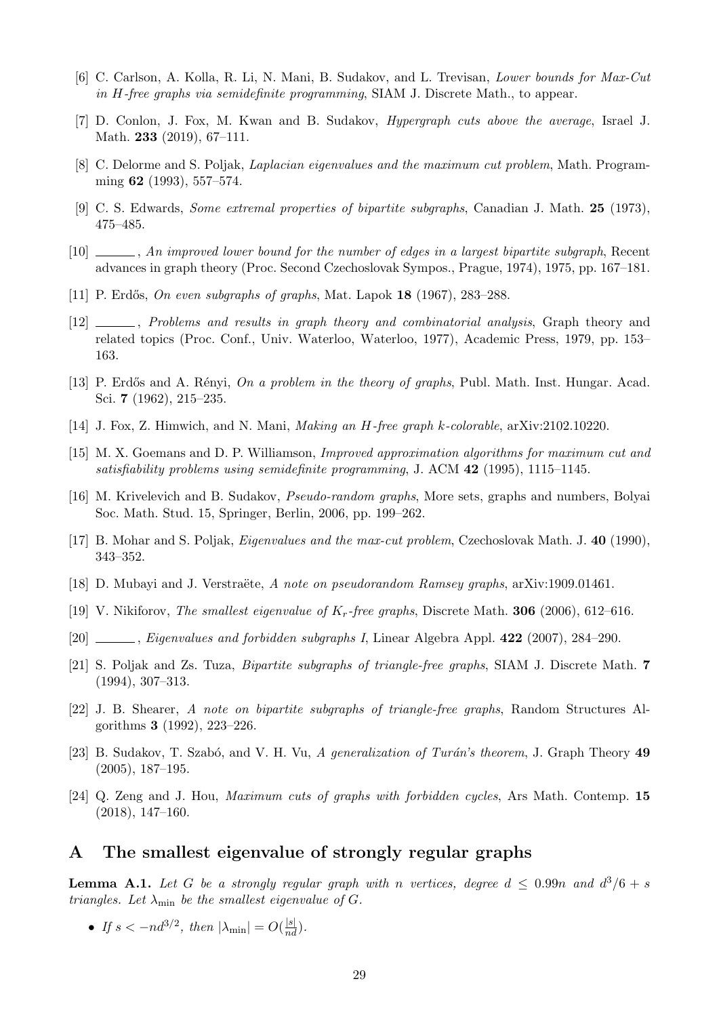- <span id="page-28-4"></span>[6] C. Carlson, A. Kolla, R. Li, N. Mani, B. Sudakov, and L. Trevisan, Lower bounds for Max-Cut in H-free graphs via semidefinite programming, SIAM J. Discrete Math., to appear.
- <span id="page-28-19"></span>[7] D. Conlon, J. Fox, M. Kwan and B. Sudakov, Hypergraph cuts above the average, Israel J. Math. 233 (2019), 67–111.
- <span id="page-28-9"></span>[8] C. Delorme and S. Poljak, Laplacian eigenvalues and the maximum cut problem, Math. Programming 62 (1993), 557–574.
- <span id="page-28-1"></span>[9] C. S. Edwards, Some extremal properties of bipartite subgraphs, Canadian J. Math. 25 (1973), 475–485.
- <span id="page-28-2"></span>[10]  $\ldots$ , An improved lower bound for the number of edges in a largest bipartite subgraph, Recent advances in graph theory (Proc. Second Czechoslovak Sympos., Prague, 1974), 1975, pp. 167–181.
- <span id="page-28-0"></span>[11] P. Erdős, On even subgraphs of graphs, Mat. Lapok 18 (1967), 283-288.
- <span id="page-28-3"></span>[12]  $\ldots$ , Problems and results in graph theory and combinatorial analysis, Graph theory and related topics (Proc. Conf., Univ. Waterloo, Waterloo, 1977), Academic Press, 1979, pp. 153– 163.
- <span id="page-28-11"></span>[13] P. Erdős and A. Rényi, *On a problem in the theory of graphs*, Publ. Math. Inst. Hungar. Acad. Sci. 7 (1962), 215–235.
- <span id="page-28-5"></span>[14] J. Fox, Z. Himwich, and N. Mani, Making an H-free graph k-colorable, arXiv:2102.10220.
- <span id="page-28-17"></span>[15] M. X. Goemans and D. P. Williamson, Improved approximation algorithms for maximum cut and satisfiability problems using semidefinite programming, J. ACM  $42$  (1995), 1115–1145.
- <span id="page-28-12"></span>[16] M. Krivelevich and B. Sudakov, Pseudo-random graphs, More sets, graphs and numbers, Bolyai Soc. Math. Stud. 15, Springer, Berlin, 2006, pp. 199–262.
- <span id="page-28-10"></span>[17] B. Mohar and S. Poljak, Eigenvalues and the max-cut problem, Czechoslovak Math. J. 40 (1990), 343–352.
- <span id="page-28-14"></span>[18] D. Mubayi and J. Verstraëte, A note on pseudorandom Ramsey graphs, arXiv:1909.01461.
- <span id="page-28-15"></span>[19] V. Nikiforov, *The smallest eigenvalue of*  $K_r$ -free graphs, Discrete Math. **306** (2006), 612–616.
- <span id="page-28-16"></span> $[20]$   $\_\_\_\_\_\$ n, Eigenvalues and forbidden subgraphs I, Linear Algebra Appl. 422 (2007), 284–290.
- <span id="page-28-6"></span>[21] S. Poljak and Zs. Tuza, *Bipartite subgraphs of triangle-free graphs*, SIAM J. Discrete Math. 7 (1994), 307–313.
- <span id="page-28-7"></span>[22] J. B. Shearer, A note on bipartite subgraphs of triangle-free graphs, Random Structures Algorithms 3 (1992), 223–226.
- <span id="page-28-13"></span>[23] B. Sudakov, T. Szabó, and V. H. Vu, A generalization of Turán's theorem, J. Graph Theory  $49$ (2005), 187–195.
- <span id="page-28-8"></span>[24] Q. Zeng and J. Hou, Maximum cuts of graphs with forbidden cycles, Ars Math. Contemp. 15 (2018), 147–160.

### A The smallest eigenvalue of strongly regular graphs

<span id="page-28-18"></span>**Lemma A.1.** Let G be a strongly regular graph with n vertices, degree  $d \leq 0.99n$  and  $d^3/6 + s$ triangles. Let  $\lambda_{\min}$  be the smallest eigenvalue of G.

• If  $s < -nd^{3/2}$ , then  $|\lambda_{\min}| = O(\frac{|s|}{nd})$ .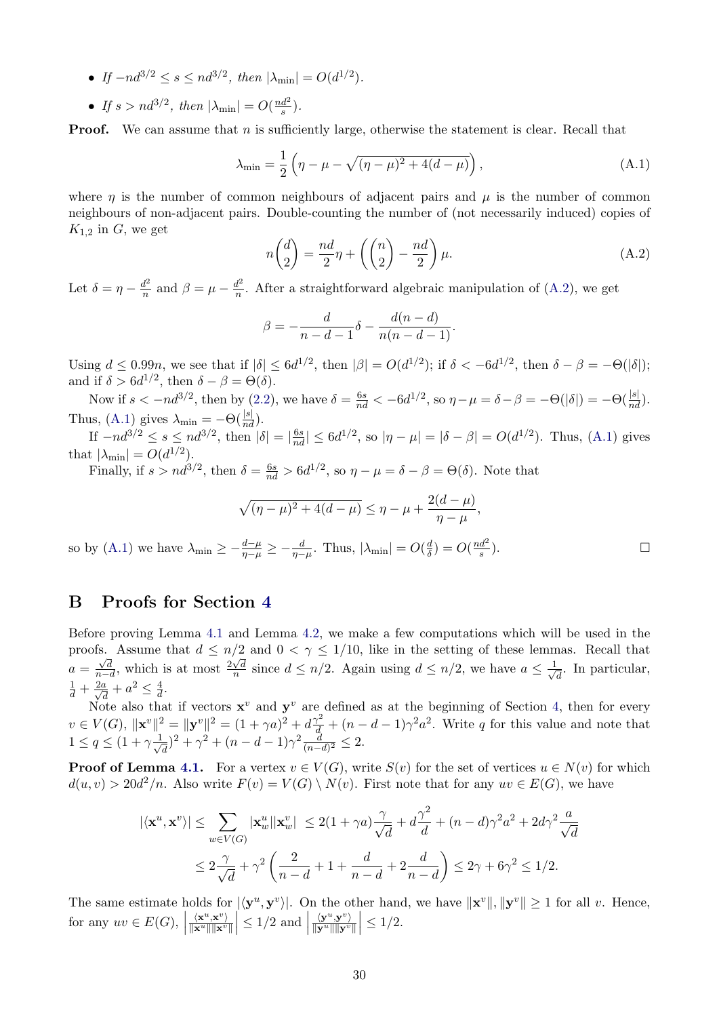- If  $-nd^{3/2} \le s \le nd^{3/2}$ , then  $|\lambda_{\min}| = O(d^{1/2})$ .
- If  $s > nd^{3/2}$ , then  $|\lambda_{\min}| = O(\frac{nd^2}{s})$  $rac{d^2}{s}$ .

**Proof.** We can assume that  $n$  is sufficiently large, otherwise the statement is clear. Recall that

<span id="page-29-1"></span>
$$
\lambda_{\min} = \frac{1}{2} \left( \eta - \mu - \sqrt{(\eta - \mu)^2 + 4(d - \mu)} \right), \tag{A.1}
$$

where  $\eta$  is the number of common neighbours of adjacent pairs and  $\mu$  is the number of common neighbours of non-adjacent pairs. Double-counting the number of (not necessarily induced) copies of  $K_{1,2}$  in G, we get

<span id="page-29-0"></span>
$$
n\binom{d}{2} = \frac{nd}{2}\eta + \left(\binom{n}{2} - \frac{nd}{2}\right)\mu.
$$
\n(A.2)

Let  $\delta = \eta - \frac{d^2}{n}$  $\frac{d^2}{n}$  and  $\beta = \mu - \frac{d^2}{n}$  $\frac{d^2}{n}$ . After a straightforward algebraic manipulation of [\(A.2\)](#page-29-0), we get

$$
\beta = -\frac{d}{n-d-1}\delta - \frac{d(n-d)}{n(n-d-1)}.
$$

Using  $d \leq 0.99n$ , we see that if  $|\delta| \leq 6d^{1/2}$ , then  $|\beta| = O(d^{1/2})$ ; if  $\delta < -6d^{1/2}$ , then  $\delta - \beta = -\Theta(|\delta|)$ ; and if  $\delta > 6d^{1/2}$ , then  $\delta - \beta = \Theta(\delta)$ .

Now if  $s < -nd^{3/2}$ , then by [\(2.2\)](#page-6-1), we have  $\delta = \frac{6s}{nd} < -6d^{1/2}$ , so  $\eta - \mu = \delta - \beta = -\Theta(|\delta|) = -\Theta(\frac{|s|}{nd})$ . Thus, [\(A.1\)](#page-29-1) gives  $\lambda_{\min} = -\Theta(\frac{|s|}{nd})$ .

If  $-nd^{3/2} \le s \le nd^{3/2}$ , then  $|\delta| = |\frac{6s}{nd}| \le 6d^{1/2}$ , so  $|\eta - \mu| = |\delta - \beta| = O(d^{1/2})$ . Thus, [\(A.1\)](#page-29-1) gives that  $|\lambda_{\min}| = O(d^{1/2}).$ 

Finally, if  $s > nd^{3/2}$ , then  $\delta = \frac{6s}{nd} > 6d^{1/2}$ , so  $\eta - \mu = \delta - \beta = \Theta(\delta)$ . Note that

$$
\sqrt{(\eta-\mu)^2+4(d-\mu)} \leq \eta-\mu+\frac{2(d-\mu)}{\eta-\mu},
$$

so by [\(A.1\)](#page-29-1) we have  $\lambda_{\min} \ge -\frac{d-\mu}{\eta-\mu} \ge -\frac{d}{\eta-\mu}$ . Thus,  $|\lambda_{\min}| = O(\frac{d}{\delta})$  $\frac{d}{\delta}$ ) =  $O(\frac{nd^2}{s})$ s ).  $\qquad \qquad \Box$ 

# B Proofs for Section [4](#page-20-0)

Before proving Lemma [4.1](#page-20-1) and Lemma [4.2,](#page-21-5) we make a few computations which will be used in the proofs. Assume that  $d \leq n/2$  and  $0 < \gamma \leq 1/10$ , like in the setting of these lemmas. Recall that  $a = \frac{\sqrt{d}}{n-d}$ , which is at most  $\frac{2\sqrt{d}}{n}$  $\frac{\sqrt{d}}{n}$  since  $d \leq n/2$ . Again using  $d \leq n/2$ , we have  $a \leq \frac{1}{\sqrt{d}}$  $\overline{\overline{d}}$ . In particular,  $\frac{1}{d}+\frac{2a}{\sqrt{d}}+a^2\leq \frac{4}{d}$  $\frac{4}{d}$ .

 $\begin{pmatrix} \sqrt{d} \\ \sqrt{d} \\ \sqrt{d} \end{pmatrix}$  and  $\bf{y}$ <sup>v</sup> are defined as at the beginning of Section [4,](#page-20-0) then for every  $v \in V(G)$ ,  $\|\mathbf{x}^v\|^2 = \|\mathbf{y}^v\|^2 = (1 + \gamma a)^2 + d\frac{\gamma^2}{d} + (n - d - 1)\gamma^2 a^2$ . Write q for this value and note that  $1 \le q \le (1 + \gamma \frac{1}{\sqrt{2}})$  $\frac{1}{(d)}(n^2 + \gamma^2 + (n - d - 1)\gamma^2) \frac{d}{(n - 1)}$  $\frac{d}{(n-d)^2} \leq 2.$ 

**Proof of Lemma [4.1.](#page-20-1)** For a vertex  $v \in V(G)$ , write  $S(v)$  for the set of vertices  $u \in N(v)$  for which  $d(u, v) > 20d^2/n$ . Also write  $F(v) = V(G) \setminus N(v)$ . First note that for any  $uv \in E(G)$ , we have

$$
|\langle \mathbf{x}^u, \mathbf{x}^v \rangle| \le \sum_{w \in V(G)} |\mathbf{x}_w^u| |\mathbf{x}_w^v| \le 2(1 + \gamma a) \frac{\gamma}{\sqrt{d}} + d\frac{\gamma^2}{d} + (n - d)\gamma^2 a^2 + 2d\gamma^2 \frac{a}{\sqrt{d}}
$$
  

$$
\le 2\frac{\gamma}{\sqrt{d}} + \gamma^2 \left(\frac{2}{n - d} + 1 + \frac{d}{n - d} + 2\frac{d}{n - d}\right) \le 2\gamma + 6\gamma^2 \le 1/2.
$$

The same estimate holds for  $|\langle y^u, y^v \rangle|$ . On the other hand, we have  $\|\mathbf{x}^v\|, \|\mathbf{y}^v\| \ge 1$  for all v. Hence, for any  $uv \in E(G)$ ,  $\langle \mathbf{x}^u, \mathbf{x}^v \rangle$  $\frac{\langle \mathbf{x}^u, \mathbf{x}^v \rangle}{\|\mathbf{x}^u\| \|\mathbf{x}^v\|} \leq 1/2$  and  $|$  $\langle y^u, y^v \rangle$  $\frac{\langle \mathbf{y}^u, \mathbf{y}^v \rangle}{\|\mathbf{y}^u\| \|\mathbf{y}^v\|}$   $\leq 1/2$ .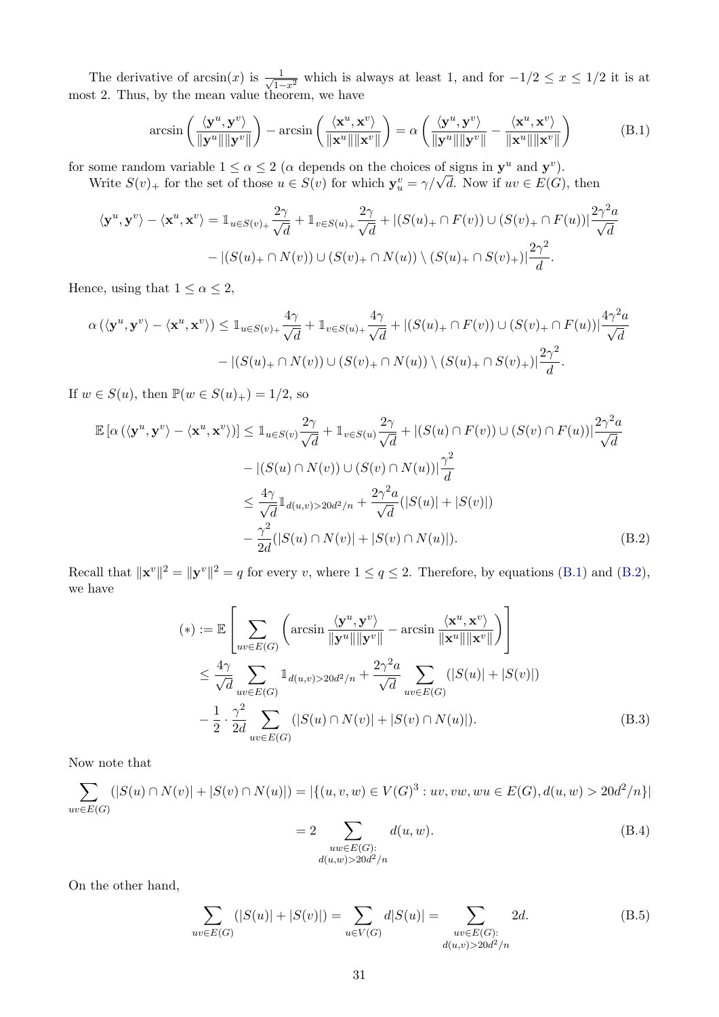The derivative of  $arcsin(x)$  is  $\frac{1}{\sqrt{1-x^2}}$  which is always at least 1, and for  $-1/2 \le x \le 1/2$  it is at most 2. Thus, by the mean value theorem, we have

<span id="page-30-0"></span>
$$
\arcsin\left(\frac{\langle \mathbf{y}^u, \mathbf{y}^v \rangle}{\|\mathbf{y}^u\| \|\mathbf{y}^v\|}\right) - \arcsin\left(\frac{\langle \mathbf{x}^u, \mathbf{x}^v \rangle}{\|\mathbf{x}^u\| \|\mathbf{x}^v\|}\right) = \alpha \left(\frac{\langle \mathbf{y}^u, \mathbf{y}^v \rangle}{\|\mathbf{y}^u\| \|\mathbf{y}^v\|} - \frac{\langle \mathbf{x}^u, \mathbf{x}^v \rangle}{\|\mathbf{x}^u\| \|\mathbf{x}^v\|}\right) \tag{B.1}
$$

for some random variable  $1 \leq \alpha \leq 2$  ( $\alpha$  depends on the choices of signs in  $y^u$  and  $y^v$ ). some random variable  $1 \leq \alpha \leq 2$  ( $\alpha$  depends on the choices of signs in  $\mathbf{y}^{\alpha}$  and  $\mathbf{y}^{\gamma}$ ).<br>Write  $S(v)_{+}$  for the set of those  $u \in S(v)$  for which  $\mathbf{y}^{v}_{u} = \gamma/\sqrt{d}$ . Now if  $uv \in E(G)$ , then

$$
\langle \mathbf{y}^u, \mathbf{y}^v \rangle - \langle \mathbf{x}^u, \mathbf{x}^v \rangle = \mathbb{1}_{u \in S(v)_{+}} \frac{2\gamma}{\sqrt{d}} + \mathbb{1}_{v \in S(u)_{+}} \frac{2\gamma}{\sqrt{d}} + |(S(u)_{+} \cap F(v)) \cup (S(v)_{+} \cap F(u))| \frac{2\gamma^2 a}{\sqrt{d}}
$$

$$
- |(S(u)_{+} \cap N(v)) \cup (S(v)_{+} \cap N(u)) \setminus (S(u)_{+} \cap S(v)_{+})| \frac{2\gamma^2}{d}.
$$

Hence, using that  $1 \leq \alpha \leq 2$ ,

$$
\alpha(\langle \mathbf{y}^u, \mathbf{y}^v \rangle - \langle \mathbf{x}^u, \mathbf{x}^v \rangle) \leq \mathbb{1}_{u \in S(v)_+} \frac{4\gamma}{\sqrt{d}} + \mathbb{1}_{v \in S(u)_+} \frac{4\gamma}{\sqrt{d}} + |(S(u)_+ \cap F(v)) \cup (S(v)_+ \cap F(u))| \frac{4\gamma^2 a}{\sqrt{d}}
$$

$$
- |(S(u)_+ \cap N(v)) \cup (S(v)_+ \cap N(u)) \setminus (S(u)_+ \cap S(v)_+) | \frac{2\gamma^2}{d}.
$$

If  $w \in S(u)$ , then  $\mathbb{P}(w \in S(u)_+) = 1/2$ , so

$$
\mathbb{E}\left[\alpha\left(\langle \mathbf{y}^u, \mathbf{y}^v \rangle - \langle \mathbf{x}^u, \mathbf{x}^v \rangle\right)\right] \leq \mathbb{1}_{u \in S(v)} \frac{2\gamma}{\sqrt{d}} + \mathbb{1}_{v \in S(u)} \frac{2\gamma}{\sqrt{d}} + |(S(u) \cap F(v)) \cup (S(v) \cap F(u))| \frac{2\gamma^2 a}{\sqrt{d}}
$$

$$
- |(S(u) \cap N(v)) \cup (S(v) \cap N(u))| \frac{\gamma^2}{d}
$$

$$
\leq \frac{4\gamma}{\sqrt{d}} \mathbb{1}_{d(u,v) > 20d^2/n} + \frac{2\gamma^2 a}{\sqrt{d}} (|S(u)| + |S(v)|)
$$

$$
- \frac{\gamma^2}{2d} (|S(u) \cap N(v)| + |S(v) \cap N(u)|). \tag{B.2}
$$

Recall that  $\|\mathbf{x}^v\|^2 = \|\mathbf{y}^v\|^2 = q$  for every v, where  $1 \le q \le 2$ . Therefore, by equations [\(B.1\)](#page-30-0) and [\(B.2\)](#page-30-1), we have

$$
(*) := \mathbb{E}\left[\sum_{uv \in E(G)} \left(\arcsin \frac{\langle \mathbf{y}^u, \mathbf{y}^v \rangle}{\|\mathbf{y}^u\| \|\mathbf{y}^v\|} - \arcsin \frac{\langle \mathbf{x}^u, \mathbf{x}^v \rangle}{\|\mathbf{x}^u\| \|\mathbf{x}^v\|}\right)\right]
$$
  

$$
\leq \frac{4\gamma}{\sqrt{d}} \sum_{uv \in E(G)} \mathbb{1}_{d(u,v) > 20d^2/n} + \frac{2\gamma^2 a}{\sqrt{d}} \sum_{uv \in E(G)} (|S(u)| + |S(v)|)
$$
  

$$
- \frac{1}{2} \cdot \frac{\gamma^2}{2d} \sum_{uv \in E(G)} (|S(u) \cap N(v)| + |S(v) \cap N(u)|). \tag{B.3}
$$

Now note that

 $\sum$  $uv\in E(G)$  $(|S(u) \cap N(v)| + |S(v) \cap N(u)|) = |\{(u, v, w) \in V(G)^3 : uv, vw, wu \in E(G), d(u, w) > 20d^2/n\}|$ 

<span id="page-30-4"></span><span id="page-30-2"></span><span id="page-30-1"></span>
$$
= 2 \sum_{\substack{uw \in E(G): \\ d(u,w) > 20d^2/n}} d(u, w).
$$
 (B.4)

On the other hand,

<span id="page-30-3"></span>
$$
\sum_{uv \in E(G)} (|S(u)| + |S(v)|) = \sum_{u \in V(G)} d|S(u)| = \sum_{\substack{uv \in E(G): \\ d(u,v) > 20d^2/n}} 2d. \tag{B.5}
$$